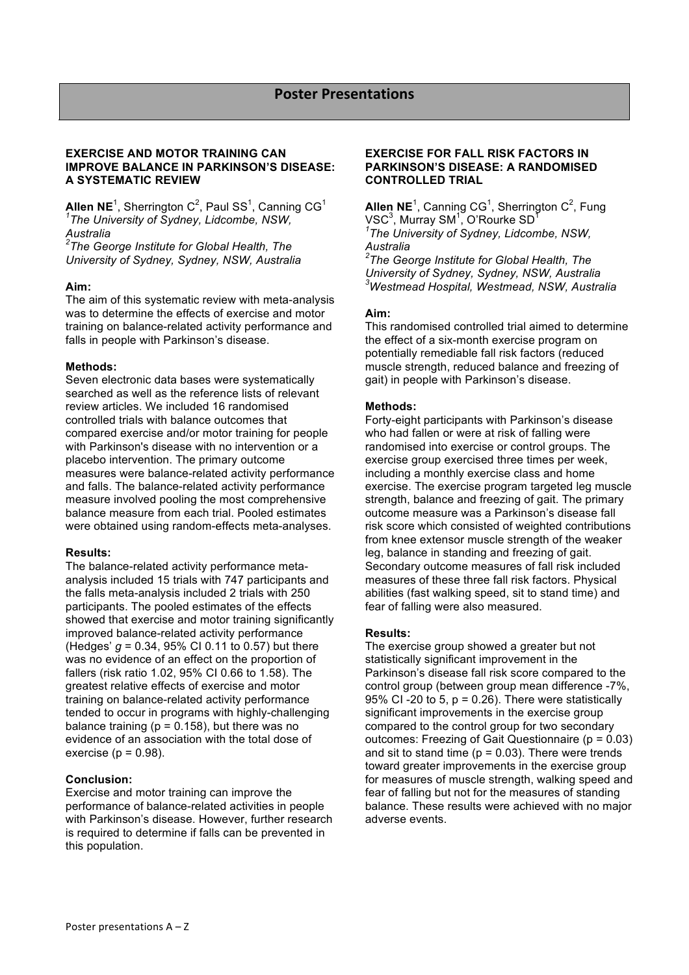### **EXERCISE AND MOTOR TRAINING CAN IMPROVE BALANCE IN PARKINSON'S DISEASE: A SYSTEMATIC REVIEW**

**Allen NE<sup>1</sup>, Sherrington C<sup>2</sup>, Paul SS<sup>1</sup>, Canning CG<sup>1</sup>** *1 The University of Sydney, Lidcombe, NSW, Australia*

*2 The George Institute for Global Health, The University of Sydney, Sydney, NSW, Australia*

### **Aim:**

The aim of this systematic review with meta-analysis was to determine the effects of exercise and motor training on balance-related activity performance and falls in people with Parkinson's disease.

### **Methods:**

Seven electronic data bases were systematically searched as well as the reference lists of relevant review articles. We included 16 randomised controlled trials with balance outcomes that compared exercise and/or motor training for people with Parkinson's disease with no intervention or a placebo intervention. The primary outcome measures were balance-related activity performance and falls. The balance-related activity performance measure involved pooling the most comprehensive balance measure from each trial. Pooled estimates were obtained using random-effects meta-analyses.

### **Results:**

The balance-related activity performance metaanalysis included 15 trials with 747 participants and the falls meta-analysis included 2 trials with 250 participants. The pooled estimates of the effects showed that exercise and motor training significantly improved balance-related activity performance (Hedges' *g* = 0.34, 95% CI 0.11 to 0.57) but there was no evidence of an effect on the proportion of fallers (risk ratio 1.02, 95% CI 0.66 to 1.58). The greatest relative effects of exercise and motor training on balance-related activity performance tended to occur in programs with highly-challenging balance training ( $p = 0.158$ ), but there was no evidence of an association with the total dose of exercise ( $p = 0.98$ ).

# **Conclusion:**

Exercise and motor training can improve the performance of balance-related activities in people with Parkinson's disease. However, further research is required to determine if falls can be prevented in this population.

### **EXERCISE FOR FALL RISK FACTORS IN PARKINSON'S DISEASE: A RANDOMISED CONTROLLED TRIAL**

**Allen NE**<sup>1</sup>, Canning CG<sup>1</sup>, Sherrington C<sup>2</sup>, Fung VSC $^3$ , Murray SM $^1$ , O'Rourke SD $^1$ *1 The University of Sydney, Lidcombe, NSW, Australia*

*2 The George Institute for Global Health, The University of Sydney, Sydney, NSW, Australia 3 Westmead Hospital, Westmead, NSW, Australia*

# **Aim:**

This randomised controlled trial aimed to determine the effect of a six-month exercise program on potentially remediable fall risk factors (reduced muscle strength, reduced balance and freezing of gait) in people with Parkinson's disease.

### **Methods:**

Forty-eight participants with Parkinson's disease who had fallen or were at risk of falling were randomised into exercise or control groups. The exercise group exercised three times per week, including a monthly exercise class and home exercise. The exercise program targeted leg muscle strength, balance and freezing of gait. The primary outcome measure was a Parkinson's disease fall risk score which consisted of weighted contributions from knee extensor muscle strength of the weaker leg, balance in standing and freezing of gait. Secondary outcome measures of fall risk included measures of these three fall risk factors. Physical abilities (fast walking speed, sit to stand time) and fear of falling were also measured.

### **Results:**

The exercise group showed a greater but not statistically significant improvement in the Parkinson's disease fall risk score compared to the control group (between group mean difference -7%, 95% CI -20 to 5,  $p = 0.26$ ). There were statistically significant improvements in the exercise group compared to the control group for two secondary outcomes: Freezing of Gait Questionnaire ( $p = 0.03$ ) and sit to stand time ( $p = 0.03$ ). There were trends toward greater improvements in the exercise group for measures of muscle strength, walking speed and fear of falling but not for the measures of standing balance. These results were achieved with no major adverse events.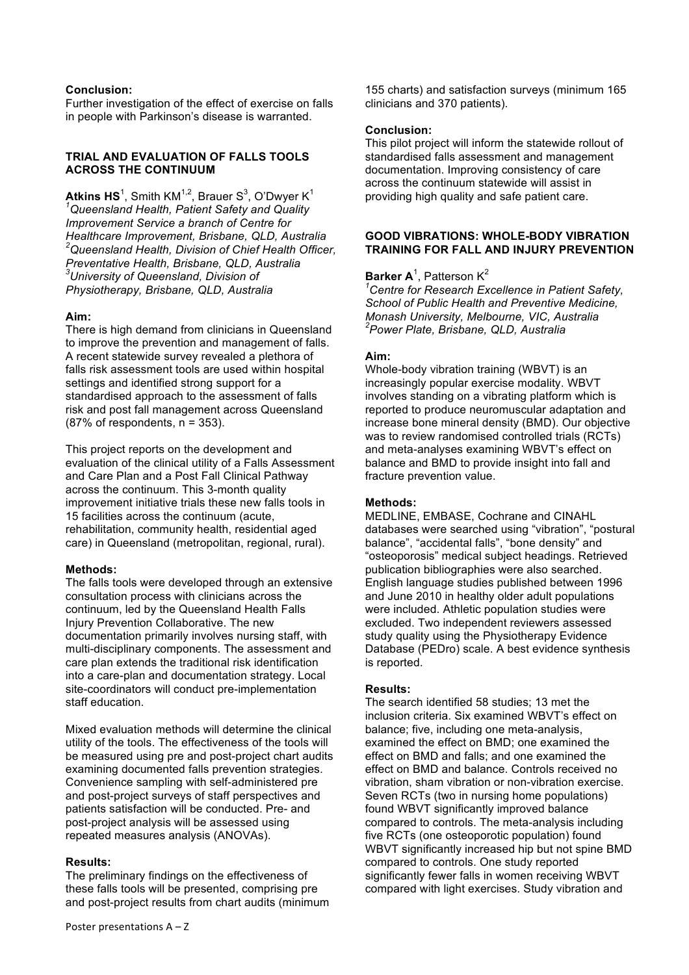### **Conclusion:**

Further investigation of the effect of exercise on falls in people with Parkinson's disease is warranted.

### **TRIAL AND EVALUATION OF FALLS TOOLS ACROSS THE CONTINUUM**

 $\mathsf{Atkins}\ \mathsf{HS}^1$ , Smith KM<sup>1,2</sup>, Brauer S $^3$ , O'Dwyer K $^1$ *1 Queensland Health, Patient Safety and Quality Improvement Service a branch of Centre for Healthcare Improvement, Brisbane, QLD, Australia 2 Queensland Health, Division of Chief Health Officer, Preventative Health, Brisbane, QLD, Australia 3 University of Queensland, Division of Physiotherapy, Brisbane, QLD, Australia*

### **Aim:**

There is high demand from clinicians in Queensland to improve the prevention and management of falls. A recent statewide survey revealed a plethora of falls risk assessment tools are used within hospital settings and identified strong support for a standardised approach to the assessment of falls risk and post fall management across Queensland  $(87%$  of respondents,  $n = 353$ ).

This project reports on the development and evaluation of the clinical utility of a Falls Assessment and Care Plan and a Post Fall Clinical Pathway across the continuum. This 3-month quality improvement initiative trials these new falls tools in 15 facilities across the continuum (acute, rehabilitation, community health, residential aged care) in Queensland (metropolitan, regional, rural).

### **Methods:**

The falls tools were developed through an extensive consultation process with clinicians across the continuum, led by the Queensland Health Falls Injury Prevention Collaborative. The new documentation primarily involves nursing staff, with multi-disciplinary components. The assessment and care plan extends the traditional risk identification into a care-plan and documentation strategy. Local site-coordinators will conduct pre-implementation staff education.

Mixed evaluation methods will determine the clinical utility of the tools. The effectiveness of the tools will be measured using pre and post-project chart audits examining documented falls prevention strategies. Convenience sampling with self-administered pre and post-project surveys of staff perspectives and patients satisfaction will be conducted. Pre- and post-project analysis will be assessed using repeated measures analysis (ANOVAs).

### **Results:**

The preliminary findings on the effectiveness of these falls tools will be presented, comprising pre and post-project results from chart audits (minimum 155 charts) and satisfaction surveys (minimum 165 clinicians and 370 patients).

### **Conclusion:**

This pilot project will inform the statewide rollout of standardised falls assessment and management documentation. Improving consistency of care across the continuum statewide will assist in providing high quality and safe patient care.

### **GOOD VIBRATIONS: WHOLE-BODY VIBRATION TRAINING FOR FALL AND INJURY PREVENTION**

# **Barker A**<sup>1</sup>, Patterson K<sup>2</sup>

*1 Centre for Research Excellence in Patient Safety, School of Public Health and Preventive Medicine, Monash University, Melbourne, VIC, Australia 2 Power Plate, Brisbane, QLD, Australia*

### **Aim:**

Whole-body vibration training (WBVT) is an increasingly popular exercise modality. WBVT involves standing on a vibrating platform which is reported to produce neuromuscular adaptation and increase bone mineral density (BMD). Our objective was to review randomised controlled trials (RCTs) and meta-analyses examining WBVT's effect on balance and BMD to provide insight into fall and fracture prevention value.

### **Methods:**

MEDLINE, EMBASE, Cochrane and CINAHL databases were searched using "vibration", "postural balance", "accidental falls", "bone density" and "osteoporosis" medical subject headings. Retrieved publication bibliographies were also searched. English language studies published between 1996 and June 2010 in healthy older adult populations were included. Athletic population studies were excluded. Two independent reviewers assessed study quality using the Physiotherapy Evidence Database (PEDro) scale. A best evidence synthesis is reported.

# **Results:**

The search identified 58 studies; 13 met the inclusion criteria. Six examined WBVT's effect on balance; five, including one meta-analysis, examined the effect on BMD; one examined the effect on BMD and falls; and one examined the effect on BMD and balance. Controls received no vibration, sham vibration or non-vibration exercise. Seven RCTs (two in nursing home populations) found WBVT significantly improved balance compared to controls. The meta-analysis including five RCTs (one osteoporotic population) found WBVT significantly increased hip but not spine BMD compared to controls. One study reported significantly fewer falls in women receiving WBVT compared with light exercises. Study vibration and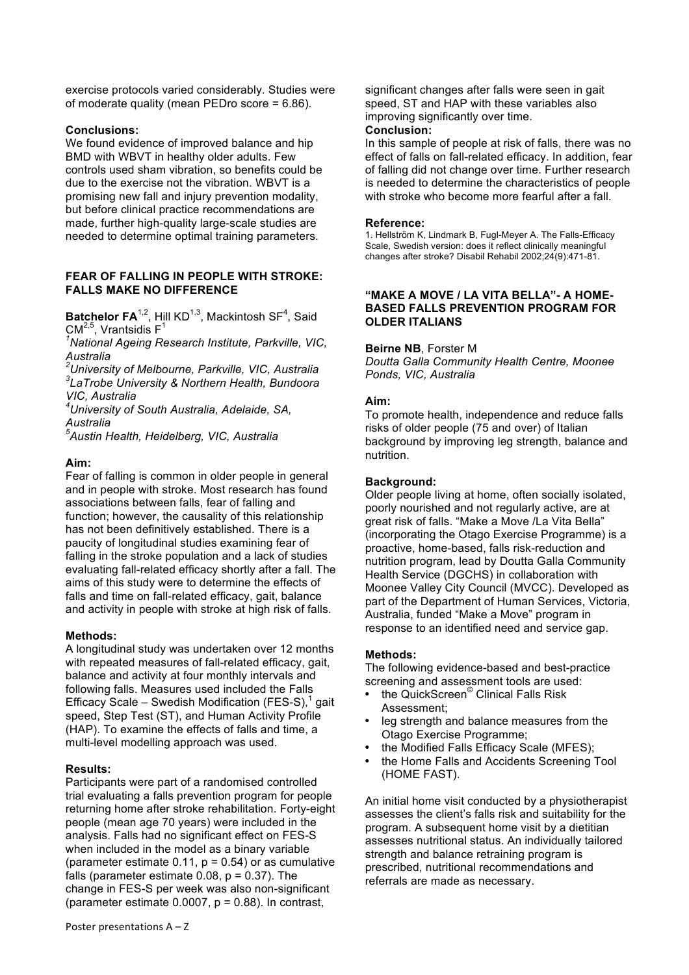exercise protocols varied considerably. Studies were of moderate quality (mean PEDro score = 6.86).

### **Conclusions:**

We found evidence of improved balance and hip BMD with WBVT in healthy older adults. Few controls used sham vibration, so benefits could be due to the exercise not the vibration. WBVT is a promising new fall and injury prevention modality, but before clinical practice recommendations are made, further high-quality large-scale studies are needed to determine optimal training parameters.

#### **FEAR OF FALLING IN PEOPLE WITH STROKE: FALLS MAKE NO DIFFERENCE**

Batchelor FA<sup>1,2</sup>, Hill KD<sup>1,3</sup>, Mackintosh SF<sup>4</sup>, Said CM<sup>2,5</sup>, Vrantsidis  $F<sup>1</sup>$ 

*1 National Ageing Research Institute, Parkville, VIC, Australia* 

*2 University of Melbourne, Parkville, VIC, Australia 3 LaTrobe University & Northern Health, Bundoora VIC, Australia*

*4 University of South Australia, Adelaide, SA, Australia* 

*5 Austin Health, Heidelberg, VIC, Australia* 

### **Aim:**

Fear of falling is common in older people in general and in people with stroke. Most research has found associations between falls, fear of falling and function; however, the causality of this relationship has not been definitively established. There is a paucity of longitudinal studies examining fear of falling in the stroke population and a lack of studies evaluating fall-related efficacy shortly after a fall. The aims of this study were to determine the effects of falls and time on fall-related efficacy, gait, balance and activity in people with stroke at high risk of falls.

### **Methods:**

A longitudinal study was undertaken over 12 months with repeated measures of fall-related efficacy, gait, balance and activity at four monthly intervals and following falls. Measures used included the Falls Efficacy Scale – Swedish Modification (FES-S), $1$  gait speed, Step Test (ST), and Human Activity Profile (HAP). To examine the effects of falls and time, a multi-level modelling approach was used.

### **Results:**

Participants were part of a randomised controlled trial evaluating a falls prevention program for people returning home after stroke rehabilitation. Forty-eight people (mean age 70 years) were included in the analysis. Falls had no significant effect on FES-S when included in the model as a binary variable (parameter estimate  $0.11$ ,  $p = 0.54$ ) or as cumulative falls (parameter estimate  $0.08$ ,  $p = 0.37$ ). The change in FES-S per week was also non-significant (parameter estimate  $0.0007$ ,  $p = 0.88$ ). In contrast,

significant changes after falls were seen in gait speed, ST and HAP with these variables also improving significantly over time. **Conclusion:**

In this sample of people at risk of falls, there was no effect of falls on fall-related efficacy. In addition, fear of falling did not change over time. Further research is needed to determine the characteristics of people with stroke who become more fearful after a fall.

#### **Reference:**

1. Hellström K, Lindmark B, Fugl-Meyer A. The Falls-Efficacy Scale, Swedish version: does it reflect clinically meaningful changes after stroke? Disabil Rehabil 2002;24(9):471-81.

#### **"MAKE A MOVE / LA VITA BELLA"- A HOME-BASED FALLS PREVENTION PROGRAM FOR OLDER ITALIANS**

### **Beirne NB**, Forster M

*Doutta Galla Community Health Centre, Moonee Ponds, VIC, Australia*

### **Aim:**

To promote health, independence and reduce falls risks of older people (75 and over) of Italian background by improving leg strength, balance and nutrition.

#### **Background:**

Older people living at home, often socially isolated, poorly nourished and not regularly active, are at great risk of falls. "Make a Move /La Vita Bella" (incorporating the Otago Exercise Programme) is a proactive, home-based, falls risk-reduction and nutrition program, lead by Doutta Galla Community Health Service (DGCHS) in collaboration with Moonee Valley City Council (MVCC). Developed as part of the Department of Human Services, Victoria, Australia, funded "Make a Move" program in response to an identified need and service gap.

### **Methods:**

The following evidence-based and best-practice screening and assessment tools are used:

- the QuickScreen<sup>©</sup> Clinical Falls Risk Assessment;
- leg strength and balance measures from the Otago Exercise Programme;
- the Modified Falls Efficacy Scale (MFES);
- the Home Falls and Accidents Screening Tool (HOME FAST).

An initial home visit conducted by a physiotherapist assesses the client's falls risk and suitability for the program. A subsequent home visit by a dietitian assesses nutritional status. An individually tailored strength and balance retraining program is prescribed, nutritional recommendations and referrals are made as necessary.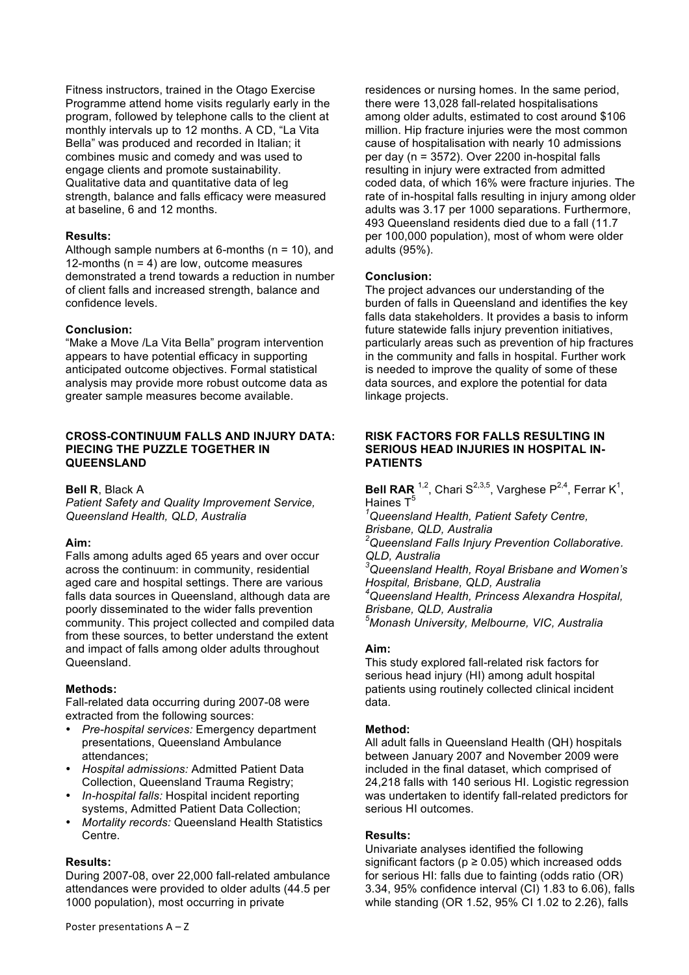Fitness instructors, trained in the Otago Exercise Programme attend home visits regularly early in the program, followed by telephone calls to the client at monthly intervals up to 12 months. A CD, "La Vita Bella" was produced and recorded in Italian; it combines music and comedy and was used to engage clients and promote sustainability. Qualitative data and quantitative data of leg strength, balance and falls efficacy were measured at baseline, 6 and 12 months.

#### **Results:**

Although sample numbers at 6-months  $(n = 10)$ , and 12-months (n = 4) are low, outcome measures demonstrated a trend towards a reduction in number of client falls and increased strength, balance and confidence levels.

#### **Conclusion:**

"Make a Move /La Vita Bella" program intervention appears to have potential efficacy in supporting anticipated outcome objectives. Formal statistical analysis may provide more robust outcome data as greater sample measures become available.

#### **CROSS-CONTINUUM FALLS AND INJURY DATA: PIECING THE PUZZLE TOGETHER IN QUEENSLAND**

**Bell R**, Black A

*Patient Safety and Quality Improvement Service, Queensland Health, QLD, Australia*

#### **Aim:**

Falls among adults aged 65 years and over occur across the continuum: in community, residential aged care and hospital settings. There are various falls data sources in Queensland, although data are poorly disseminated to the wider falls prevention community. This project collected and compiled data from these sources, to better understand the extent and impact of falls among older adults throughout Queensland.

### **Methods:**

Fall-related data occurring during 2007-08 were extracted from the following sources:

- *Pre-hospital services:* Emergency department presentations, Queensland Ambulance attendances;
- *Hospital admissions:* Admitted Patient Data Collection, Queensland Trauma Registry;
- *In-hospital falls:* Hospital incident reporting systems, Admitted Patient Data Collection;
- *Mortality records:* Queensland Health Statistics Centre.

#### **Results:**

During 2007-08, over 22,000 fall-related ambulance attendances were provided to older adults (44.5 per 1000 population), most occurring in private

residences or nursing homes. In the same period, there were 13,028 fall-related hospitalisations among older adults, estimated to cost around \$106 million. Hip fracture injuries were the most common cause of hospitalisation with nearly 10 admissions per day (n = 3572). Over 2200 in-hospital falls resulting in injury were extracted from admitted coded data, of which 16% were fracture injuries. The rate of in-hospital falls resulting in injury among older adults was 3.17 per 1000 separations. Furthermore, 493 Queensland residents died due to a fall (11.7 per 100,000 population), most of whom were older adults (95%).

#### **Conclusion:**

The project advances our understanding of the burden of falls in Queensland and identifies the key falls data stakeholders. It provides a basis to inform future statewide falls injury prevention initiatives, particularly areas such as prevention of hip fractures in the community and falls in hospital. Further work is needed to improve the quality of some of these data sources, and explore the potential for data linkage projects.

### **RISK FACTORS FOR FALLS RESULTING IN SERIOUS HEAD INJURIES IN HOSPITAL IN-PATIENTS**

**Bell RAR** <sup>1,2</sup>, Chari S<sup>2,3,5</sup>, Varghese P<sup>2,4</sup>, Ferrar K<sup>1</sup>, Haines  $T^5$ 

*1 Queensland Health, Patient Safety Centre, Brisbane, QLD, Australia*

*2 Queensland Falls Injury Prevention Collaborative. QLD, Australia*

*3 Queensland Health, Royal Brisbane and Women's Hospital, Brisbane, QLD, Australia*

*4 Queensland Health, Princess Alexandra Hospital, Brisbane, QLD, Australia*

*5 Monash University, Melbourne, VIC, Australia*

### **Aim:**

This study explored fall-related risk factors for serious head injury (HI) among adult hospital patients using routinely collected clinical incident data.

#### **Method:**

All adult falls in Queensland Health (QH) hospitals between January 2007 and November 2009 were included in the final dataset, which comprised of 24,218 falls with 140 serious HI. Logistic regression was undertaken to identify fall-related predictors for serious HI outcomes.

#### **Results:**

Univariate analyses identified the following significant factors ( $p \ge 0.05$ ) which increased odds for serious HI: falls due to fainting (odds ratio (OR) 3.34, 95% confidence interval (CI) 1.83 to 6.06), falls while standing (OR 1.52, 95% CI 1.02 to 2.26), falls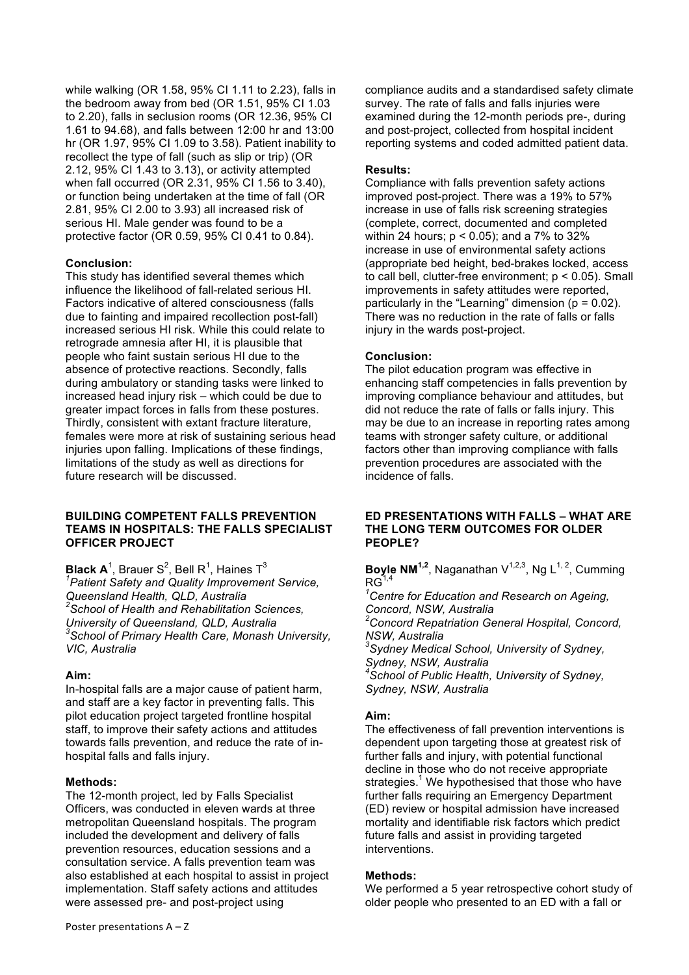while walking (OR 1.58, 95% CI 1.11 to 2.23), falls in the bedroom away from bed (OR 1.51, 95% CI 1.03 to 2.20), falls in seclusion rooms (OR 12.36, 95% CI 1.61 to 94.68), and falls between 12:00 hr and 13:00 hr (OR 1.97, 95% CI 1.09 to 3.58). Patient inability to recollect the type of fall (such as slip or trip) (OR 2.12, 95% CI 1.43 to 3.13), or activity attempted when fall occurred (OR 2.31, 95% CI 1.56 to 3.40), or function being undertaken at the time of fall (OR 2.81, 95% CI 2.00 to 3.93) all increased risk of serious HI. Male gender was found to be a protective factor (OR 0.59, 95% CI 0.41 to 0.84).

### **Conclusion:**

This study has identified several themes which influence the likelihood of fall-related serious HI. Factors indicative of altered consciousness (falls due to fainting and impaired recollection post-fall) increased serious HI risk. While this could relate to retrograde amnesia after HI, it is plausible that people who faint sustain serious HI due to the absence of protective reactions. Secondly, falls during ambulatory or standing tasks were linked to increased head injury risk – which could be due to greater impact forces in falls from these postures. Thirdly, consistent with extant fracture literature, females were more at risk of sustaining serious head injuries upon falling. Implications of these findings, limitations of the study as well as directions for future research will be discussed.

### **BUILDING COMPETENT FALLS PREVENTION TEAMS IN HOSPITALS: THE FALLS SPECIALIST OFFICER PROJECT**

**Black A**<sup>1</sup>, Brauer S<sup>2</sup>, Bell R<sup>1</sup>, Haines T<sup>3</sup> *1 Patient Safety and Quality Improvement Service, Queensland Health, QLD, Australia 2 School of Health and Rehabilitation Sciences, University of Queensland, QLD, Australia 3 School of Primary Health Care, Monash University, VIC, Australia*

# **Aim:**

In-hospital falls are a major cause of patient harm, and staff are a key factor in preventing falls. This pilot education project targeted frontline hospital staff, to improve their safety actions and attitudes towards falls prevention, and reduce the rate of inhospital falls and falls injury.

# **Methods:**

The 12-month project, led by Falls Specialist Officers, was conducted in eleven wards at three metropolitan Queensland hospitals. The program included the development and delivery of falls prevention resources, education sessions and a consultation service. A falls prevention team was also established at each hospital to assist in project implementation. Staff safety actions and attitudes were assessed pre- and post-project using

compliance audits and a standardised safety climate survey. The rate of falls and falls injuries were examined during the 12-month periods pre-, during and post-project, collected from hospital incident reporting systems and coded admitted patient data.

### **Results:**

Compliance with falls prevention safety actions improved post-project. There was a 19% to 57% increase in use of falls risk screening strategies (complete, correct, documented and completed within 24 hours; p < 0.05); and a 7% to 32% increase in use of environmental safety actions (appropriate bed height, bed-brakes locked, access to call bell, clutter-free environment; p < 0.05). Small improvements in safety attitudes were reported, particularly in the "Learning" dimension ( $p = 0.02$ ). There was no reduction in the rate of falls or falls injury in the wards post-project.

### **Conclusion:**

The pilot education program was effective in enhancing staff competencies in falls prevention by improving compliance behaviour and attitudes, but did not reduce the rate of falls or falls injury. This may be due to an increase in reporting rates among teams with stronger safety culture, or additional factors other than improving compliance with falls prevention procedures are associated with the incidence of falls.

### **ED PRESENTATIONS WITH FALLS – WHAT ARE THE LONG TERM OUTCOMES FOR OLDER PEOPLE?**

**Boyle NM<sup>1,2</sup>, Naganathan V<sup>1,2,3</sup>, Ng L<sup>1, 2</sup>, Cumming**  $RG<sup>1,4</sup>$ 

*1 Centre for Education and Research on Ageing, Concord, NSW, Australia 2 Concord Repatriation General Hospital, Concord, NSW, Australia 3 Sydney Medical School, University of Sydney, Sydney, NSW, Australia 4 School of Public Health, University of Sydney, Sydney, NSW, Australia*

# **Aim:**

The effectiveness of fall prevention interventions is dependent upon targeting those at greatest risk of further falls and injury, with potential functional decline in those who do not receive appropriate strategies.<sup>1</sup> We hypothesised that those who have further falls requiring an Emergency Department (ED) review or hospital admission have increased mortality and identifiable risk factors which predict future falls and assist in providing targeted interventions.

# **Methods:**

We performed a 5 year retrospective cohort study of older people who presented to an ED with a fall or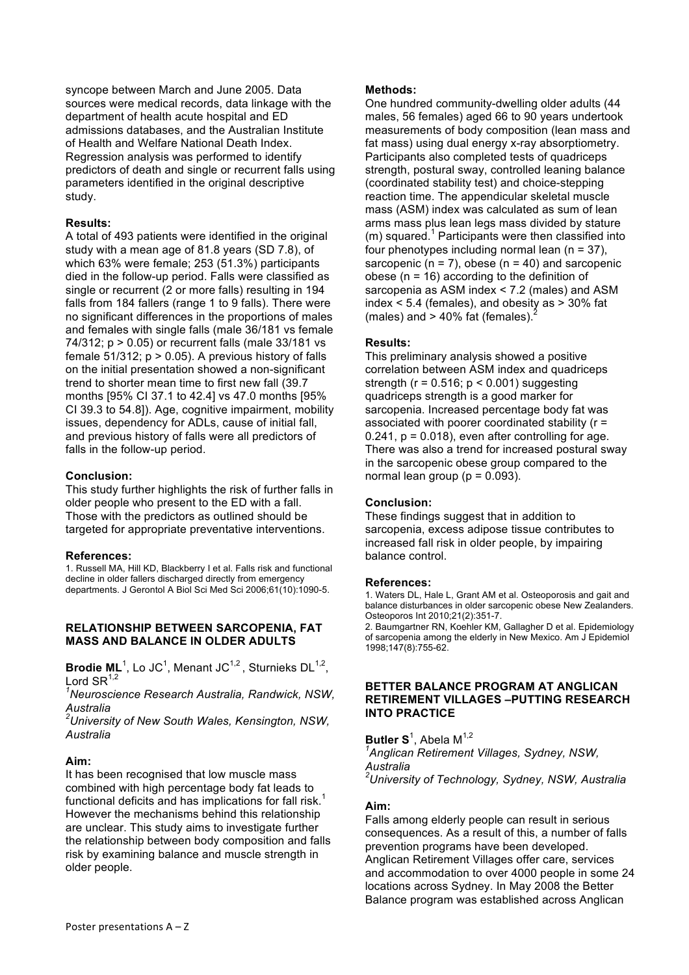syncope between March and June 2005. Data sources were medical records, data linkage with the department of health acute hospital and ED admissions databases, and the Australian Institute of Health and Welfare National Death Index. Regression analysis was performed to identify predictors of death and single or recurrent falls using parameters identified in the original descriptive study.

### **Results:**

A total of 493 patients were identified in the original study with a mean age of 81.8 years (SD 7.8), of which 63% were female; 253 (51.3%) participants died in the follow-up period. Falls were classified as single or recurrent (2 or more falls) resulting in 194 falls from 184 fallers (range 1 to 9 falls). There were no significant differences in the proportions of males and females with single falls (male 36/181 vs female 74/312; p > 0.05) or recurrent falls (male 33/181 vs female  $51/312$ ;  $p > 0.05$ ). A previous history of falls on the initial presentation showed a non-significant trend to shorter mean time to first new fall (39.7 months [95% CI 37.1 to 42.4] vs 47.0 months [95% CI 39.3 to 54.8]). Age, cognitive impairment, mobility issues, dependency for ADLs, cause of initial fall, and previous history of falls were all predictors of falls in the follow-up period.

### **Conclusion:**

This study further highlights the risk of further falls in older people who present to the ED with a fall. Those with the predictors as outlined should be targeted for appropriate preventative interventions.

### **References:**

1. Russell MA, Hill KD, Blackberry I et al. Falls risk and functional decline in older fallers discharged directly from emergency departments. J Gerontol A Biol Sci Med Sci 2006;61(10):1090-5.

### **RELATIONSHIP BETWEEN SARCOPENIA, FAT MASS AND BALANCE IN OLDER ADULTS**

**Brodie ML**<sup>1</sup>, Lo JC<sup>1</sup>, Menant JC<sup>1,2</sup>, Sturnieks DL<sup>1,2</sup>, Lord  $\text{SR}^{1,2}$ 

*1 Neuroscience Research Australia, Randwick, NSW, Australia*

*2 University of New South Wales, Kensington, NSW, Australia*

# **Aim:**

It has been recognised that low muscle mass combined with high percentage body fat leads to functional deficits and has implications for fall risk.<sup>1</sup> However the mechanisms behind this relationship are unclear. This study aims to investigate further the relationship between body composition and falls risk by examining balance and muscle strength in older people.

### **Methods:**

One hundred community-dwelling older adults (44 males, 56 females) aged 66 to 90 years undertook measurements of body composition (lean mass and fat mass) using dual energy x-ray absorptiometry. Participants also completed tests of quadriceps strength, postural sway, controlled leaning balance (coordinated stability test) and choice-stepping reaction time. The appendicular skeletal muscle mass (ASM) index was calculated as sum of lean arms mass plus lean legs mass divided by stature  $(m)$  squared.<sup>1</sup> Participants were then classified into four phenotypes including normal lean  $(n = 37)$ . sarcopenic ( $n = 7$ ), obese ( $n = 40$ ) and sarcopenic obese ( $n = 16$ ) according to the definition of sarcopenia as ASM index < 7.2 (males) and ASM index  $<$  5.4 (females), and obesity as  $>$  30% fat (males) and  $> 40\%$  fat (females).

### **Results:**

This preliminary analysis showed a positive correlation between ASM index and quadriceps strength ( $r = 0.516$ ;  $p < 0.001$ ) suggesting quadriceps strength is a good marker for sarcopenia. Increased percentage body fat was associated with poorer coordinated stability (r =  $0.241$ ,  $p = 0.018$ ), even after controlling for age. There was also a trend for increased postural sway in the sarcopenic obese group compared to the normal lean group ( $p = 0.093$ ).

### **Conclusion:**

These findings suggest that in addition to sarcopenia, excess adipose tissue contributes to increased fall risk in older people, by impairing balance control.

### **References:**

1. Waters DL, Hale L, Grant AM et al. Osteoporosis and gait and balance disturbances in older sarcopenic obese New Zealanders. Osteoporos Int 2010;21(2):351-7.

2. Baumgartner RN, Koehler KM, Gallagher D et al. Epidemiology of sarcopenia among the elderly in New Mexico. Am J Epidemiol 1998;147(8):755-62.

### **BETTER BALANCE PROGRAM AT ANGLICAN RETIREMENT VILLAGES –PUTTING RESEARCH INTO PRACTICE**

**Butler S**<sup>1</sup>, Abela M<sup>1,2</sup> *1 Anglican Retirement Villages, Sydney, NSW, Australia 2 University of Technology, Sydney, NSW, Australia*

### **Aim:**

Falls among elderly people can result in serious consequences. As a result of this, a number of falls prevention programs have been developed. Anglican Retirement Villages offer care, services and accommodation to over 4000 people in some 24 locations across Sydney. In May 2008 the Better Balance program was established across Anglican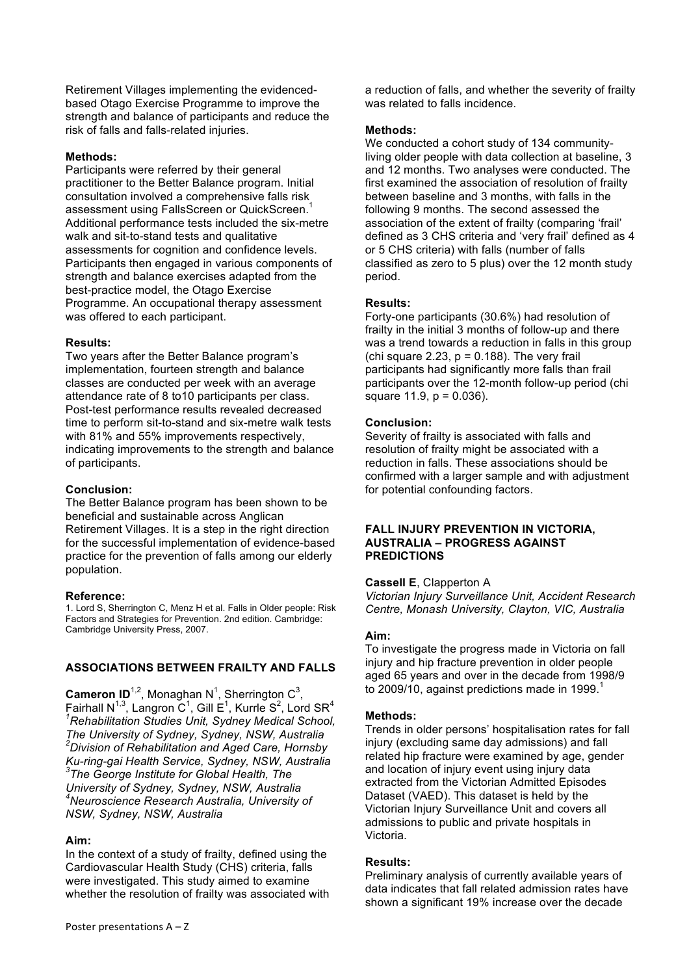Retirement Villages implementing the evidencedbased Otago Exercise Programme to improve the strength and balance of participants and reduce the risk of falls and falls-related injuries.

### **Methods:**

Participants were referred by their general practitioner to the Better Balance program. Initial consultation involved a comprehensive falls risk assessment using FallsScreen or QuickScreen.<sup>1</sup> Additional performance tests included the six-metre walk and sit-to-stand tests and qualitative assessments for cognition and confidence levels. Participants then engaged in various components of strength and balance exercises adapted from the best-practice model, the Otago Exercise Programme. An occupational therapy assessment was offered to each participant.

### **Results:**

Two years after the Better Balance program's implementation, fourteen strength and balance classes are conducted per week with an average attendance rate of 8 to10 participants per class. Post-test performance results revealed decreased time to perform sit-to-stand and six-metre walk tests with 81% and 55% improvements respectively, indicating improvements to the strength and balance of participants.

### **Conclusion:**

The Better Balance program has been shown to be beneficial and sustainable across Anglican Retirement Villages. It is a step in the right direction for the successful implementation of evidence-based practice for the prevention of falls among our elderly population.

### **Reference:**

1. Lord S, Sherrington C, Menz H et al. Falls in Older people: Risk Factors and Strategies for Prevention. 2nd edition. Cambridge: Cambridge University Press, 2007.

# **ASSOCIATIONS BETWEEN FRAILTY AND FALLS**

**Cameron ID**<sup>1,2</sup>, Monaghan N<sup>1</sup>, Sherrington C<sup>3</sup>, Fairhall N<sup>1,3</sup>, Langron C<sup>1</sup>, Gill E<sup>1</sup>, Kurrle S<sup>2</sup>, Lord SR<sup>4</sup><br><sup>1</sup>Rehabilitation Studies Unit, Sydney Medical School, *The University of Sydney, Sydney, NSW, Australia 2 Division of Rehabilitation and Aged Care, Hornsby Ku-ring-gai Health Service, Sydney, NSW, Australia <sup>3</sup> The George Institute for Global Health, The University of Sydney, Sydney, NSW, Australia 4 Neuroscience Research Australia, University of NSW, Sydney, NSW, Australia*

# **Aim:**

In the context of a study of frailty, defined using the Cardiovascular Health Study (CHS) criteria, falls were investigated. This study aimed to examine whether the resolution of frailty was associated with a reduction of falls, and whether the severity of frailty was related to falls incidence.

### **Methods:**

We conducted a cohort study of 134 communityliving older people with data collection at baseline, 3 and 12 months. Two analyses were conducted. The first examined the association of resolution of frailty between baseline and 3 months, with falls in the following 9 months. The second assessed the association of the extent of frailty (comparing 'frail' defined as 3 CHS criteria and 'very frail' defined as 4 or 5 CHS criteria) with falls (number of falls classified as zero to 5 plus) over the 12 month study period.

### **Results:**

Forty-one participants (30.6%) had resolution of frailty in the initial 3 months of follow-up and there was a trend towards a reduction in falls in this group (chi square 2.23,  $p = 0.188$ ). The very frail participants had significantly more falls than frail participants over the 12-month follow-up period (chi square  $11.9$ ,  $p = 0.036$ ).

### **Conclusion:**

Severity of frailty is associated with falls and resolution of frailty might be associated with a reduction in falls. These associations should be confirmed with a larger sample and with adjustment for potential confounding factors.

### **FALL INJURY PREVENTION IN VICTORIA, AUSTRALIA – PROGRESS AGAINST PREDICTIONS**

### **Cassell E**, Clapperton A

*Victorian Injury Surveillance Unit, Accident Research Centre, Monash University, Clayton, VIC, Australia*

### **Aim:**

To investigate the progress made in Victoria on fall injury and hip fracture prevention in older people aged 65 years and over in the decade from 1998/9 to 2009/10, against predictions made in 1999. $<sup>1</sup>$ </sup>

# **Methods:**

Trends in older persons' hospitalisation rates for fall injury (excluding same day admissions) and fall related hip fracture were examined by age, gender and location of injury event using injury data extracted from the Victorian Admitted Episodes Dataset (VAED). This dataset is held by the Victorian Injury Surveillance Unit and covers all admissions to public and private hospitals in Victoria.

# **Results:**

Preliminary analysis of currently available years of data indicates that fall related admission rates have shown a significant 19% increase over the decade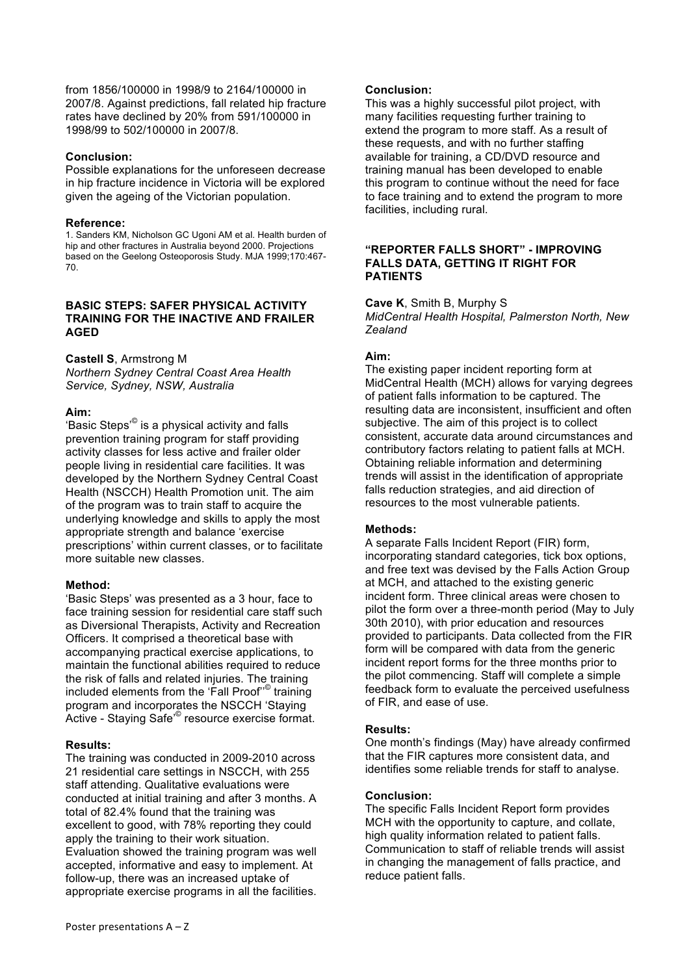from 1856/100000 in 1998/9 to 2164/100000 in 2007/8. Against predictions, fall related hip fracture rates have declined by 20% from 591/100000 in 1998/99 to 502/100000 in 2007/8.

### **Conclusion:**

Possible explanations for the unforeseen decrease in hip fracture incidence in Victoria will be explored given the ageing of the Victorian population.

### **Reference:**

1. Sanders KM, Nicholson GC Ugoni AM et al. Health burden of hip and other fractures in Australia beyond 2000. Projections based on the Geelong Osteoporosis Study. MJA 1999;170:467- 70.

### **BASIC STEPS: SAFER PHYSICAL ACTIVITY TRAINING FOR THE INACTIVE AND FRAILER AGED**

### **Castell S**, Armstrong M

*Northern Sydney Central Coast Area Health Service, Sydney, NSW, Australia*

### **Aim:**

'Basic Steps'<sup>©</sup> is a physical activity and falls prevention training program for staff providing activity classes for less active and frailer older people living in residential care facilities. It was developed by the Northern Sydney Central Coast Health (NSCCH) Health Promotion unit. The aim of the program was to train staff to acquire the underlying knowledge and skills to apply the most appropriate strength and balance 'exercise prescriptions' within current classes, or to facilitate more suitable new classes.

# **Method:**

'Basic Steps' was presented as a 3 hour, face to face training session for residential care staff such as Diversional Therapists, Activity and Recreation Officers. It comprised a theoretical base with accompanying practical exercise applications, to maintain the functional abilities required to reduce the risk of falls and related injuries. The training included elements from the 'Fall Proof'<sup>®</sup> training program and incorporates the NSCCH 'Staying Active - Staying Safe'<sup>©</sup> resource exercise format.

# **Results:**

The training was conducted in 2009-2010 across 21 residential care settings in NSCCH, with 255 staff attending. Qualitative evaluations were conducted at initial training and after 3 months. A total of 82.4% found that the training was excellent to good, with 78% reporting they could apply the training to their work situation. Evaluation showed the training program was well accepted, informative and easy to implement. At follow-up, there was an increased uptake of appropriate exercise programs in all the facilities.

### **Conclusion:**

This was a highly successful pilot project, with many facilities requesting further training to extend the program to more staff. As a result of these requests, and with no further staffing available for training, a CD/DVD resource and training manual has been developed to enable this program to continue without the need for face to face training and to extend the program to more facilities, including rural.

### **"REPORTER FALLS SHORT" - IMPROVING FALLS DATA, GETTING IT RIGHT FOR PATIENTS**

**Cave K**, Smith B, Murphy S *MidCentral Health Hospital, Palmerston North, New Zealand*

# **Aim:**

The existing paper incident reporting form at MidCentral Health (MCH) allows for varying degrees of patient falls information to be captured. The resulting data are inconsistent, insufficient and often subjective. The aim of this project is to collect consistent, accurate data around circumstances and contributory factors relating to patient falls at MCH. Obtaining reliable information and determining trends will assist in the identification of appropriate falls reduction strategies, and aid direction of resources to the most vulnerable patients.

# **Methods:**

A separate Falls Incident Report (FIR) form, incorporating standard categories, tick box options, and free text was devised by the Falls Action Group at MCH, and attached to the existing generic incident form. Three clinical areas were chosen to pilot the form over a three-month period (May to July 30th 2010), with prior education and resources provided to participants. Data collected from the FIR form will be compared with data from the generic incident report forms for the three months prior to the pilot commencing. Staff will complete a simple feedback form to evaluate the perceived usefulness of FIR, and ease of use.

### **Results:**

One month's findings (May) have already confirmed that the FIR captures more consistent data, and identifies some reliable trends for staff to analyse.

### **Conclusion:**

The specific Falls Incident Report form provides MCH with the opportunity to capture, and collate, high quality information related to patient falls. Communication to staff of reliable trends will assist in changing the management of falls practice, and reduce patient falls.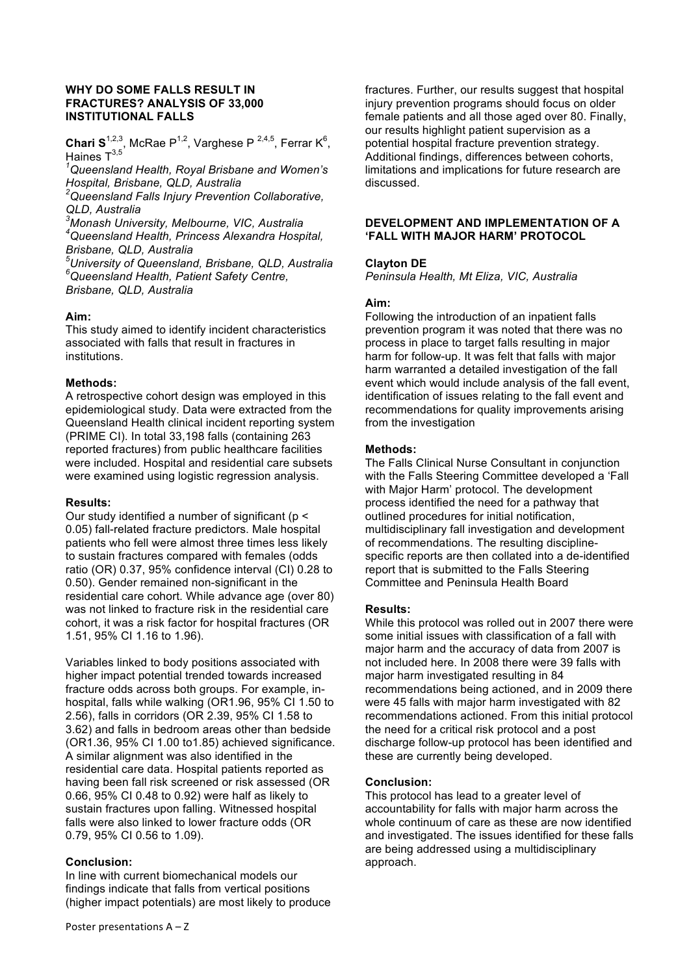### **WHY DO SOME FALLS RESULT IN FRACTURES? ANALYSIS OF 33,000 INSTITUTIONAL FALLS**

**Chari S**<sup>1,2,3</sup>, McRae P<sup>1,2</sup>, Varghese P<sup>2,4,5</sup>, Ferrar K<sup>6</sup>, Haines T3,5 *1*

*Queensland Health, Royal Brisbane and Women's Hospital, Brisbane, QLD, Australia* 

*2 Queensland Falls Injury Prevention Collaborative, QLD, Australia*

*3 Monash University, Melbourne, VIC, Australia 4 Queensland Health, Princess Alexandra Hospital, Brisbane, QLD, Australia*

*5 University of Queensland, Brisbane, QLD, Australia 6 Queensland Health, Patient Safety Centre, Brisbane, QLD, Australia*

### **Aim:**

This study aimed to identify incident characteristics associated with falls that result in fractures in institutions.

### **Methods:**

A retrospective cohort design was employed in this epidemiological study. Data were extracted from the Queensland Health clinical incident reporting system (PRIME CI). In total 33,198 falls (containing 263 reported fractures) from public healthcare facilities were included. Hospital and residential care subsets were examined using logistic regression analysis.

### **Results:**

Our study identified a number of significant (p < 0.05) fall-related fracture predictors. Male hospital patients who fell were almost three times less likely to sustain fractures compared with females (odds ratio (OR) 0.37, 95% confidence interval (CI) 0.28 to 0.50). Gender remained non-significant in the residential care cohort. While advance age (over 80) was not linked to fracture risk in the residential care cohort, it was a risk factor for hospital fractures (OR 1.51, 95% CI 1.16 to 1.96).

Variables linked to body positions associated with higher impact potential trended towards increased fracture odds across both groups. For example, inhospital, falls while walking (OR1.96, 95% CI 1.50 to 2.56), falls in corridors (OR 2.39, 95% CI 1.58 to 3.62) and falls in bedroom areas other than bedside (OR1.36, 95% CI 1.00 to1.85) achieved significance. A similar alignment was also identified in the residential care data. Hospital patients reported as having been fall risk screened or risk assessed (OR 0.66, 95% CI 0.48 to 0.92) were half as likely to sustain fractures upon falling. Witnessed hospital falls were also linked to lower fracture odds (OR 0.79, 95% CI 0.56 to 1.09).

# **Conclusion:**

In line with current biomechanical models our findings indicate that falls from vertical positions (higher impact potentials) are most likely to produce

fractures. Further, our results suggest that hospital injury prevention programs should focus on older female patients and all those aged over 80. Finally, our results highlight patient supervision as a potential hospital fracture prevention strategy. Additional findings, differences between cohorts, limitations and implications for future research are discussed.

### **DEVELOPMENT AND IMPLEMENTATION OF A 'FALL WITH MAJOR HARM' PROTOCOL**

### **Clayton DE**

*Peninsula Health, Mt Eliza, VIC, Australia*

### **Aim:**

Following the introduction of an inpatient falls prevention program it was noted that there was no process in place to target falls resulting in major harm for follow-up. It was felt that falls with major harm warranted a detailed investigation of the fall event which would include analysis of the fall event, identification of issues relating to the fall event and recommendations for quality improvements arising from the investigation

### **Methods:**

The Falls Clinical Nurse Consultant in conjunction with the Falls Steering Committee developed a 'Fall with Major Harm' protocol. The development process identified the need for a pathway that outlined procedures for initial notification, multidisciplinary fall investigation and development of recommendations. The resulting disciplinespecific reports are then collated into a de-identified report that is submitted to the Falls Steering Committee and Peninsula Health Board

### **Results:**

While this protocol was rolled out in 2007 there were some initial issues with classification of a fall with major harm and the accuracy of data from 2007 is not included here. In 2008 there were 39 falls with major harm investigated resulting in 84 recommendations being actioned, and in 2009 there were 45 falls with major harm investigated with 82 recommendations actioned. From this initial protocol the need for a critical risk protocol and a post discharge follow-up protocol has been identified and these are currently being developed.

### **Conclusion:**

This protocol has lead to a greater level of accountability for falls with major harm across the whole continuum of care as these are now identified and investigated. The issues identified for these falls are being addressed using a multidisciplinary approach.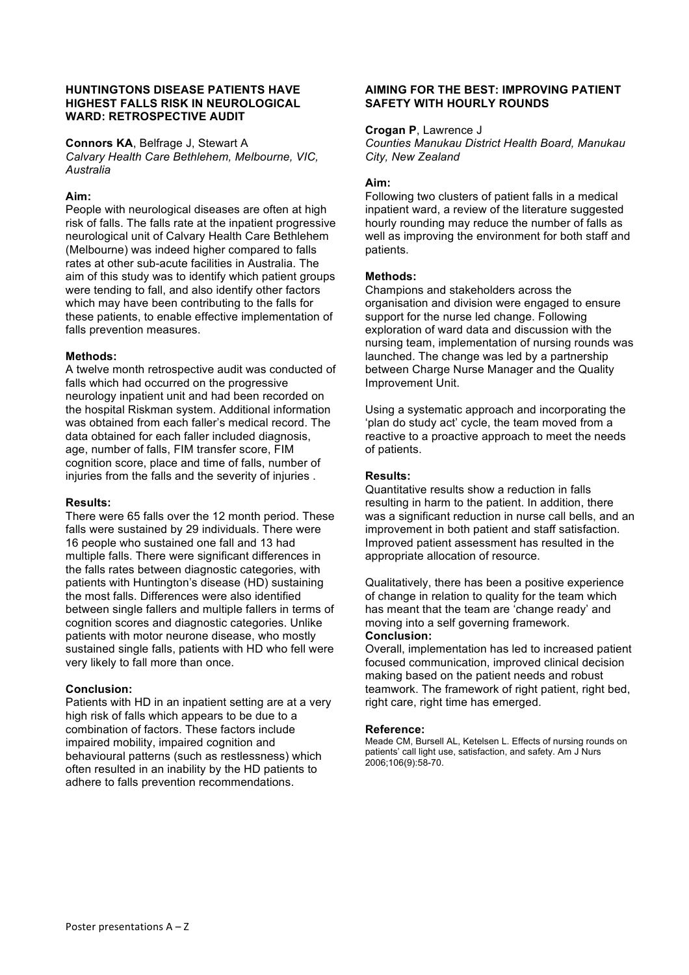### **HUNTINGTONS DISEASE PATIENTS HAVE HIGHEST FALLS RISK IN NEUROLOGICAL WARD: RETROSPECTIVE AUDIT**

**Connors KA**, Belfrage J, Stewart A

*Calvary Health Care Bethlehem, Melbourne, VIC, Australia*

### **Aim:**

People with neurological diseases are often at high risk of falls. The falls rate at the inpatient progressive neurological unit of Calvary Health Care Bethlehem (Melbourne) was indeed higher compared to falls rates at other sub-acute facilities in Australia. The aim of this study was to identify which patient groups were tending to fall, and also identify other factors which may have been contributing to the falls for these patients, to enable effective implementation of falls prevention measures.

# **Methods:**

A twelve month retrospective audit was conducted of falls which had occurred on the progressive neurology inpatient unit and had been recorded on the hospital Riskman system. Additional information was obtained from each faller's medical record. The data obtained for each faller included diagnosis, age, number of falls, FIM transfer score, FIM cognition score, place and time of falls, number of injuries from the falls and the severity of injuries .

### **Results:**

There were 65 falls over the 12 month period. These falls were sustained by 29 individuals. There were 16 people who sustained one fall and 13 had multiple falls. There were significant differences in the falls rates between diagnostic categories, with patients with Huntington's disease (HD) sustaining the most falls. Differences were also identified between single fallers and multiple fallers in terms of cognition scores and diagnostic categories. Unlike patients with motor neurone disease, who mostly sustained single falls, patients with HD who fell were very likely to fall more than once.

# **Conclusion:**

Patients with HD in an inpatient setting are at a very high risk of falls which appears to be due to a combination of factors. These factors include impaired mobility, impaired cognition and behavioural patterns (such as restlessness) which often resulted in an inability by the HD patients to adhere to falls prevention recommendations.

### **AIMING FOR THE BEST: IMPROVING PATIENT SAFETY WITH HOURLY ROUNDS**

#### **Crogan P**, Lawrence J

*Counties Manukau District Health Board, Manukau City, New Zealand*

### **Aim:**

Following two clusters of patient falls in a medical inpatient ward, a review of the literature suggested hourly rounding may reduce the number of falls as well as improving the environment for both staff and patients.

### **Methods:**

Champions and stakeholders across the organisation and division were engaged to ensure support for the nurse led change. Following exploration of ward data and discussion with the nursing team, implementation of nursing rounds was launched. The change was led by a partnership between Charge Nurse Manager and the Quality Improvement Unit.

Using a systematic approach and incorporating the 'plan do study act' cycle, the team moved from a reactive to a proactive approach to meet the needs of patients.

### **Results:**

Quantitative results show a reduction in falls resulting in harm to the patient. In addition, there was a significant reduction in nurse call bells, and an improvement in both patient and staff satisfaction. Improved patient assessment has resulted in the appropriate allocation of resource.

Qualitatively, there has been a positive experience of change in relation to quality for the team which has meant that the team are 'change ready' and moving into a self governing framework. **Conclusion:**

Overall, implementation has led to increased patient focused communication, improved clinical decision making based on the patient needs and robust teamwork. The framework of right patient, right bed, right care, right time has emerged.

### **Reference:**

Meade CM, Bursell AL, Ketelsen L. Effects of nursing rounds on patients' call light use, satisfaction, and safety. Am J Nurs 2006;106(9):58-70.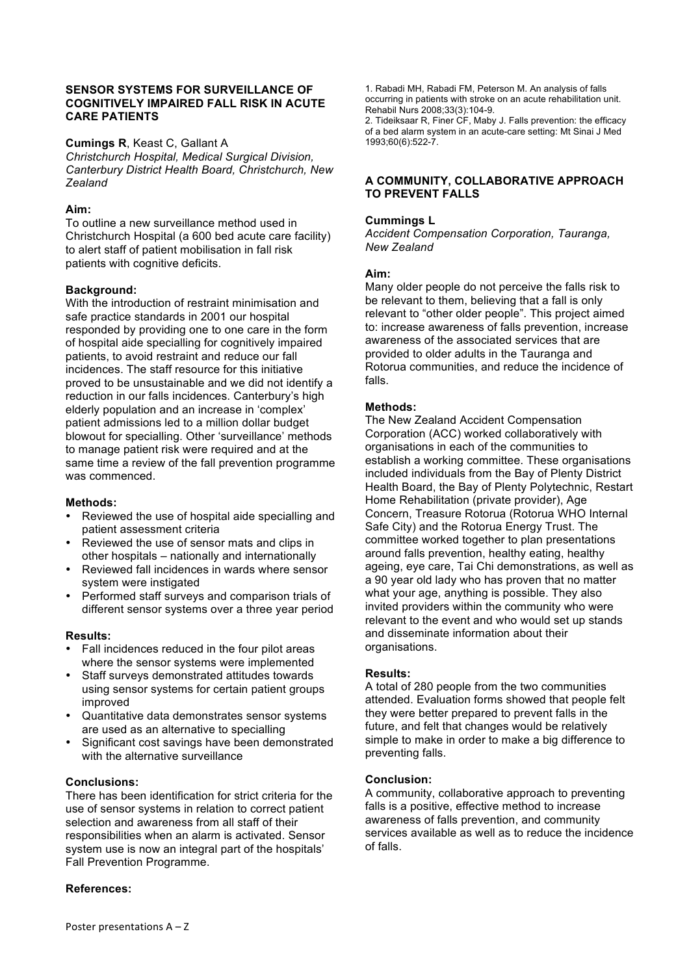### **SENSOR SYSTEMS FOR SURVEILLANCE OF COGNITIVELY IMPAIRED FALL RISK IN ACUTE CARE PATIENTS**

**Cumings R**, Keast C, Gallant A

*Christchurch Hospital, Medical Surgical Division, Canterbury District Health Board, Christchurch, New Zealand*

### **Aim:**

To outline a new surveillance method used in Christchurch Hospital (a 600 bed acute care facility) to alert staff of patient mobilisation in fall risk patients with cognitive deficits.

### **Background:**

With the introduction of restraint minimisation and safe practice standards in 2001 our hospital responded by providing one to one care in the form of hospital aide specialling for cognitively impaired patients, to avoid restraint and reduce our fall incidences. The staff resource for this initiative proved to be unsustainable and we did not identify a reduction in our falls incidences. Canterbury's high elderly population and an increase in 'complex' patient admissions led to a million dollar budget blowout for specialling. Other 'surveillance' methods to manage patient risk were required and at the same time a review of the fall prevention programme was commenced.

#### **Methods:**

- Reviewed the use of hospital aide specialling and patient assessment criteria
- Reviewed the use of sensor mats and clips in other hospitals – nationally and internationally
- Reviewed fall incidences in wards where sensor system were instigated
- Performed staff surveys and comparison trials of different sensor systems over a three year period

#### **Results:**

- Fall incidences reduced in the four pilot areas where the sensor systems were implemented
- Staff surveys demonstrated attitudes towards using sensor systems for certain patient groups improved
- Quantitative data demonstrates sensor systems are used as an alternative to specialling
- Significant cost savings have been demonstrated with the alternative surveillance

#### **Conclusions:**

There has been identification for strict criteria for the use of sensor systems in relation to correct patient selection and awareness from all staff of their responsibilities when an alarm is activated. Sensor system use is now an integral part of the hospitals' Fall Prevention Programme.

#### **References:**

1. Rabadi MH, Rabadi FM, Peterson M. An analysis of falls occurring in patients with stroke on an acute rehabilitation unit. Rehabil Nurs 2008;33(3):104-9.

2. Tideiksaar R, Finer CF, Maby J. Falls prevention: the efficacy of a bed alarm system in an acute-care setting: Mt Sinai J Med 1993;60(6):522-7.

#### **A COMMUNITY, COLLABORATIVE APPROACH TO PREVENT FALLS**

#### **Cummings L**

*Accident Compensation Corporation, Tauranga, New Zealand*

#### **Aim:**

Many older people do not perceive the falls risk to be relevant to them, believing that a fall is only relevant to "other older people". This project aimed to: increase awareness of falls prevention, increase awareness of the associated services that are provided to older adults in the Tauranga and Rotorua communities, and reduce the incidence of falls.

### **Methods:**

The New Zealand Accident Compensation Corporation (ACC) worked collaboratively with organisations in each of the communities to establish a working committee. These organisations included individuals from the Bay of Plenty District Health Board, the Bay of Plenty Polytechnic, Restart Home Rehabilitation (private provider), Age Concern, Treasure Rotorua (Rotorua WHO Internal Safe City) and the Rotorua Energy Trust. The committee worked together to plan presentations around falls prevention, healthy eating, healthy ageing, eye care, Tai Chi demonstrations, as well as a 90 year old lady who has proven that no matter what your age, anything is possible. They also invited providers within the community who were relevant to the event and who would set up stands and disseminate information about their organisations.

#### **Results:**

A total of 280 people from the two communities attended. Evaluation forms showed that people felt they were better prepared to prevent falls in the future, and felt that changes would be relatively simple to make in order to make a big difference to preventing falls.

#### **Conclusion:**

A community, collaborative approach to preventing falls is a positive, effective method to increase awareness of falls prevention, and community services available as well as to reduce the incidence of falls.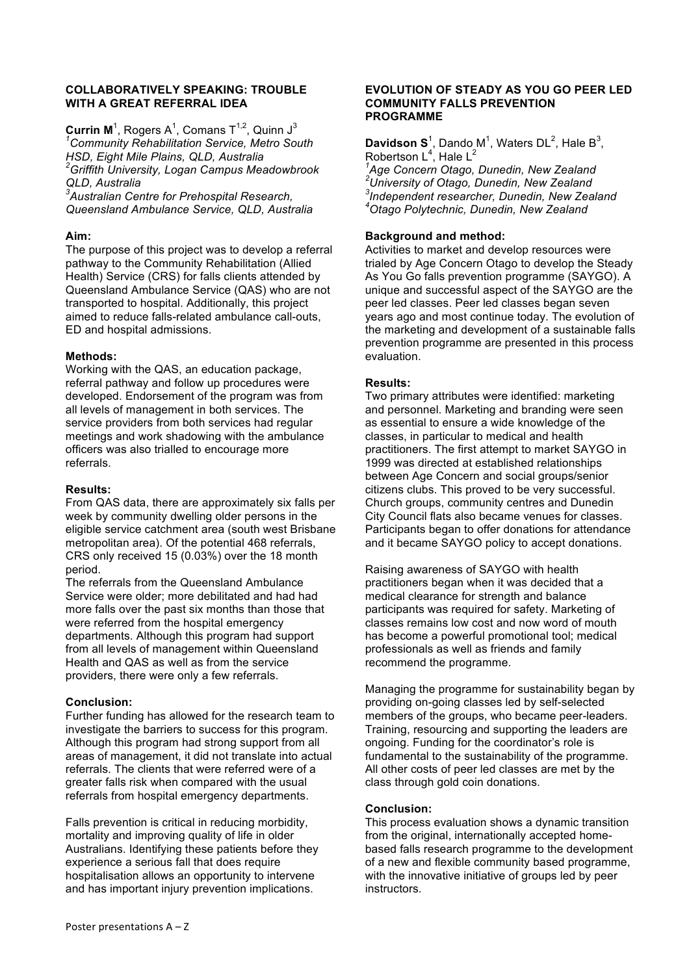### **COLLABORATIVELY SPEAKING: TROUBLE WITH A GREAT REFERRAL IDEA**

**Currin M**<sup>1</sup>, Rogers A<sup>1</sup>, Comans T<sup>1,2</sup>, Quinn J<sup>3</sup> *1 Community Rehabilitation Service, Metro South HSD, Eight Mile Plains, QLD, Australia 2 Griffith University, Logan Campus Meadowbrook QLD, Australia*

*3 Australian Centre for Prehospital Research, Queensland Ambulance Service, QLD, Australia*

# **Aim:**

The purpose of this project was to develop a referral pathway to the Community Rehabilitation (Allied Health) Service (CRS) for falls clients attended by Queensland Ambulance Service (QAS) who are not transported to hospital. Additionally, this project aimed to reduce falls-related ambulance call-outs, ED and hospital admissions.

# **Methods:**

Working with the QAS, an education package, referral pathway and follow up procedures were developed. Endorsement of the program was from all levels of management in both services. The service providers from both services had regular meetings and work shadowing with the ambulance officers was also trialled to encourage more referrals.

# **Results:**

From QAS data, there are approximately six falls per week by community dwelling older persons in the eligible service catchment area (south west Brisbane metropolitan area). Of the potential 468 referrals, CRS only received 15 (0.03%) over the 18 month period.

The referrals from the Queensland Ambulance Service were older; more debilitated and had had more falls over the past six months than those that were referred from the hospital emergency departments. Although this program had support from all levels of management within Queensland Health and QAS as well as from the service providers, there were only a few referrals.

# **Conclusion:**

Further funding has allowed for the research team to investigate the barriers to success for this program. Although this program had strong support from all areas of management, it did not translate into actual referrals. The clients that were referred were of a greater falls risk when compared with the usual referrals from hospital emergency departments.

Falls prevention is critical in reducing morbidity, mortality and improving quality of life in older Australians. Identifying these patients before they experience a serious fall that does require hospitalisation allows an opportunity to intervene and has important injury prevention implications.

### **EVOLUTION OF STEADY AS YOU GO PEER LED COMMUNITY FALLS PREVENTION PROGRAMME**

**Davidson S**<sup>1</sup>, Dando M<sup>1</sup>, Waters DL<sup>2</sup>, Hale B<sup>3</sup>, Robertson L<sup>4</sup>, Hale L<sup>2</sup><br><sup>1</sup> Age Censern Otege *Age Concern Otago, Dunedin, New Zealand*

*2 University of Otago, Dunedin, New Zealand 3 Independent researcher, Dunedin, New Zealand 4 Otago Polytechnic, Dunedin, New Zealand*

# **Background and method:**

Activities to market and develop resources were trialed by Age Concern Otago to develop the Steady As You Go falls prevention programme (SAYGO). A unique and successful aspect of the SAYGO are the peer led classes. Peer led classes began seven years ago and most continue today. The evolution of the marketing and development of a sustainable falls prevention programme are presented in this process evaluation.

# **Results:**

Two primary attributes were identified: marketing and personnel. Marketing and branding were seen as essential to ensure a wide knowledge of the classes, in particular to medical and health practitioners. The first attempt to market SAYGO in 1999 was directed at established relationships between Age Concern and social groups/senior citizens clubs. This proved to be very successful. Church groups, community centres and Dunedin City Council flats also became venues for classes. Participants began to offer donations for attendance and it became SAYGO policy to accept donations.

Raising awareness of SAYGO with health practitioners began when it was decided that a medical clearance for strength and balance participants was required for safety. Marketing of classes remains low cost and now word of mouth has become a powerful promotional tool; medical professionals as well as friends and family recommend the programme.

Managing the programme for sustainability began by providing on-going classes led by self-selected members of the groups, who became peer-leaders. Training, resourcing and supporting the leaders are ongoing. Funding for the coordinator's role is fundamental to the sustainability of the programme. All other costs of peer led classes are met by the class through gold coin donations.

# **Conclusion:**

This process evaluation shows a dynamic transition from the original, internationally accepted homebased falls research programme to the development of a new and flexible community based programme, with the innovative initiative of groups led by peer instructors.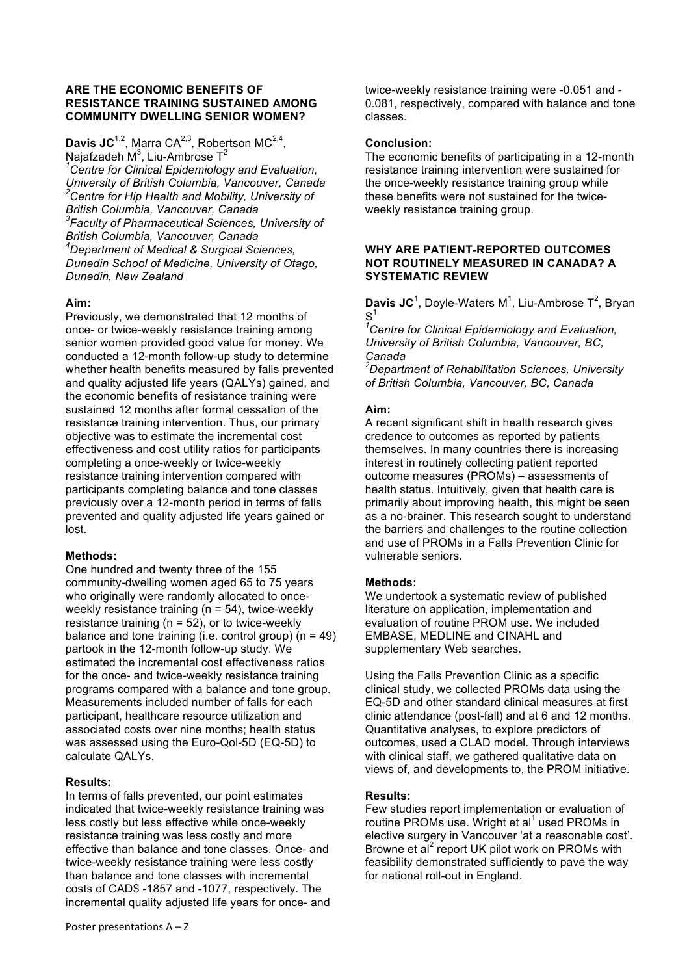### **ARE THE ECONOMIC BENEFITS OF RESISTANCE TRAINING SUSTAINED AMONG COMMUNITY DWELLING SENIOR WOMEN?**

# Davis JC<sup>1,2</sup>, Marra CA<sup>2,3</sup>, Robertson MC<sup>2,4</sup>, Najafzadeh M $3$ , Liu-Ambrose T $^2$

*1 Centre for Clinical Epidemiology and Evaluation, University of British Columbia, Vancouver, Canada 2 Centre for Hip Health and Mobility, University of British Columbia, Vancouver, Canada 3 Faculty of Pharmaceutical Sciences, University of British Columbia, Vancouver, Canada 4 Department of Medical & Surgical Sciences, Dunedin School of Medicine, University of Otago, Dunedin, New Zealand*

# **Aim:**

Previously, we demonstrated that 12 months of once- or twice-weekly resistance training among senior women provided good value for money. We conducted a 12-month follow-up study to determine whether health benefits measured by falls prevented and quality adjusted life years (QALYs) gained, and the economic benefits of resistance training were sustained 12 months after formal cessation of the resistance training intervention. Thus, our primary objective was to estimate the incremental cost effectiveness and cost utility ratios for participants completing a once-weekly or twice-weekly resistance training intervention compared with participants completing balance and tone classes previously over a 12-month period in terms of falls prevented and quality adjusted life years gained or lost.

### **Methods:**

One hundred and twenty three of the 155 community-dwelling women aged 65 to 75 years who originally were randomly allocated to onceweekly resistance training (n = 54), twice-weekly resistance training ( $n = 52$ ), or to twice-weekly balance and tone training (i.e. control group) (n = 49) partook in the 12-month follow-up study. We estimated the incremental cost effectiveness ratios for the once- and twice-weekly resistance training programs compared with a balance and tone group. Measurements included number of falls for each participant, healthcare resource utilization and associated costs over nine months; health status was assessed using the Euro-Qol-5D (EQ-5D) to calculate QALYs.

### **Results:**

In terms of falls prevented, our point estimates indicated that twice-weekly resistance training was less costly but less effective while once-weekly resistance training was less costly and more effective than balance and tone classes. Once- and twice-weekly resistance training were less costly than balance and tone classes with incremental costs of CAD\$ -1857 and -1077, respectively. The incremental quality adjusted life years for once- and twice-weekly resistance training were -0.051 and - 0.081, respectively, compared with balance and tone classes.

### **Conclusion:**

The economic benefits of participating in a 12-month resistance training intervention were sustained for the once-weekly resistance training group while these benefits were not sustained for the twiceweekly resistance training group.

### **WHY ARE PATIENT-REPORTED OUTCOMES NOT ROUTINELY MEASURED IN CANADA? A SYSTEMATIC REVIEW**

**Davis JC**<sup>1</sup>, Doyle-Waters M<sup>1</sup>, Liu-Ambrose T<sup>2</sup>, Bryan  $\mathsf{S}^{'}$ 

*1 Centre for Clinical Epidemiology and Evaluation, University of British Columbia, Vancouver, BC, Canada*

*2 Department of Rehabilitation Sciences, University of British Columbia, Vancouver, BC, Canada*

### **Aim:**

A recent significant shift in health research gives credence to outcomes as reported by patients themselves. In many countries there is increasing interest in routinely collecting patient reported outcome measures (PROMs) – assessments of health status. Intuitively, given that health care is primarily about improving health, this might be seen as a no-brainer. This research sought to understand the barriers and challenges to the routine collection and use of PROMs in a Falls Prevention Clinic for vulnerable seniors.

### **Methods:**

We undertook a systematic review of published literature on application, implementation and evaluation of routine PROM use. We included EMBASE, MEDLINE and CINAHL and supplementary Web searches.

Using the Falls Prevention Clinic as a specific clinical study, we collected PROMs data using the EQ-5D and other standard clinical measures at first clinic attendance (post-fall) and at 6 and 12 months. Quantitative analyses, to explore predictors of outcomes, used a CLAD model. Through interviews with clinical staff, we gathered qualitative data on views of, and developments to, the PROM initiative.

# **Results:**

Few studies report implementation or evaluation of routine PROMs use. Wright et al<sup>1</sup> used PROMs in elective surgery in Vancouver 'at a reasonable cost'. Browne et al<sup>2</sup> report UK pilot work on PROMs with feasibility demonstrated sufficiently to pave the way for national roll-out in England.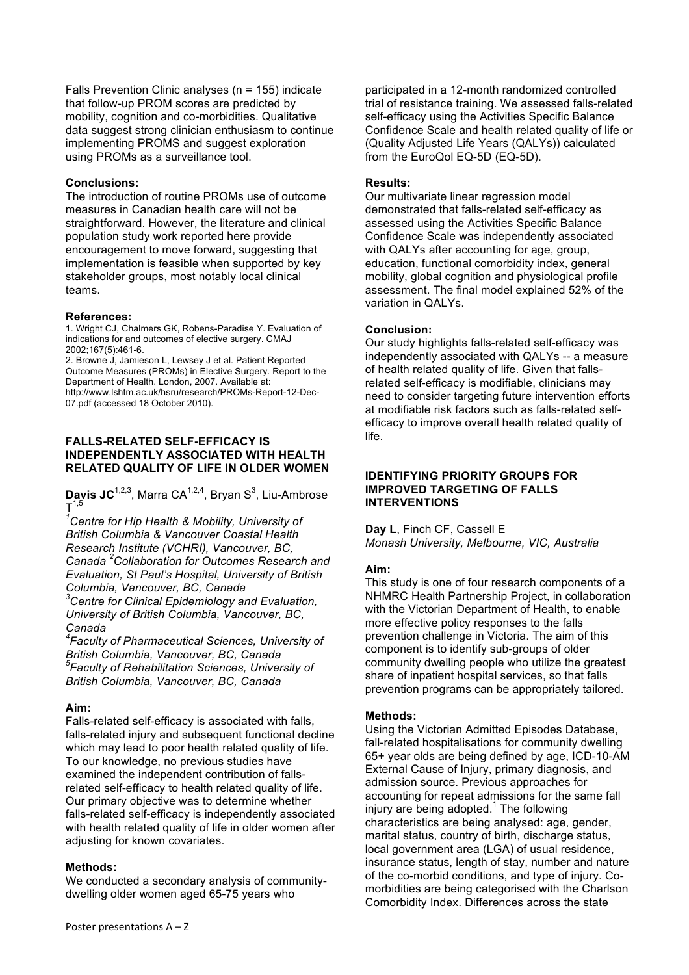Falls Prevention Clinic analyses (n = 155) indicate that follow-up PROM scores are predicted by mobility, cognition and co-morbidities. Qualitative data suggest strong clinician enthusiasm to continue implementing PROMS and suggest exploration using PROMs as a surveillance tool.

### **Conclusions:**

The introduction of routine PROMs use of outcome measures in Canadian health care will not be straightforward. However, the literature and clinical population study work reported here provide encouragement to move forward, suggesting that implementation is feasible when supported by key stakeholder groups, most notably local clinical teams.

### **References:**

1. Wright CJ, Chalmers GK, Robens-Paradise Y. Evaluation of indications for and outcomes of elective surgery. CMAJ 2002;167(5):461-6.

2. Browne J, Jamieson L, Lewsey J et al. Patient Reported Outcome Measures (PROMs) in Elective Surgery. Report to the Department of Health. London, 2007. Available at: http://www.lshtm.ac.uk/hsru/research/PROMs-Report-12-Dec-07.pdf (accessed 18 October 2010).

### **FALLS-RELATED SELF-EFFICACY IS INDEPENDENTLY ASSOCIATED WITH HEALTH RELATED QUALITY OF LIFE IN OLDER WOMEN**

Davis JC<sup>1,2,3</sup>, Marra CA<sup>1,2,4</sup>, Bryan S<sup>3</sup>, Liu-Ambrose  $T^{1,5}$ 

*1 Centre for Hip Health & Mobility, University of British Columbia & Vancouver Coastal Health Research Institute (VCHRI), Vancouver, BC, Canada <sup>2</sup> Collaboration for Outcomes Research and Evaluation, St Paul's Hospital, University of British Columbia, Vancouver, BC, Canada*

*3 Centre for Clinical Epidemiology and Evaluation, University of British Columbia, Vancouver, BC, Canada*

*4 Faculty of Pharmaceutical Sciences, University of British Columbia, Vancouver, BC, Canada 5 Faculty of Rehabilitation Sciences, University of British Columbia, Vancouver, BC, Canada*

# **Aim:**

Falls-related self-efficacy is associated with falls, falls-related injury and subsequent functional decline which may lead to poor health related quality of life. To our knowledge, no previous studies have examined the independent contribution of fallsrelated self-efficacy to health related quality of life. Our primary objective was to determine whether falls-related self-efficacy is independently associated with health related quality of life in older women after adjusting for known covariates.

### **Methods:**

We conducted a secondary analysis of communitydwelling older women aged 65-75 years who

participated in a 12-month randomized controlled trial of resistance training. We assessed falls-related self-efficacy using the Activities Specific Balance Confidence Scale and health related quality of life or (Quality Adjusted Life Years (QALYs)) calculated from the EuroQol EQ-5D (EQ-5D).

### **Results:**

Our multivariate linear regression model demonstrated that falls-related self-efficacy as assessed using the Activities Specific Balance Confidence Scale was independently associated with QALYs after accounting for age, group, education, functional comorbidity index, general mobility, global cognition and physiological profile assessment. The final model explained 52% of the variation in QALYs.

# **Conclusion:**

Our study highlights falls-related self-efficacy was independently associated with QALYs -- a measure of health related quality of life. Given that fallsrelated self-efficacy is modifiable, clinicians may need to consider targeting future intervention efforts at modifiable risk factors such as falls-related selfefficacy to improve overall health related quality of life.

### **IDENTIFYING PRIORITY GROUPS FOR IMPROVED TARGETING OF FALLS INTERVENTIONS**

### **Day L**, Finch CF, Cassell E

*Monash University, Melbourne, VIC, Australia*

# **Aim:**

This study is one of four research components of a NHMRC Health Partnership Project, in collaboration with the Victorian Department of Health, to enable more effective policy responses to the falls prevention challenge in Victoria. The aim of this component is to identify sub-groups of older community dwelling people who utilize the greatest share of inpatient hospital services, so that falls prevention programs can be appropriately tailored.

### **Methods:**

Using the Victorian Admitted Episodes Database, fall-related hospitalisations for community dwelling 65+ year olds are being defined by age, ICD-10-AM External Cause of Injury, primary diagnosis, and admission source. Previous approaches for accounting for repeat admissions for the same fall injury are being adopted. $1$  The following characteristics are being analysed: age, gender, marital status, country of birth, discharge status, local government area (LGA) of usual residence, insurance status, length of stay, number and nature of the co-morbid conditions, and type of injury. Comorbidities are being categorised with the Charlson Comorbidity Index. Differences across the state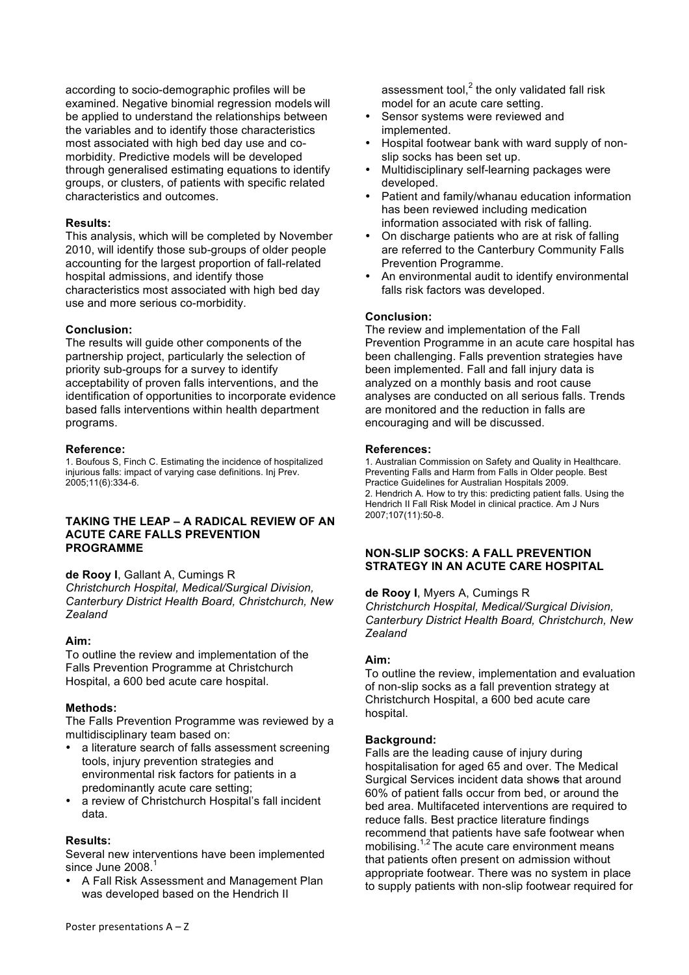according to socio-demographic profiles will be examined. Negative binomial regression models will be applied to understand the relationships between the variables and to identify those characteristics most associated with high bed day use and comorbidity. Predictive models will be developed through generalised estimating equations to identify groups, or clusters, of patients with specific related characteristics and outcomes.

#### **Results:**

This analysis, which will be completed by November 2010, will identify those sub-groups of older people accounting for the largest proportion of fall-related hospital admissions, and identify those characteristics most associated with high bed day use and more serious co-morbidity.

#### **Conclusion:**

The results will guide other components of the partnership project, particularly the selection of priority sub-groups for a survey to identify acceptability of proven falls interventions, and the identification of opportunities to incorporate evidence based falls interventions within health department programs.

#### **Reference:**

1. Boufous S, Finch C. Estimating the incidence of hospitalized injurious falls: impact of varying case definitions. Inj Prev. 2005;11(6):334-6.

#### **TAKING THE LEAP – A RADICAL REVIEW OF AN ACUTE CARE FALLS PREVENTION PROGRAMME**

**de Rooy I**, Gallant A, Cumings R

*Christchurch Hospital, Medical/Surgical Division, Canterbury District Health Board, Christchurch, New Zealand*

### **Aim:**

To outline the review and implementation of the Falls Prevention Programme at Christchurch Hospital, a 600 bed acute care hospital.

#### **Methods:**

The Falls Prevention Programme was reviewed by a multidisciplinary team based on:

- a literature search of falls assessment screening tools, injury prevention strategies and environmental risk factors for patients in a predominantly acute care setting;
- a review of Christchurch Hospital's fall incident data.

### **Results:**

Several new interventions have been implemented since June 2008.

• A Fall Risk Assessment and Management Plan was developed based on the Hendrich II

assessment tool, $^2$  the only validated fall risk model for an acute care setting.

- Sensor systems were reviewed and implemented.
- Hospital footwear bank with ward supply of nonslip socks has been set up.
- Multidisciplinary self-learning packages were developed.
- Patient and family/whanau education information has been reviewed including medication information associated with risk of falling.
- On discharge patients who are at risk of falling are referred to the Canterbury Community Falls Prevention Programme.
- An environmental audit to identify environmental falls risk factors was developed.

#### **Conclusion:**

The review and implementation of the Fall Prevention Programme in an acute care hospital has been challenging. Falls prevention strategies have been implemented. Fall and fall injury data is analyzed on a monthly basis and root cause analyses are conducted on all serious falls. Trends are monitored and the reduction in falls are encouraging and will be discussed.

#### **References:**

1. Australian Commission on Safety and Quality in Healthcare. Preventing Falls and Harm from Falls in Older people. Best Practice Guidelines for Australian Hospitals 2009. 2. Hendrich A. How to try this: predicting patient falls. Using the Hendrich II Fall Risk Model in clinical practice. Am J Nurs 2007;107(11):50-8.

### **NON-SLIP SOCKS: A FALL PREVENTION STRATEGY IN AN ACUTE CARE HOSPITAL**

#### **de Rooy I**, Myers A, Cumings R

*Christchurch Hospital, Medical/Surgical Division, Canterbury District Health Board, Christchurch, New Zealand*

#### **Aim:**

To outline the review, implementation and evaluation of non-slip socks as a fall prevention strategy at Christchurch Hospital, a 600 bed acute care hospital.

#### **Background:**

Falls are the leading cause of injury during hospitalisation for aged 65 and over. The Medical Surgical Services incident data shows that around 60% of patient falls occur from bed, or around the bed area. Multifaceted interventions are required to reduce falls. Best practice literature findings recommend that patients have safe footwear when mobilising.<sup>1,2</sup> The acute care environment means that patients often present on admission without appropriate footwear. There was no system in place to supply patients with non-slip footwear required for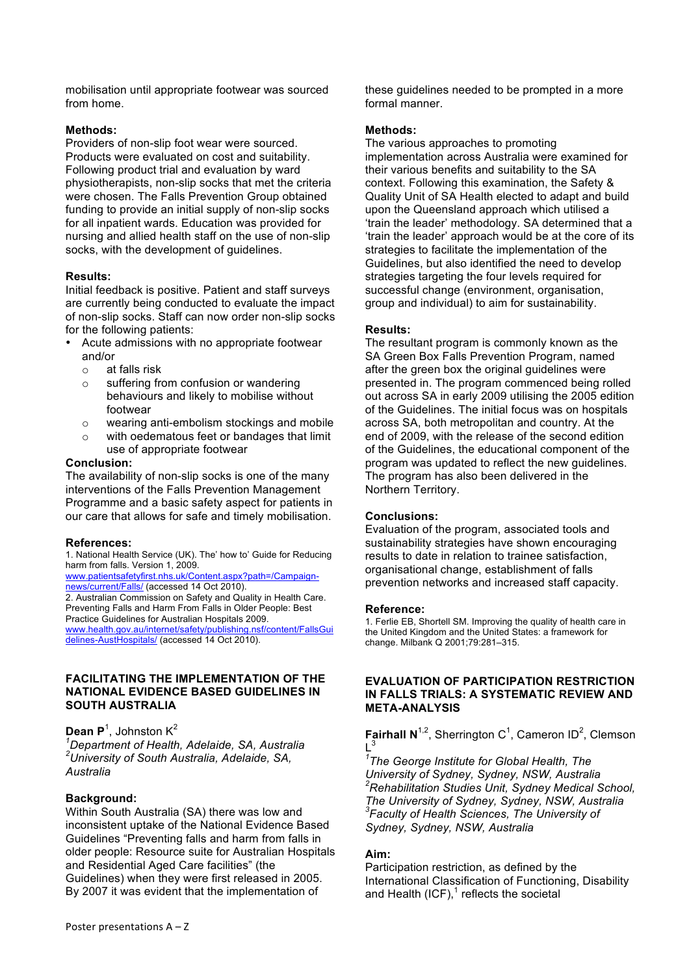mobilisation until appropriate footwear was sourced from home.

# **Methods:**

Providers of non-slip foot wear were sourced. Products were evaluated on cost and suitability. Following product trial and evaluation by ward physiotherapists, non-slip socks that met the criteria were chosen. The Falls Prevention Group obtained funding to provide an initial supply of non-slip socks for all inpatient wards. Education was provided for nursing and allied health staff on the use of non-slip socks, with the development of quidelines.

### **Results:**

Initial feedback is positive. Patient and staff surveys are currently being conducted to evaluate the impact of non-slip socks. Staff can now order non-slip socks for the following patients:

- Acute admissions with no appropriate footwear and/or
	- o at falls risk
	- o suffering from confusion or wandering behaviours and likely to mobilise without footwear
	- o wearing anti-embolism stockings and mobile
	- o with oedematous feet or bandages that limit use of appropriate footwear

### **Conclusion:**

The availability of non-slip socks is one of the many interventions of the Falls Prevention Management Programme and a basic safety aspect for patients in our care that allows for safe and timely mobilisation.

### **References:**

1. National Health Service (UK). The' how to' Guide for Reducing harm from falls. Version 1, 2009.

www.patientsafetyfirst.nhs.uk/Content.aspx?path=/Campaignnews/current/Falls/ (accessed 14 Oct 2010).

2. Australian Commission on Safety and Quality in Health Care. Preventing Falls and Harm From Falls in Older People: Best Practice Guidelines for Australian Hospitals 2009. www.health.gov.au/internet/safety/publishing.nsf/content/FallsGui

delines-AustHospitals/ (accessed 14 Oct 2010).

### **FACILITATING THE IMPLEMENTATION OF THE NATIONAL EVIDENCE BASED GUIDELINES IN SOUTH AUSTRALIA**

# **Dean P**<sup>1</sup>, Johnston K<sup>2</sup>

*1 Department of Health, Adelaide, SA, Australia 2 University of South Australia, Adelaide, SA, Australia*

### **Background:**

Within South Australia (SA) there was low and inconsistent uptake of the National Evidence Based Guidelines "Preventing falls and harm from falls in older people: Resource suite for Australian Hospitals and Residential Aged Care facilities" (the Guidelines) when they were first released in 2005. By 2007 it was evident that the implementation of

these guidelines needed to be prompted in a more formal manner.

### **Methods:**

The various approaches to promoting implementation across Australia were examined for their various benefits and suitability to the SA context. Following this examination, the Safety & Quality Unit of SA Health elected to adapt and build upon the Queensland approach which utilised a 'train the leader' methodology. SA determined that a 'train the leader' approach would be at the core of its strategies to facilitate the implementation of the Guidelines, but also identified the need to develop strategies targeting the four levels required for successful change (environment, organisation, group and individual) to aim for sustainability.

### **Results:**

The resultant program is commonly known as the SA Green Box Falls Prevention Program, named after the green box the original guidelines were presented in. The program commenced being rolled out across SA in early 2009 utilising the 2005 edition of the Guidelines. The initial focus was on hospitals across SA, both metropolitan and country. At the end of 2009, with the release of the second edition of the Guidelines, the educational component of the program was updated to reflect the new guidelines. The program has also been delivered in the Northern Territory.

### **Conclusions:**

Evaluation of the program, associated tools and sustainability strategies have shown encouraging results to date in relation to trainee satisfaction, organisational change, establishment of falls prevention networks and increased staff capacity.

#### **Reference:**

1. Ferlie EB, Shortell SM. Improving the quality of health care in the United Kingdom and the United States: a framework for change. Milbank Q 2001;79:281–315.

### **EVALUATION OF PARTICIPATION RESTRICTION IN FALLS TRIALS: A SYSTEMATIC REVIEW AND META-ANALYSIS**

**Fairhall N**<sup>1,2</sup>, Sherrington C<sup>1</sup>, Cameron ID<sup>2</sup>, Clemson  $L^3$ 

*1 The George Institute for Global Health, The University of Sydney, Sydney, NSW, Australia 2 Rehabilitation Studies Unit, Sydney Medical School, The University of Sydney, Sydney, NSW, Australia 3 Faculty of Health Sciences, The University of Sydney, Sydney, NSW, Australia*

# **Aim:**

Participation restriction, as defined by the International Classification of Functioning, Disability and Health (ICF), $^1$  reflects the societal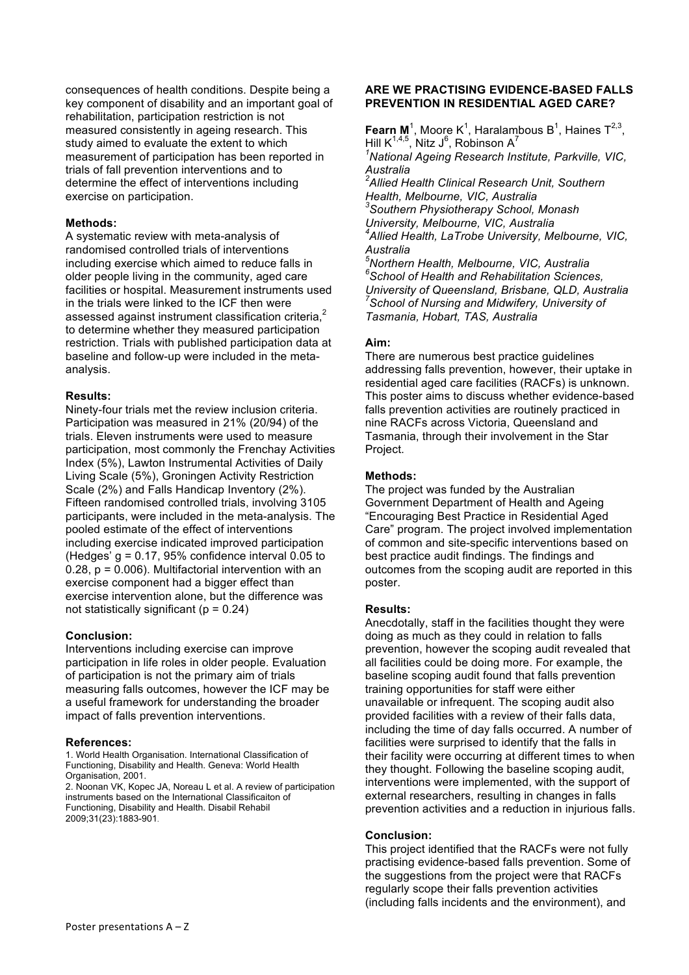consequences of health conditions. Despite being a key component of disability and an important goal of rehabilitation, participation restriction is not measured consistently in ageing research. This study aimed to evaluate the extent to which measurement of participation has been reported in trials of fall prevention interventions and to determine the effect of interventions including exercise on participation.

### **Methods:**

A systematic review with meta-analysis of randomised controlled trials of interventions including exercise which aimed to reduce falls in older people living in the community, aged care facilities or hospital. Measurement instruments used in the trials were linked to the ICF then were assessed against instrument classification criteria,<sup>2</sup> to determine whether they measured participation restriction. Trials with published participation data at baseline and follow-up were included in the metaanalysis.

### **Results:**

Ninety-four trials met the review inclusion criteria. Participation was measured in 21% (20/94) of the trials. Eleven instruments were used to measure participation, most commonly the Frenchay Activities Index (5%), Lawton Instrumental Activities of Daily Living Scale (5%), Groningen Activity Restriction Scale (2%) and Falls Handicap Inventory (2%). Fifteen randomised controlled trials, involving 3105 participants, were included in the meta-analysis. The pooled estimate of the effect of interventions including exercise indicated improved participation (Hedges'  $q = 0.17$ , 95% confidence interval 0.05 to 0.28, p = 0.006). Multifactorial intervention with an exercise component had a bigger effect than exercise intervention alone, but the difference was not statistically significant ( $p = 0.24$ )

#### **Conclusion:**

Interventions including exercise can improve participation in life roles in older people. Evaluation of participation is not the primary aim of trials measuring falls outcomes, however the ICF may be a useful framework for understanding the broader impact of falls prevention interventions.

#### **References:**

1. World Health Organisation. International Classification of Functioning, Disability and Health. Geneva: World Health Organisation, 2001.

2. Noonan VK, Kopec JA, Noreau L et al. A review of participation instruments based on the International Classificaiton of Functioning, Disability and Health. Disabil Rehabil 2009;31(23):1883-901.

### **ARE WE PRACTISING EVIDENCE-BASED FALLS PREVENTION IN RESIDENTIAL AGED CARE?**

**Fearn M**<sup>1</sup>, Moore K<sup>1</sup>, Haralambous B<sup>1</sup>, Haines T<sup>2,3</sup>, Hill K $^{1,4,5}$ , Nitz J $^6$ , Robinson A $^7$ *1 National Ageing Research Institute, Parkville, VIC, Australia 2 Allied Health Clinical Research Unit, Southern Health, Melbourne, VIC, Australia 3 Southern Physiotherapy School, Monash University, Melbourne, VIC, Australia 4 Allied Health, LaTrobe University, Melbourne, VIC, Australia 5 Northern Health, Melbourne, VIC, Australia 6 School of Health and Rehabilitation Sciences, University of Queensland, Brisbane, QLD, Australia 7 School of Nursing and Midwifery, University of Tasmania, Hobart, TAS, Australia* 

### **Aim:**

There are numerous best practice guidelines addressing falls prevention, however, their uptake in residential aged care facilities (RACFs) is unknown. This poster aims to discuss whether evidence-based falls prevention activities are routinely practiced in nine RACFs across Victoria, Queensland and Tasmania, through their involvement in the Star Project.

### **Methods:**

The project was funded by the Australian Government Department of Health and Ageing "Encouraging Best Practice in Residential Aged Care" program. The project involved implementation of common and site-specific interventions based on best practice audit findings. The findings and outcomes from the scoping audit are reported in this poster.

### **Results:**

Anecdotally, staff in the facilities thought they were doing as much as they could in relation to falls prevention, however the scoping audit revealed that all facilities could be doing more. For example, the baseline scoping audit found that falls prevention training opportunities for staff were either unavailable or infrequent. The scoping audit also provided facilities with a review of their falls data, including the time of day falls occurred. A number of facilities were surprised to identify that the falls in their facility were occurring at different times to when they thought. Following the baseline scoping audit, interventions were implemented, with the support of external researchers, resulting in changes in falls prevention activities and a reduction in injurious falls.

### **Conclusion:**

This project identified that the RACFs were not fully practising evidence-based falls prevention. Some of the suggestions from the project were that RACFs regularly scope their falls prevention activities (including falls incidents and the environment), and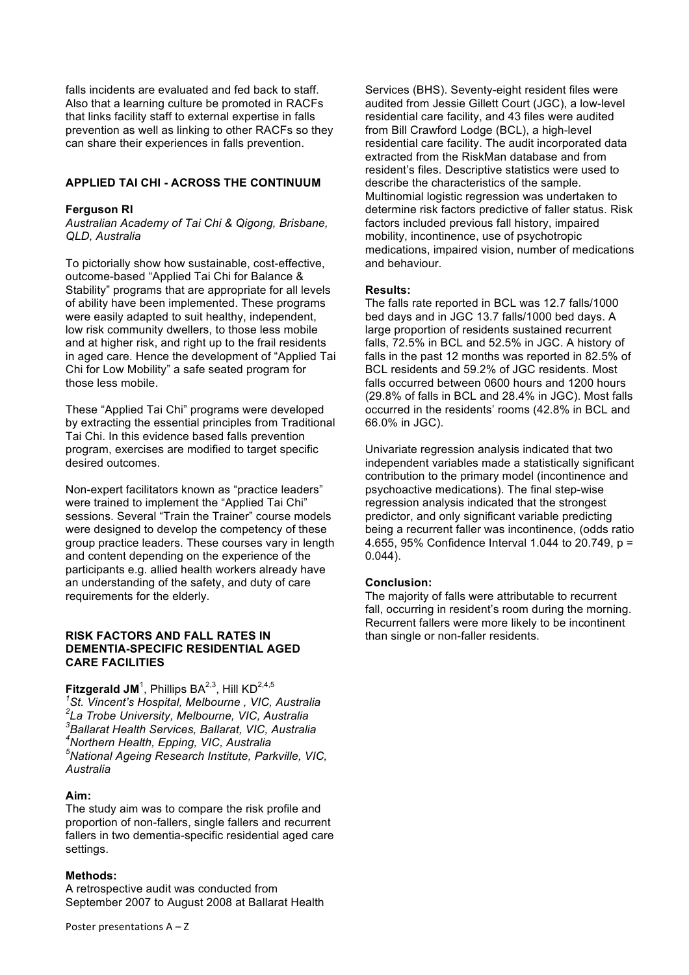falls incidents are evaluated and fed back to staff. Also that a learning culture be promoted in RACFs that links facility staff to external expertise in falls prevention as well as linking to other RACFs so they can share their experiences in falls prevention.

### **APPLIED TAI CHI - ACROSS THE CONTINUUM**

#### **Ferguson RI**

*Australian Academy of Tai Chi & Qigong, Brisbane, QLD, Australia*

To pictorially show how sustainable, cost-effective, outcome-based "Applied Tai Chi for Balance & Stability" programs that are appropriate for all levels of ability have been implemented. These programs were easily adapted to suit healthy, independent, low risk community dwellers, to those less mobile and at higher risk, and right up to the frail residents in aged care. Hence the development of "Applied Tai Chi for Low Mobility" a safe seated program for those less mobile.

These "Applied Tai Chi" programs were developed by extracting the essential principles from Traditional Tai Chi. In this evidence based falls prevention program, exercises are modified to target specific desired outcomes.

Non-expert facilitators known as "practice leaders" were trained to implement the "Applied Tai Chi" sessions. Several "Train the Trainer" course models were designed to develop the competency of these group practice leaders. These courses vary in length and content depending on the experience of the participants e.g. allied health workers already have an understanding of the safety, and duty of care requirements for the elderly.

### **RISK FACTORS AND FALL RATES IN DEMENTIA-SPECIFIC RESIDENTIAL AGED CARE FACILITIES**

# ${\sf Fitzgerald}\ {\sf JM}^1$ , Phillips BA $^{2,3}$ , Hill KD $^{2,4,5}$

 *St. Vincent's Hospital, Melbourne , VIC, Australia La Trobe University, Melbourne, VIC, Australia Ballarat Health Services, Ballarat, VIC, Australia Northern Health, Epping, VIC, Australia National Ageing Research Institute, Parkville, VIC, Australia*

#### **Aim:**

The study aim was to compare the risk profile and proportion of non-fallers, single fallers and recurrent fallers in two dementia-specific residential aged care settings.

### **Methods:**

A retrospective audit was conducted from September 2007 to August 2008 at Ballarat Health

Services (BHS). Seventy-eight resident files were audited from Jessie Gillett Court (JGC), a low-level residential care facility, and 43 files were audited from Bill Crawford Lodge (BCL), a high-level residential care facility. The audit incorporated data extracted from the RiskMan database and from resident's files. Descriptive statistics were used to describe the characteristics of the sample. Multinomial logistic regression was undertaken to determine risk factors predictive of faller status. Risk factors included previous fall history, impaired mobility, incontinence, use of psychotropic medications, impaired vision, number of medications and behaviour.

#### **Results:**

The falls rate reported in BCL was 12.7 falls/1000 bed days and in JGC 13.7 falls/1000 bed days. A large proportion of residents sustained recurrent falls, 72.5% in BCL and 52.5% in JGC. A history of falls in the past 12 months was reported in 82.5% of BCL residents and 59.2% of JGC residents. Most falls occurred between 0600 hours and 1200 hours (29.8% of falls in BCL and 28.4% in JGC). Most falls occurred in the residents' rooms (42.8% in BCL and 66.0% in JGC).

Univariate regression analysis indicated that two independent variables made a statistically significant contribution to the primary model (incontinence and psychoactive medications). The final step-wise regression analysis indicated that the strongest predictor, and only significant variable predicting being a recurrent faller was incontinence, (odds ratio 4.655, 95% Confidence Interval 1.044 to 20.749, p = 0.044).

#### **Conclusion:**

The majority of falls were attributable to recurrent fall, occurring in resident's room during the morning. Recurrent fallers were more likely to be incontinent than single or non-faller residents.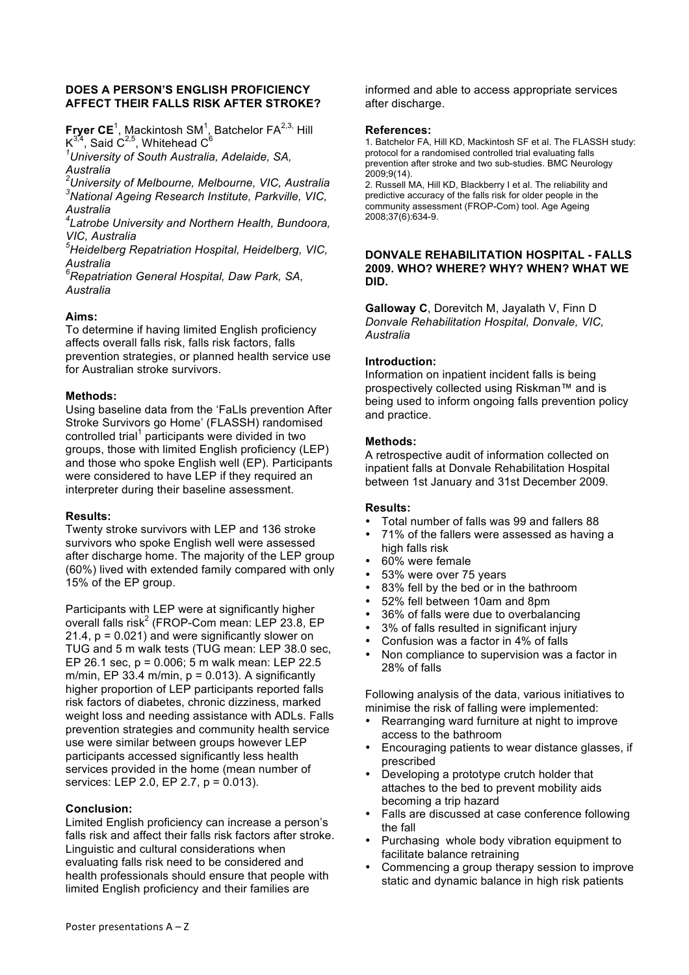### **DOES A PERSON'S ENGLISH PROFICIENCY AFFECT THEIR FALLS RISK AFTER STROKE?**

**Fryer CE**<sup>1</sup>, Mackintosh SM<sup>1</sup>, Batchelor FA<sup>2,3,</sup> Hill  $\mathsf{K}^{3,4},$  Said C<sup>2,5</sup>, Whitehead C<sup>6</sup>

*1 University of South Australia, Adelaide, SA, Australia*

*2 University of Melbourne, Melbourne, VIC, Australia 3 National Ageing Research Institute, Parkville, VIC, Australia*

*4 Latrobe University and Northern Health, Bundoora, VIC, Australia*

*5 Heidelberg Repatriation Hospital, Heidelberg, VIC, Australia*

*6 Repatriation General Hospital, Daw Park, SA, Australia*

# **Aims:**

To determine if having limited English proficiency affects overall falls risk, falls risk factors, falls prevention strategies, or planned health service use for Australian stroke survivors.

# **Methods:**

Using baseline data from the 'FaLls prevention After Stroke Survivors go Home' (FLASSH) randomised controlled trial<sup>1</sup> participants were divided in two groups, those with limited English proficiency (LEP) and those who spoke English well (EP). Participants were considered to have LEP if they required an interpreter during their baseline assessment.

### **Results:**

Twenty stroke survivors with LEP and 136 stroke survivors who spoke English well were assessed after discharge home. The majority of the LEP group (60%) lived with extended family compared with only 15% of the EP group.

Participants with LEP were at significantly higher overall falls risk<sup>2</sup> (FROP-Com mean: LEP 23.8, EP 21.4, p = 0.021) and were significantly slower on TUG and 5 m walk tests (TUG mean: LEP 38.0 sec, EP 26.1 sec, p = 0.006; 5 m walk mean: LEP 22.5 m/min, EP 33.4 m/min,  $p = 0.013$ ). A significantly higher proportion of LEP participants reported falls risk factors of diabetes, chronic dizziness, marked weight loss and needing assistance with ADLs. Falls prevention strategies and community health service use were similar between groups however LEP participants accessed significantly less health services provided in the home (mean number of services: LEP 2.0, EP 2.7, p = 0.013).

# **Conclusion:**

Limited English proficiency can increase a person's falls risk and affect their falls risk factors after stroke. Linguistic and cultural considerations when evaluating falls risk need to be considered and health professionals should ensure that people with limited English proficiency and their families are

informed and able to access appropriate services after discharge.

#### **References:**

1. Batchelor FA, Hill KD, Mackintosh SF et al. The FLASSH study: protocol for a randomised controlled trial evaluating falls prevention after stroke and two sub-studies. BMC Neurology 2009;9(14).

2. Russell MA, Hill KD, Blackberry I et al. The reliability and predictive accuracy of the falls risk for older people in the community assessment (FROP-Com) tool. Age Ageing 2008;37(6):634-9.

### **DONVALE REHABILITATION HOSPITAL - FALLS 2009. WHO? WHERE? WHY? WHEN? WHAT WE DID.**

**Galloway C**, Dorevitch M, Jayalath V, Finn D *Donvale Rehabilitation Hospital, Donvale, VIC, Australia* 

### **Introduction:**

Information on inpatient incident falls is being prospectively collected using Riskman™ and is being used to inform ongoing falls prevention policy and practice.

### **Methods:**

A retrospective audit of information collected on inpatient falls at Donvale Rehabilitation Hospital between 1st January and 31st December 2009.

### **Results:**

- Total number of falls was 99 and fallers 88
- 71% of the fallers were assessed as having a high falls risk
- 60% were female
- 53% were over 75 years
- 83% fell by the bed or in the bathroom
- 52% fell between 10am and 8pm
- 36% of falls were due to overbalancing
- 3% of falls resulted in significant injury
- Confusion was a factor in 4% of falls
- Non compliance to supervision was a factor in 28% of falls

Following analysis of the data, various initiatives to minimise the risk of falling were implemented:

- Rearranging ward furniture at night to improve access to the bathroom
- Encouraging patients to wear distance glasses, if prescribed
- Developing a prototype crutch holder that attaches to the bed to prevent mobility aids becoming a trip hazard
- Falls are discussed at case conference following the fall
- Purchasing whole body vibration equipment to facilitate balance retraining
- Commencing a group therapy session to improve static and dynamic balance in high risk patients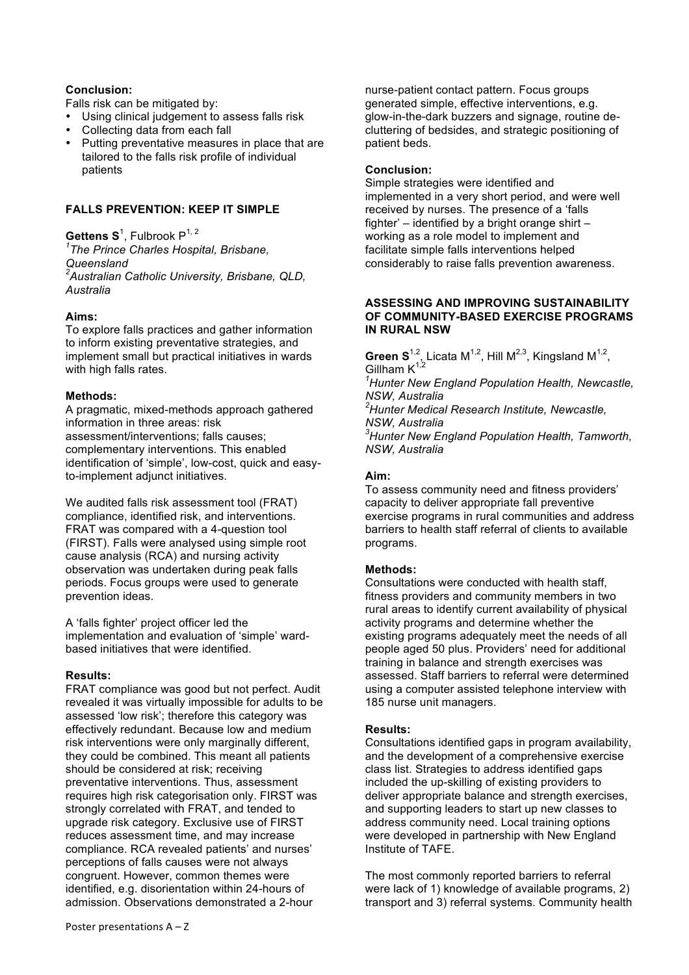# **Conclusion:**

Falls risk can be mitigated by:

- Using clinical judgement to assess falls risk
- Collecting data from each fall
- Putting preventative measures in place that are tailored to the falls risk profile of individual patients

# **FALLS PREVENTION: KEEP IT SIMPLE**

 $\mathsf{Gettens\:S}^1$ , Fulbrook  $\mathsf{P}^{1,\,2}$ *1 The Prince Charles Hospital, Brisbane, Queensland 2 Australian Catholic University, Brisbane, QLD, Australia*

# **Aims:**

To explore falls practices and gather information to inform existing preventative strategies, and implement small but practical initiatives in wards with high falls rates.

# **Methods:**

A pragmatic, mixed-methods approach gathered information in three areas: risk assessment/interventions; falls causes; complementary interventions. This enabled identification of 'simple', low-cost, quick and easyto-implement adjunct initiatives.

We audited falls risk assessment tool (FRAT) compliance, identified risk, and interventions. FRAT was compared with a 4-question tool (FIRST). Falls were analysed using simple root cause analysis (RCA) and nursing activity observation was undertaken during peak falls periods. Focus groups were used to generate prevention ideas.

A 'falls fighter' project officer led the implementation and evaluation of 'simple' wardbased initiatives that were identified.

# **Results:**

FRAT compliance was good but not perfect. Audit revealed it was virtually impossible for adults to be assessed 'low risk'; therefore this category was effectively redundant. Because low and medium risk interventions were only marginally different, they could be combined. This meant all patients should be considered at risk; receiving preventative interventions. Thus, assessment requires high risk categorisation only. FIRST was strongly correlated with FRAT, and tended to upgrade risk category. Exclusive use of FIRST reduces assessment time, and may increase compliance. RCA revealed patients' and nurses' perceptions of falls causes were not always congruent. However, common themes were identified, e.g. disorientation within 24-hours of admission. Observations demonstrated a 2-hour

nurse-patient contact pattern. Focus groups generated simple, effective interventions, e.g. glow-in-the-dark buzzers and signage, routine decluttering of bedsides, and strategic positioning of patient beds.

### **Conclusion:**

Simple strategies were identified and implemented in a very short period, and were well received by nurses. The presence of a 'falls fighter'  $-$  identified by a bright orange shirt  $$ working as a role model to implement and facilitate simple falls interventions helped considerably to raise falls prevention awareness.

#### **ASSESSING AND IMPROVING SUSTAINABILITY OF COMMUNITY-BASED EXERCISE PROGRAMS IN RURAL NSW**

**Green S**<sup>1,2</sup>, Licata M<sup>1,2</sup>, Hill M<sup>2,3</sup>, Kingsland M<sup>1,2</sup>, Gillham  $K^{1,2}$ 

*1 Hunter New England Population Health, Newcastle, NSW, Australia* 

*2 Hunter Medical Research Institute, Newcastle, NSW, Australia* 

*3 Hunter New England Population Health, Tamworth, NSW, Australia* 

# **Aim:**

To assess community need and fitness providers' capacity to deliver appropriate fall preventive exercise programs in rural communities and address barriers to health staff referral of clients to available programs.

# **Methods:**

Consultations were conducted with health staff, fitness providers and community members in two rural areas to identify current availability of physical activity programs and determine whether the existing programs adequately meet the needs of all people aged 50 plus. Providers' need for additional training in balance and strength exercises was assessed. Staff barriers to referral were determined using a computer assisted telephone interview with 185 nurse unit managers.

# **Results:**

Consultations identified gaps in program availability, and the development of a comprehensive exercise class list. Strategies to address identified gaps included the up-skilling of existing providers to deliver appropriate balance and strength exercises, and supporting leaders to start up new classes to address community need. Local training options were developed in partnership with New England Institute of TAFE.

The most commonly reported barriers to referral were lack of 1) knowledge of available programs, 2) transport and 3) referral systems. Community health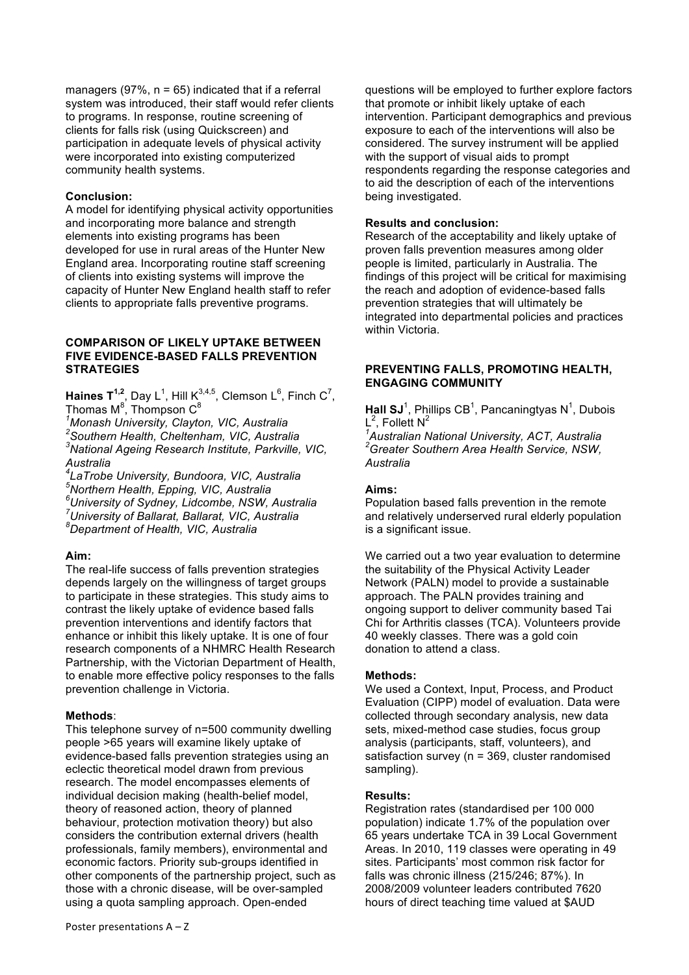managers (97%,  $n = 65$ ) indicated that if a referral system was introduced, their staff would refer clients to programs. In response, routine screening of clients for falls risk (using Quickscreen) and participation in adequate levels of physical activity were incorporated into existing computerized community health systems.

#### **Conclusion:**

A model for identifying physical activity opportunities and incorporating more balance and strength elements into existing programs has been developed for use in rural areas of the Hunter New England area. Incorporating routine staff screening of clients into existing systems will improve the capacity of Hunter New England health staff to refer clients to appropriate falls preventive programs.

### **COMPARISON OF LIKELY UPTAKE BETWEEN FIVE EVIDENCE-BASED FALLS PREVENTION STRATEGIES**

**Haines**  $T^{1,2}$ , Day L<sup>1</sup>, Hill K<sup>3,4,5</sup>, Clemson L<sup>6</sup>, Finch C<sup>7</sup>, Thomas M $^8$ , Thompson C $^8$ 

*1 Monash University, Clayton, VIC, Australia 2 Southern Health, Cheltenham, VIC, Australia* 

*3 National Ageing Research Institute, Parkville, VIC, Australia*

*4 LaTrobe University, Bundoora, VIC, Australia 5 Northern Health, Epping, VIC, Australia*

*6 University of Sydney, Lidcombe, NSW, Australia*

*7 University of Ballarat, Ballarat, VIC, Australia*

*8 Department of Health, VIC, Australia*

### **Aim:**

The real-life success of falls prevention strategies depends largely on the willingness of target groups to participate in these strategies. This study aims to contrast the likely uptake of evidence based falls prevention interventions and identify factors that enhance or inhibit this likely uptake. It is one of four research components of a NHMRC Health Research Partnership, with the Victorian Department of Health, to enable more effective policy responses to the falls prevention challenge in Victoria.

### **Methods**:

This telephone survey of n=500 community dwelling people >65 years will examine likely uptake of evidence-based falls prevention strategies using an eclectic theoretical model drawn from previous research. The model encompasses elements of individual decision making (health-belief model, theory of reasoned action, theory of planned behaviour, protection motivation theory) but also considers the contribution external drivers (health professionals, family members), environmental and economic factors. Priority sub-groups identified in other components of the partnership project, such as those with a chronic disease, will be over-sampled using a quota sampling approach. Open-ended

questions will be employed to further explore factors that promote or inhibit likely uptake of each intervention. Participant demographics and previous exposure to each of the interventions will also be considered. The survey instrument will be applied with the support of visual aids to prompt respondents regarding the response categories and to aid the description of each of the interventions being investigated.

#### **Results and conclusion:**

Research of the acceptability and likely uptake of proven falls prevention measures among older people is limited, particularly in Australia. The findings of this project will be critical for maximising the reach and adoption of evidence-based falls prevention strategies that will ultimately be integrated into departmental policies and practices within Victoria.

# **PREVENTING FALLS, PROMOTING HEALTH, ENGAGING COMMUNITY**

Hall SJ<sup>1</sup>, Phillips CB<sup>1</sup>, Pancaningtyas N<sup>1</sup>, Dubois  $L^2$ , Follett N<sup>2</sup>

*1 Australian National University, ACT, Australia 2 Greater Southern Area Health Service, NSW, Australia*

### **Aims:**

Population based falls prevention in the remote and relatively underserved rural elderly population is a significant issue.

We carried out a two vear evaluation to determine the suitability of the Physical Activity Leader Network (PALN) model to provide a sustainable approach. The PALN provides training and ongoing support to deliver community based Tai Chi for Arthritis classes (TCA). Volunteers provide 40 weekly classes. There was a gold coin donation to attend a class.

### **Methods:**

We used a Context, Input, Process, and Product Evaluation (CIPP) model of evaluation. Data were collected through secondary analysis, new data sets, mixed-method case studies, focus group analysis (participants, staff, volunteers), and satisfaction survey (n = 369, cluster randomised sampling).

### **Results:**

Registration rates (standardised per 100 000 population) indicate 1.7% of the population over 65 years undertake TCA in 39 Local Government Areas. In 2010, 119 classes were operating in 49 sites. Participants' most common risk factor for falls was chronic illness (215/246; 87%). In 2008/2009 volunteer leaders contributed 7620 hours of direct teaching time valued at \$AUD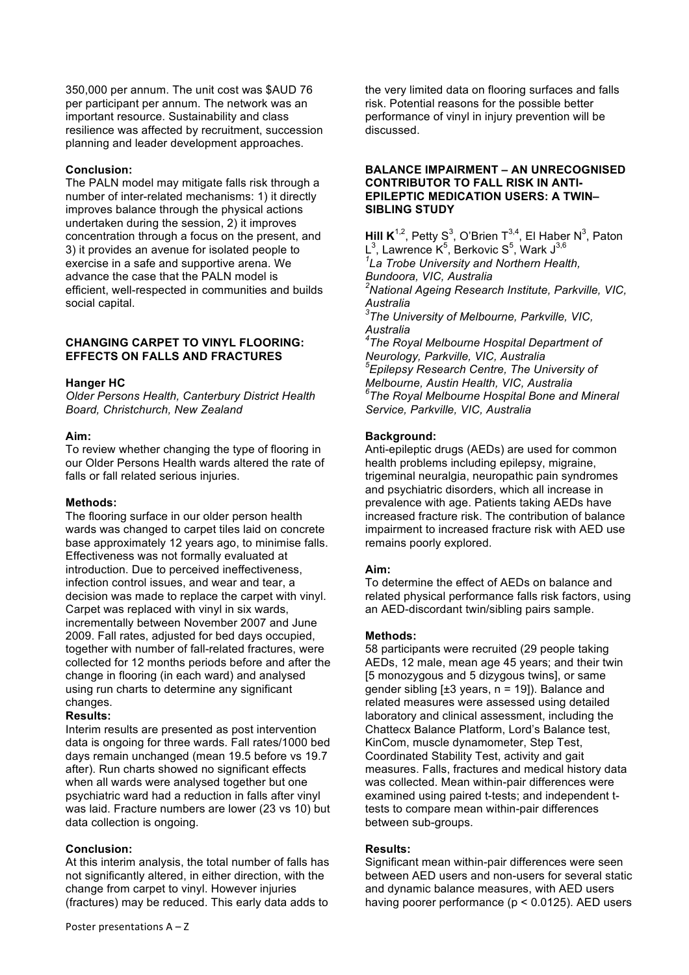350,000 per annum. The unit cost was \$AUD 76 per participant per annum. The network was an important resource. Sustainability and class resilience was affected by recruitment, succession planning and leader development approaches.

# **Conclusion:**

The PALN model may mitigate falls risk through a number of inter-related mechanisms: 1) it directly improves balance through the physical actions undertaken during the session, 2) it improves concentration through a focus on the present, and 3) it provides an avenue for isolated people to exercise in a safe and supportive arena. We advance the case that the PALN model is efficient, well-respected in communities and builds social capital.

# **CHANGING CARPET TO VINYL FLOORING: EFFECTS ON FALLS AND FRACTURES**

# **Hanger HC**

*Older Persons Health, Canterbury District Health Board, Christchurch, New Zealand*

### **Aim:**

To review whether changing the type of flooring in our Older Persons Health wards altered the rate of falls or fall related serious injuries.

### **Methods:**

The flooring surface in our older person health wards was changed to carpet tiles laid on concrete base approximately 12 years ago, to minimise falls. Effectiveness was not formally evaluated at introduction. Due to perceived ineffectiveness, infection control issues, and wear and tear, a decision was made to replace the carpet with vinyl. Carpet was replaced with vinyl in six wards, incrementally between November 2007 and June 2009. Fall rates, adjusted for bed days occupied, together with number of fall-related fractures, were collected for 12 months periods before and after the change in flooring (in each ward) and analysed using run charts to determine any significant changes.

# **Results:**

Interim results are presented as post intervention data is ongoing for three wards. Fall rates/1000 bed days remain unchanged (mean 19.5 before vs 19.7 after). Run charts showed no significant effects when all wards were analysed together but one psychiatric ward had a reduction in falls after vinyl was laid. Fracture numbers are lower (23 vs 10) but data collection is ongoing.

# **Conclusion:**

At this interim analysis, the total number of falls has not significantly altered, in either direction, with the change from carpet to vinyl. However injuries (fractures) may be reduced. This early data adds to

the very limited data on flooring surfaces and falls risk. Potential reasons for the possible better performance of vinyl in injury prevention will be discussed.

### **BALANCE IMPAIRMENT – AN UNRECOGNISED CONTRIBUTOR TO FALL RISK IN ANTI-EPILEPTIC MEDICATION USERS: A TWIN– SIBLING STUDY**

**Hill K**<sup>1,2</sup>, Petty S<sup>3</sup>, O'Brien T<sup>3,4</sup>, El Haber N<sup>3</sup>, Paton L $^3$ , Lawrence K $^5$ , Berkovic S $^5$ , Wark J $^{3,6}$ *1 La Trobe University and Northern Health, Bundoora, VIC, Australia 2 National Ageing Research Institute, Parkville, VIC, Australia 3 The University of Melbourne, Parkville, VIC, Australia 4 The Royal Melbourne Hospital Department of Neurology, Parkville, VIC, Australia 5 Epilepsy Research Centre, The University of Melbourne, Austin Health, VIC, Australia 6 The Royal Melbourne Hospital Bone and Mineral Service, Parkville, VIC, Australia*

### **Background:**

Anti-epileptic drugs (AEDs) are used for common health problems including epilepsy, migraine, trigeminal neuralgia, neuropathic pain syndromes and psychiatric disorders, which all increase in prevalence with age. Patients taking AEDs have increased fracture risk. The contribution of balance impairment to increased fracture risk with AED use remains poorly explored.

# **Aim:**

To determine the effect of AEDs on balance and related physical performance falls risk factors, using an AED-discordant twin/sibling pairs sample.

### **Methods:**

58 participants were recruited (29 people taking AEDs, 12 male, mean age 45 years; and their twin [5 monozygous and 5 dizygous twins], or same gender sibling  $[±3$  years,  $n = 19$ ]). Balance and related measures were assessed using detailed laboratory and clinical assessment, including the Chattecx Balance Platform, Lord's Balance test, KinCom, muscle dynamometer, Step Test, Coordinated Stability Test, activity and gait measures. Falls, fractures and medical history data was collected. Mean within-pair differences were examined using paired t-tests; and independent ttests to compare mean within-pair differences between sub-groups.

### **Results:**

Significant mean within-pair differences were seen between AED users and non-users for several static and dynamic balance measures, with AED users having poorer performance (p < 0.0125). AED users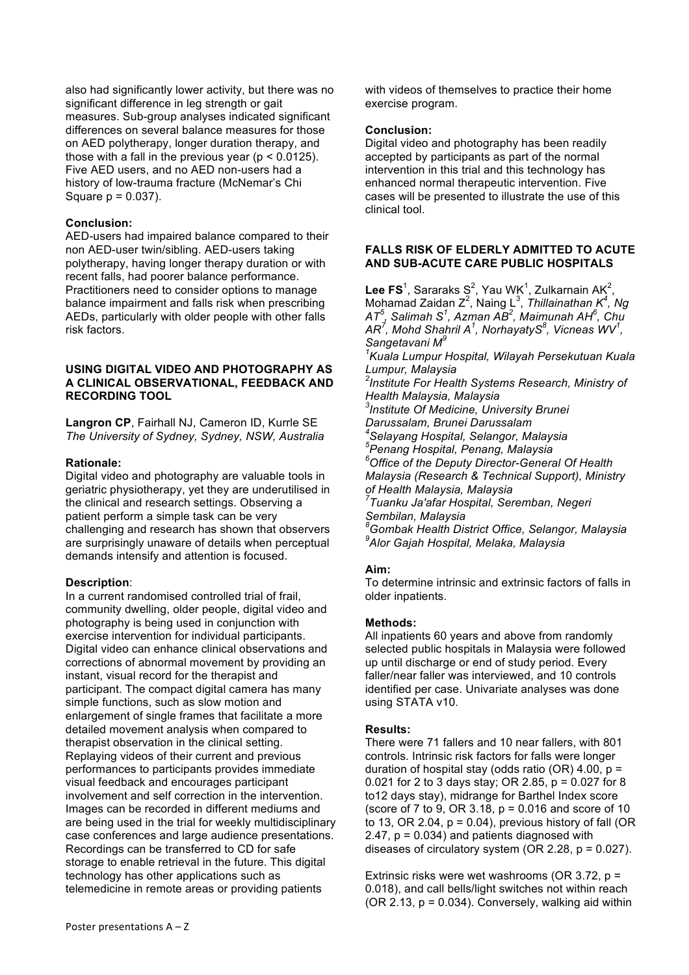also had significantly lower activity, but there was no significant difference in leg strength or gait measures. Sub-group analyses indicated significant differences on several balance measures for those on AED polytherapy, longer duration therapy, and those with a fall in the previous year ( $p < 0.0125$ ). Five AED users, and no AED non-users had a history of low-trauma fracture (McNemar's Chi Square p = 0.037).

### **Conclusion:**

AED-users had impaired balance compared to their non AED-user twin/sibling. AED-users taking polytherapy, having longer therapy duration or with recent falls, had poorer balance performance. Practitioners need to consider options to manage balance impairment and falls risk when prescribing AEDs, particularly with older people with other falls risk factors.

### **USING DIGITAL VIDEO AND PHOTOGRAPHY AS A CLINICAL OBSERVATIONAL, FEEDBACK AND RECORDING TOOL**

**Langron CP**, Fairhall NJ, Cameron ID, Kurrle SE *The University of Sydney, Sydney, NSW, Australia*

### **Rationale:**

Digital video and photography are valuable tools in geriatric physiotherapy, yet they are underutilised in the clinical and research settings. Observing a patient perform a simple task can be very challenging and research has shown that observers are surprisingly unaware of details when perceptual demands intensify and attention is focused.

### **Description**:

In a current randomised controlled trial of frail, community dwelling, older people, digital video and photography is being used in conjunction with exercise intervention for individual participants. Digital video can enhance clinical observations and corrections of abnormal movement by providing an instant, visual record for the therapist and participant. The compact digital camera has many simple functions, such as slow motion and enlargement of single frames that facilitate a more detailed movement analysis when compared to therapist observation in the clinical setting. Replaying videos of their current and previous performances to participants provides immediate visual feedback and encourages participant involvement and self correction in the intervention. Images can be recorded in different mediums and are being used in the trial for weekly multidisciplinary case conferences and large audience presentations. Recordings can be transferred to CD for safe storage to enable retrieval in the future. This digital technology has other applications such as telemedicine in remote areas or providing patients

with videos of themselves to practice their home exercise program.

### **Conclusion:**

Digital video and photography has been readily accepted by participants as part of the normal intervention in this trial and this technology has enhanced normal therapeutic intervention. Five cases will be presented to illustrate the use of this clinical tool.

### **FALLS RISK OF ELDERLY ADMITTED TO ACUTE AND SUB-ACUTE CARE PUBLIC HOSPITALS**

**Lee FS**<sup>1</sup>, Sararaks S<sup>2</sup>, Yau WK<sup>1</sup>, Zulkarnain AK<sup>2</sup>, Mohamad Zaidan Z<sup>2</sup>, Naing L<sup>3</sup>, *Thillainathan K<sup>4</sup>, Ng AT<sup>5</sup> , Salimah S<sup>1</sup> , Azman AB<sup>2</sup> , Maimunah AH<sup>6</sup> , Chu AR<sup>7</sup> , Mohd Shahril A<sup>1</sup> , NorhayatyS<sup>8</sup> , Vicneas WV<sup>1</sup> , Sangetavani M<sup>9</sup> 1 Kuala Lumpur Hospital, Wilayah Persekutuan Kuala Lumpur, Malaysia 2 Institute For Health Systems Research, Ministry of Health Malaysia, Malaysia 3 Institute Of Medicine, University Brunei Darussalam, Brunei Darussalam 4 Selayang Hospital, Selangor, Malaysia <sup>5</sup> Penang Hospital, Penang, Malaysia 6 Office of the Deputy Director-General Of Health Malaysia (Research & Technical Support), Ministry of Health Malaysia, Malaysia 7 Tuanku Ja'afar Hospital, Seremban, Negeri Sembilan, Malaysia 8 Gombak Health District Office, Selangor, Malaysia 9 Alor Gajah Hospital, Melaka, Malaysia* 

# **Aim:**

To determine intrinsic and extrinsic factors of falls in older inpatients.

### **Methods:**

All inpatients 60 years and above from randomly selected public hospitals in Malaysia were followed up until discharge or end of study period. Every faller/near faller was interviewed, and 10 controls identified per case. Univariate analyses was done using STATA v10.

# **Results:**

There were 71 fallers and 10 near fallers, with 801 controls. Intrinsic risk factors for falls were longer duration of hospital stay (odds ratio  $(OR)$  4.00, p = 0.021 for 2 to 3 days stay; OR 2.85, p = 0.027 for 8 to12 days stay), midrange for Barthel Index score (score of 7 to 9, OR 3.18, p = 0.016 and score of 10 to 13, OR 2.04,  $p = 0.04$ ), previous history of fall (OR  $2.47$ ,  $p = 0.034$ ) and patients diagnosed with diseases of circulatory system ( $OR$  2.28,  $p = 0.027$ ).

Extrinsic risks were wet washrooms (OR 3.72, p = 0.018), and call bells/light switches not within reach  $(OR 2.13, p = 0.034)$ . Conversely, walking aid within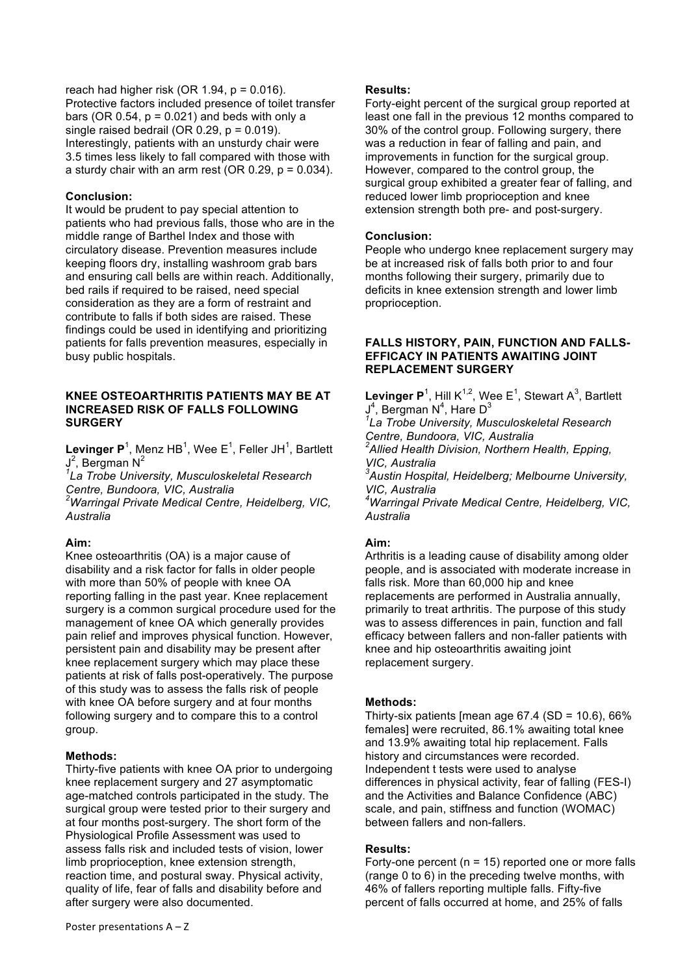reach had higher risk (OR 1.94,  $p = 0.016$ ). Protective factors included presence of toilet transfer bars (OR  $0.54$ ,  $p = 0.021$ ) and beds with only a single raised bedrail (OR  $0.29$ ,  $p = 0.019$ ). Interestingly, patients with an unsturdy chair were 3.5 times less likely to fall compared with those with a sturdy chair with an arm rest (OR  $0.29$ ,  $p = 0.034$ ).

### **Conclusion:**

It would be prudent to pay special attention to patients who had previous falls, those who are in the middle range of Barthel Index and those with circulatory disease. Prevention measures include keeping floors dry, installing washroom grab bars and ensuring call bells are within reach. Additionally, bed rails if required to be raised, need special consideration as they are a form of restraint and contribute to falls if both sides are raised. These findings could be used in identifying and prioritizing patients for falls prevention measures, especially in busy public hospitals.

### **KNEE OSTEOARTHRITIS PATIENTS MAY BE AT INCREASED RISK OF FALLS FOLLOWING SURGERY**

Levinger P<sup>1</sup>, Menz HB<sup>1</sup>, Wee E<sup>1</sup>, Feller JH<sup>1</sup>, Bartlett  $J^2$ , Bergman N<sup>2</sup>

*1 La Trobe University, Musculoskeletal Research Centre, Bundoora, VIC, Australia*

*2 Warringal Private Medical Centre, Heidelberg, VIC, Australia*

# **Aim:**

Knee osteoarthritis (OA) is a major cause of disability and a risk factor for falls in older people with more than 50% of people with knee OA reporting falling in the past year. Knee replacement surgery is a common surgical procedure used for the management of knee OA which generally provides pain relief and improves physical function. However, persistent pain and disability may be present after knee replacement surgery which may place these patients at risk of falls post-operatively. The purpose of this study was to assess the falls risk of people with knee OA before surgery and at four months following surgery and to compare this to a control group.

# **Methods:**

Thirty-five patients with knee OA prior to undergoing knee replacement surgery and 27 asymptomatic age-matched controls participated in the study. The surgical group were tested prior to their surgery and at four months post-surgery. The short form of the Physiological Profile Assessment was used to assess falls risk and included tests of vision, lower limb proprioception, knee extension strength, reaction time, and postural sway. Physical activity, quality of life, fear of falls and disability before and after surgery were also documented.

### **Results:**

Forty-eight percent of the surgical group reported at least one fall in the previous 12 months compared to 30% of the control group. Following surgery, there was a reduction in fear of falling and pain, and improvements in function for the surgical group. However, compared to the control group, the surgical group exhibited a greater fear of falling, and reduced lower limb proprioception and knee extension strength both pre- and post-surgery.

### **Conclusion:**

People who undergo knee replacement surgery may be at increased risk of falls both prior to and four months following their surgery, primarily due to deficits in knee extension strength and lower limb proprioception.

### **FALLS HISTORY, PAIN, FUNCTION AND FALLS-EFFICACY IN PATIENTS AWAITING JOINT REPLACEMENT SURGERY**

**Levinger P**<sup>1</sup>, Hill  $K^{1,2}$ , Wee E<sup>1</sup>, Stewart A<sup>3</sup>, Bartlett  $J<sup>4</sup>$ , Bergman N<sup>4</sup>, Hare D<sup>3</sup> *1 La Trobe University, Musculoskeletal Research* 

*Centre, Bundoora, VIC, Australia 2 Allied Health Division, Northern Health, Epping, VIC, Australia*

*3 Austin Hospital, Heidelberg; Melbourne University, VIC, Australia*

*4 Warringal Private Medical Centre, Heidelberg, VIC, Australia*

# **Aim:**

Arthritis is a leading cause of disability among older people, and is associated with moderate increase in falls risk. More than 60,000 hip and knee replacements are performed in Australia annually, primarily to treat arthritis. The purpose of this study was to assess differences in pain, function and fall efficacy between fallers and non-faller patients with knee and hip osteoarthritis awaiting joint replacement surgery.

# **Methods:**

Thirty-six patients [mean age  $67.4$  (SD = 10.6),  $66\%$ females] were recruited, 86.1% awaiting total knee and 13.9% awaiting total hip replacement. Falls history and circumstances were recorded. Independent t tests were used to analyse differences in physical activity, fear of falling (FES-I) and the Activities and Balance Confidence (ABC) scale, and pain, stiffness and function (WOMAC) between fallers and non-fallers.

# **Results:**

Forty-one percent ( $n = 15$ ) reported one or more falls (range 0 to 6) in the preceding twelve months, with 46% of fallers reporting multiple falls. Fifty-five percent of falls occurred at home, and 25% of falls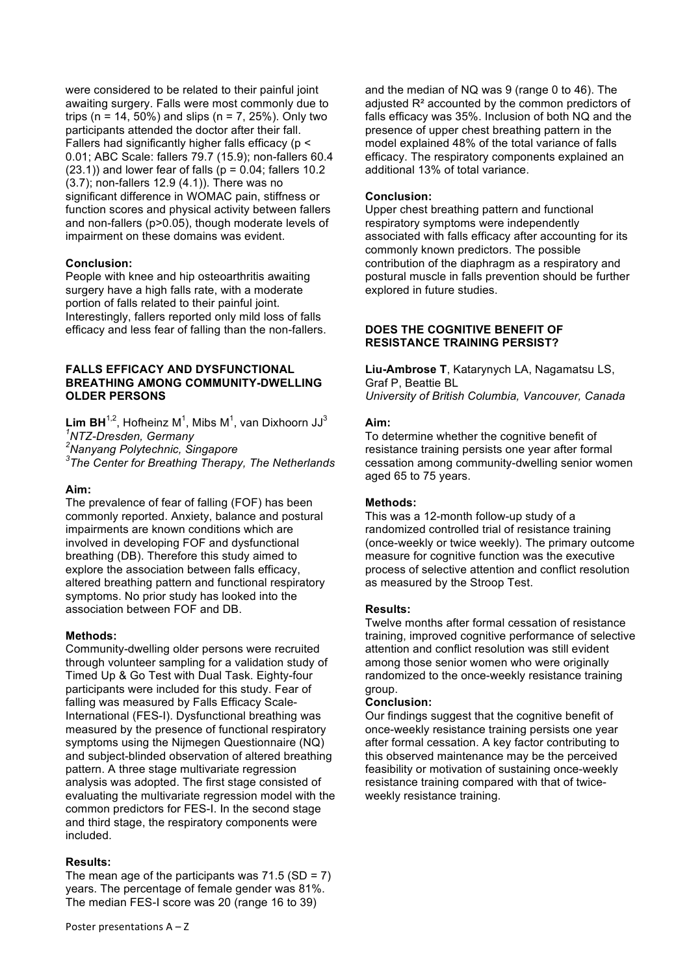were considered to be related to their painful joint awaiting surgery. Falls were most commonly due to trips (n = 14, 50%) and slips (n = 7, 25%). Only two participants attended the doctor after their fall. Fallers had significantly higher falls efficacy (p < 0.01; ABC Scale: fallers 79.7 (15.9); non-fallers 60.4  $(23.1)$ ) and lower fear of falls  $(p = 0.04;$  fallers 10.2 (3.7); non-fallers 12.9 (4.1)). There was no significant difference in WOMAC pain, stiffness or function scores and physical activity between fallers and non-fallers (p>0.05), though moderate levels of impairment on these domains was evident.

### **Conclusion:**

People with knee and hip osteoarthritis awaiting surgery have a high falls rate, with a moderate portion of falls related to their painful joint. Interestingly, fallers reported only mild loss of falls efficacy and less fear of falling than the non-fallers.

### **FALLS EFFICACY AND DYSFUNCTIONAL BREATHING AMONG COMMUNITY-DWELLING OLDER PERSONS**

**Lim BH**<sup>1,2</sup>, Hofheinz M<sup>1</sup>, Mibs M<sup>1</sup>, van Dixhoorn JJ<sup>3</sup> *1 NTZ-Dresden, Germany <sup>2</sup>*

*Nanyang Polytechnic, Singapore*

*3 The Center for Breathing Therapy, The Netherlands* 

### **Aim:**

The prevalence of fear of falling (FOF) has been commonly reported. Anxiety, balance and postural impairments are known conditions which are involved in developing FOF and dysfunctional breathing (DB). Therefore this study aimed to explore the association between falls efficacy, altered breathing pattern and functional respiratory symptoms. No prior study has looked into the association between FOF and DB.

### **Methods:**

Community-dwelling older persons were recruited through volunteer sampling for a validation study of Timed Up & Go Test with Dual Task. Eighty-four participants were included for this study. Fear of falling was measured by Falls Efficacy Scale-International (FES-I). Dysfunctional breathing was measured by the presence of functional respiratory symptoms using the Nijmegen Questionnaire (NQ) and subject-blinded observation of altered breathing pattern. A three stage multivariate regression analysis was adopted. The first stage consisted of evaluating the multivariate regression model with the common predictors for FES-I. In the second stage and third stage, the respiratory components were included.

### **Results:**

The mean age of the participants was  $71.5$  (SD = 7) years. The percentage of female gender was 81%. The median FES-I score was 20 (range 16 to 39)

and the median of NQ was 9 (range 0 to 46). The adjusted R² accounted by the common predictors of falls efficacy was 35%. Inclusion of both NQ and the presence of upper chest breathing pattern in the model explained 48% of the total variance of falls efficacy. The respiratory components explained an additional 13% of total variance.

### **Conclusion:**

Upper chest breathing pattern and functional respiratory symptoms were independently associated with falls efficacy after accounting for its commonly known predictors. The possible contribution of the diaphragm as a respiratory and postural muscle in falls prevention should be further explored in future studies.

### **DOES THE COGNITIVE BENEFIT OF RESISTANCE TRAINING PERSIST?**

**Liu-Ambrose T**, Katarynych LA, Nagamatsu LS, Graf P, Beattie BL *University of British Columbia, Vancouver, Canada*

### **Aim:**

To determine whether the cognitive benefit of resistance training persists one year after formal cessation among community-dwelling senior women aged 65 to 75 years.

### **Methods:**

This was a 12-month follow-up study of a randomized controlled trial of resistance training (once-weekly or twice weekly). The primary outcome measure for cognitive function was the executive process of selective attention and conflict resolution as measured by the Stroop Test.

### **Results:**

Twelve months after formal cessation of resistance training, improved cognitive performance of selective attention and conflict resolution was still evident among those senior women who were originally randomized to the once-weekly resistance training group.

### **Conclusion:**

Our findings suggest that the cognitive benefit of once-weekly resistance training persists one year after formal cessation. A key factor contributing to this observed maintenance may be the perceived feasibility or motivation of sustaining once-weekly resistance training compared with that of twiceweekly resistance training.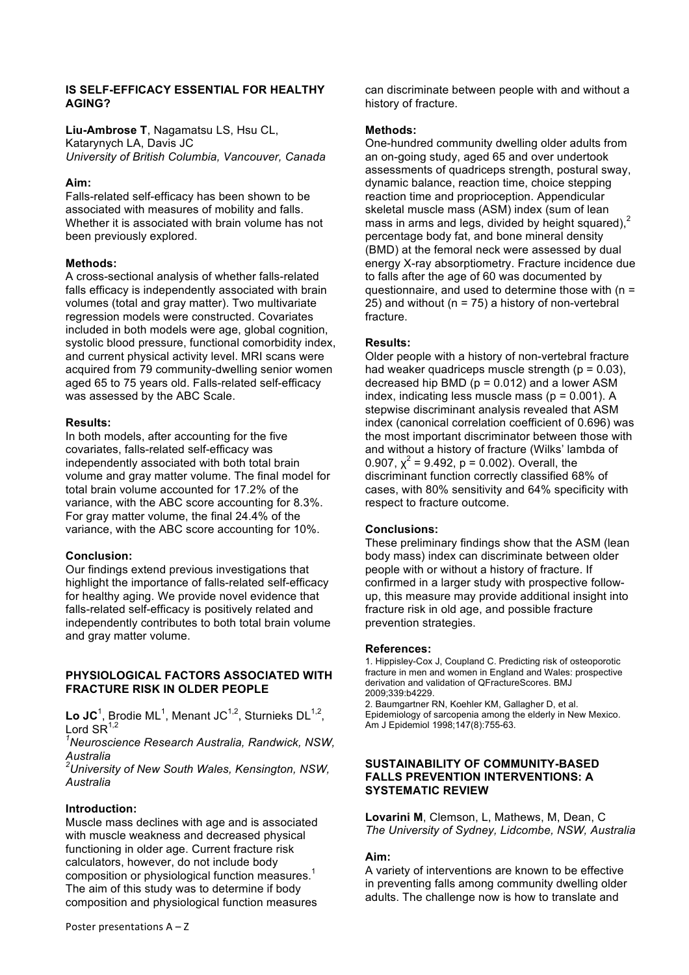### **IS SELF-EFFICACY ESSENTIAL FOR HEALTHY AGING?**

**Liu-Ambrose T**, Nagamatsu LS, Hsu CL, Katarynych LA, Davis JC *University of British Columbia, Vancouver, Canada*

### **Aim:**

Falls-related self-efficacy has been shown to be associated with measures of mobility and falls. Whether it is associated with brain volume has not been previously explored.

# **Methods:**

A cross-sectional analysis of whether falls-related falls efficacy is independently associated with brain volumes (total and gray matter). Two multivariate regression models were constructed. Covariates included in both models were age, global cognition, systolic blood pressure, functional comorbidity index, and current physical activity level. MRI scans were acquired from 79 community-dwelling senior women aged 65 to 75 years old. Falls-related self-efficacy was assessed by the ABC Scale.

### **Results:**

In both models, after accounting for the five covariates, falls-related self-efficacy was independently associated with both total brain volume and gray matter volume. The final model for total brain volume accounted for 17.2% of the variance, with the ABC score accounting for 8.3%. For gray matter volume, the final 24.4% of the variance, with the ABC score accounting for 10%.

# **Conclusion:**

Our findings extend previous investigations that highlight the importance of falls-related self-efficacy for healthy aging. We provide novel evidence that falls-related self-efficacy is positively related and independently contributes to both total brain volume and gray matter volume.

### **PHYSIOLOGICAL FACTORS ASSOCIATED WITH FRACTURE RISK IN OLDER PEOPLE**

Lo JC<sup>1</sup>, Brodie ML<sup>1</sup>, Menant JC<sup>1,2</sup>, Sturnieks DL<sup>1,2</sup>, Lord  $\text{SR}^{1,2}$ 

*1 Neuroscience Research Australia, Randwick, NSW, Australia*

*2 University of New South Wales, Kensington, NSW, Australia*

# **Introduction:**

Muscle mass declines with age and is associated with muscle weakness and decreased physical functioning in older age. Current fracture risk calculators, however, do not include body composition or physiological function measures.<sup>1</sup> The aim of this study was to determine if body composition and physiological function measures can discriminate between people with and without a history of fracture.

### **Methods:**

One-hundred community dwelling older adults from an on-going study, aged 65 and over undertook assessments of quadriceps strength, postural sway, dynamic balance, reaction time, choice stepping reaction time and proprioception. Appendicular skeletal muscle mass (ASM) index (sum of lean mass in arms and legs, divided by height squared). $<sup>2</sup>$ </sup> percentage body fat, and bone mineral density (BMD) at the femoral neck were assessed by dual energy X-ray absorptiometry. Fracture incidence due to falls after the age of 60 was documented by questionnaire, and used to determine those with  $(n =$ 25) and without ( $n = 75$ ) a history of non-vertebral fracture.

# **Results:**

Older people with a history of non-vertebral fracture had weaker quadriceps muscle strength  $(p = 0.03)$ , decreased hip BMD ( $p = 0.012$ ) and a lower ASM index, indicating less muscle mass ( $p = 0.001$ ). A stepwise discriminant analysis revealed that ASM index (canonical correlation coefficient of 0.696) was the most important discriminator between those with and without a history of fracture (Wilks' lambda of 0.907,  $\chi^2$  = 9.492, p = 0.002). Overall, the discriminant function correctly classified 68% of cases, with 80% sensitivity and 64% specificity with respect to fracture outcome.

# **Conclusions:**

These preliminary findings show that the ASM (lean body mass) index can discriminate between older people with or without a history of fracture. If confirmed in a larger study with prospective followup, this measure may provide additional insight into fracture risk in old age, and possible fracture prevention strategies.

### **References:**

1. Hippisley-Cox J, Coupland C. Predicting risk of osteoporotic fracture in men and women in England and Wales: prospective derivation and validation of QFractureScores. BMJ 2009;339:b4229.

2. Baumgartner RN, Koehler KM, Gallagher D, et al. Epidemiology of sarcopenia among the elderly in New Mexico. Am J Epidemiol 1998;147(8):755-63.

### **SUSTAINABILITY OF COMMUNITY-BASED FALLS PREVENTION INTERVENTIONS: A SYSTEMATIC REVIEW**

**Lovarini M**, Clemson, L, Mathews, M, Dean, C *The University of Sydney, Lidcombe, NSW, Australia*

# **Aim:**

A variety of interventions are known to be effective in preventing falls among community dwelling older adults. The challenge now is how to translate and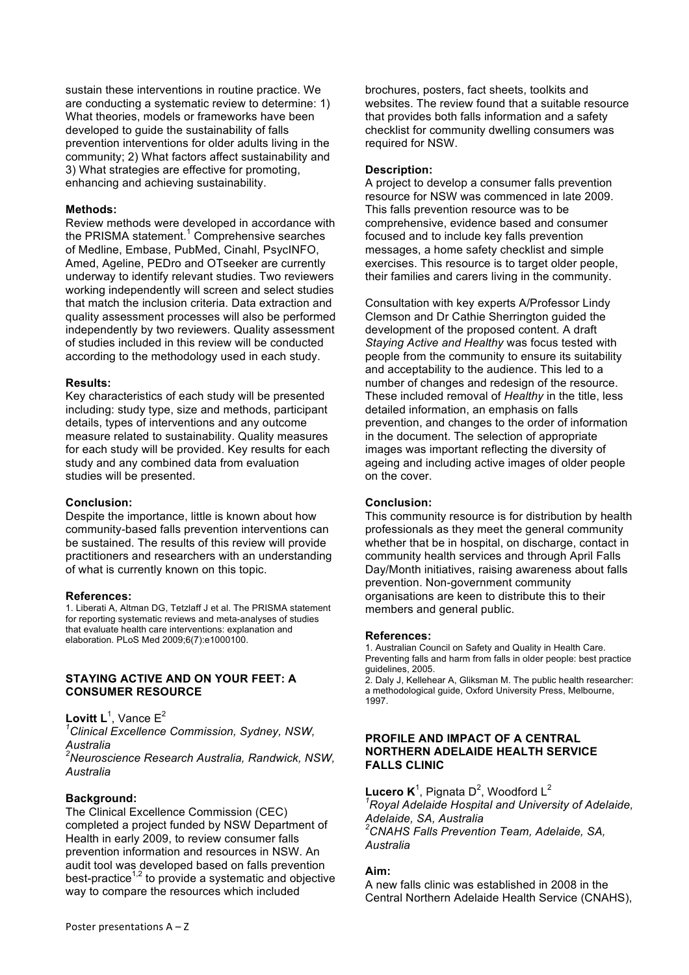sustain these interventions in routine practice. We are conducting a systematic review to determine: 1) What theories, models or frameworks have been developed to guide the sustainability of falls prevention interventions for older adults living in the community; 2) What factors affect sustainability and 3) What strategies are effective for promoting, enhancing and achieving sustainability.

#### **Methods:**

Review methods were developed in accordance with the PRISMA statement.<sup>1</sup> Comprehensive searches of Medline, Embase, PubMed, Cinahl, PsycINFO, Amed, Ageline, PEDro and OTseeker are currently underway to identify relevant studies. Two reviewers working independently will screen and select studies that match the inclusion criteria. Data extraction and quality assessment processes will also be performed independently by two reviewers. Quality assessment of studies included in this review will be conducted according to the methodology used in each study.

#### **Results:**

Key characteristics of each study will be presented including: study type, size and methods, participant details, types of interventions and any outcome measure related to sustainability. Quality measures for each study will be provided. Key results for each study and any combined data from evaluation studies will be presented.

#### **Conclusion:**

Despite the importance, little is known about how community-based falls prevention interventions can be sustained. The results of this review will provide practitioners and researchers with an understanding of what is currently known on this topic.

#### **References:**

1. Liberati A, Altman DG, Tetzlaff J et al. The PRISMA statement for reporting systematic reviews and meta-analyses of studies that evaluate health care interventions: explanation and elaboration. PLoS Med 2009;6(7):e1000100.

#### **STAYING ACTIVE AND ON YOUR FEET: A CONSUMER RESOURCE**

Lovitt L<sup>1</sup>, Vance E<sup>2</sup>

*1 Clinical Excellence Commission, Sydney, NSW, Australia 2 Neuroscience Research Australia, Randwick, NSW,* 

*Australia*

#### **Background:**

The Clinical Excellence Commission (CEC) completed a project funded by NSW Department of Health in early 2009, to review consumer falls prevention information and resources in NSW. An audit tool was developed based on falls prevention best-practice<sup>1,2</sup> to provide a systematic and objective way to compare the resources which included

brochures, posters, fact sheets, toolkits and websites. The review found that a suitable resource that provides both falls information and a safety checklist for community dwelling consumers was required for NSW.

### **Description:**

A project to develop a consumer falls prevention resource for NSW was commenced in late 2009. This falls prevention resource was to be comprehensive, evidence based and consumer focused and to include key falls prevention messages, a home safety checklist and simple exercises. This resource is to target older people. their families and carers living in the community.

Consultation with key experts A/Professor Lindy Clemson and Dr Cathie Sherrington guided the development of the proposed content. A draft *Staying Active and Healthy* was focus tested with people from the community to ensure its suitability and acceptability to the audience. This led to a number of changes and redesign of the resource. These included removal of *Healthy* in the title, less detailed information, an emphasis on falls prevention, and changes to the order of information in the document. The selection of appropriate images was important reflecting the diversity of ageing and including active images of older people on the cover.

#### **Conclusion:**

This community resource is for distribution by health professionals as they meet the general community whether that be in hospital, on discharge, contact in community health services and through April Falls Day/Month initiatives, raising awareness about falls prevention. Non-government community organisations are keen to distribute this to their members and general public.

#### **References:**

1. Australian Council on Safety and Quality in Health Care. Preventing falls and harm from falls in older people: best practice guidelines, 2005. 2. Daly J, Kellehear A, Gliksman M. The public health researcher:

a methodological guide, Oxford University Press, Melbourne, 1997.

#### **PROFILE AND IMPACT OF A CENTRAL NORTHERN ADELAIDE HEALTH SERVICE FALLS CLINIC**

**Lucero K**<sup>1</sup>, Pignata D<sup>2</sup>, Woodford L<sup>2</sup> *1 Royal Adelaide Hospital and University of Adelaide, Adelaide, SA, Australia 2 CNAHS Falls Prevention Team, Adelaide, SA, Australia*

#### **Aim:**

A new falls clinic was established in 2008 in the Central Northern Adelaide Health Service (CNAHS),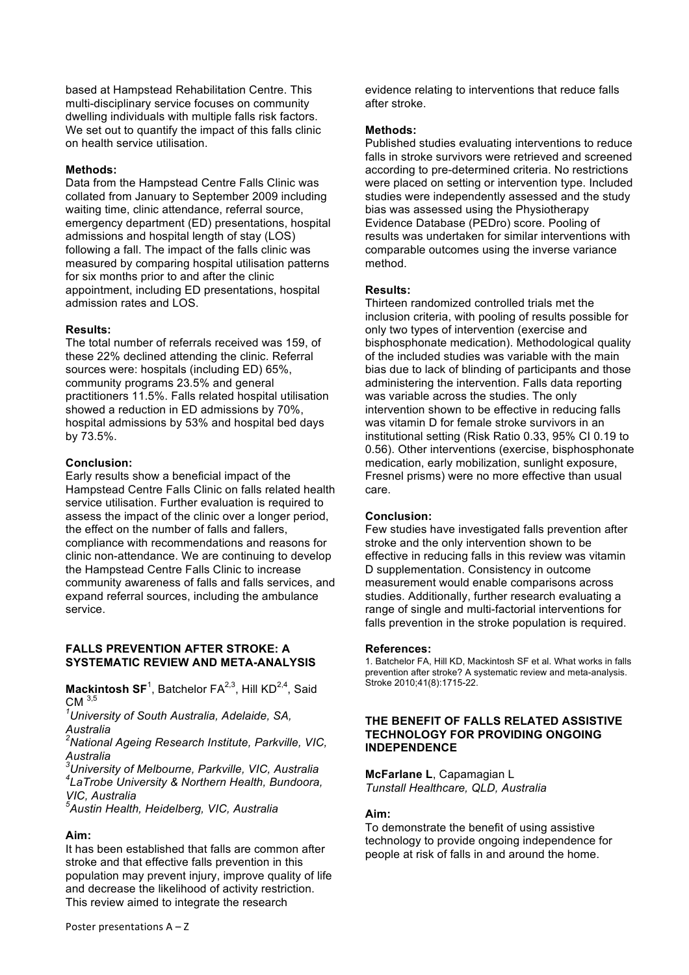based at Hampstead Rehabilitation Centre. This multi-disciplinary service focuses on community dwelling individuals with multiple falls risk factors. We set out to quantify the impact of this falls clinic on health service utilisation.

### **Methods:**

Data from the Hampstead Centre Falls Clinic was collated from January to September 2009 including waiting time, clinic attendance, referral source, emergency department (ED) presentations, hospital admissions and hospital length of stay (LOS) following a fall. The impact of the falls clinic was measured by comparing hospital utilisation patterns for six months prior to and after the clinic appointment, including ED presentations, hospital admission rates and LOS.

### **Results:**

The total number of referrals received was 159, of these 22% declined attending the clinic. Referral sources were: hospitals (including ED) 65%, community programs 23.5% and general practitioners 11.5%. Falls related hospital utilisation showed a reduction in ED admissions by 70%, hospital admissions by 53% and hospital bed days by 73.5%.

### **Conclusion:**

Early results show a beneficial impact of the Hampstead Centre Falls Clinic on falls related health service utilisation. Further evaluation is required to assess the impact of the clinic over a longer period, the effect on the number of falls and fallers, compliance with recommendations and reasons for clinic non-attendance. We are continuing to develop the Hampstead Centre Falls Clinic to increase community awareness of falls and falls services, and expand referral sources, including the ambulance service.

### **FALLS PREVENTION AFTER STROKE: A SYSTEMATIC REVIEW AND META-ANALYSIS**

**Mackintosh SF**<sup>1</sup>, Batchelor FA<sup>2,3</sup>, Hill KD<sup>2,4</sup>, Said CM 3,5

*1 University of South Australia, Adelaide, SA, Australia* 

*2 National Ageing Research Institute, Parkville, VIC, Australia* 

*3 University of Melbourne, Parkville, VIC, Australia <sup>4</sup> LaTrobe University & Northern Health, Bundoora, VIC, Australia*

*5 Austin Health, Heidelberg, VIC, Australia* 

### **Aim:**

It has been established that falls are common after stroke and that effective falls prevention in this population may prevent injury, improve quality of life and decrease the likelihood of activity restriction. This review aimed to integrate the research

evidence relating to interventions that reduce falls after stroke.

### **Methods:**

Published studies evaluating interventions to reduce falls in stroke survivors were retrieved and screened according to pre-determined criteria. No restrictions were placed on setting or intervention type. Included studies were independently assessed and the study bias was assessed using the Physiotherapy Evidence Database (PEDro) score. Pooling of results was undertaken for similar interventions with comparable outcomes using the inverse variance method.

### **Results:**

Thirteen randomized controlled trials met the inclusion criteria, with pooling of results possible for only two types of intervention (exercise and bisphosphonate medication). Methodological quality of the included studies was variable with the main bias due to lack of blinding of participants and those administering the intervention. Falls data reporting was variable across the studies. The only intervention shown to be effective in reducing falls was vitamin D for female stroke survivors in an institutional setting (Risk Ratio 0.33, 95% CI 0.19 to 0.56). Other interventions (exercise, bisphosphonate medication, early mobilization, sunlight exposure, Fresnel prisms) were no more effective than usual care.

### **Conclusion:**

Few studies have investigated falls prevention after stroke and the only intervention shown to be effective in reducing falls in this review was vitamin D supplementation. Consistency in outcome measurement would enable comparisons across studies. Additionally, further research evaluating a range of single and multi-factorial interventions for falls prevention in the stroke population is required.

#### **References:**

1. Batchelor FA, Hill KD, Mackintosh SF et al. What works in falls prevention after stroke? A systematic review and meta-analysis. Stroke 2010;41(8):1715-22.

#### **THE BENEFIT OF FALLS RELATED ASSISTIVE TECHNOLOGY FOR PROVIDING ONGOING INDEPENDENCE**

**McFarlane L**, Capamagian L *Tunstall Healthcare, QLD, Australia*

# **Aim:**

To demonstrate the benefit of using assistive technology to provide ongoing independence for people at risk of falls in and around the home.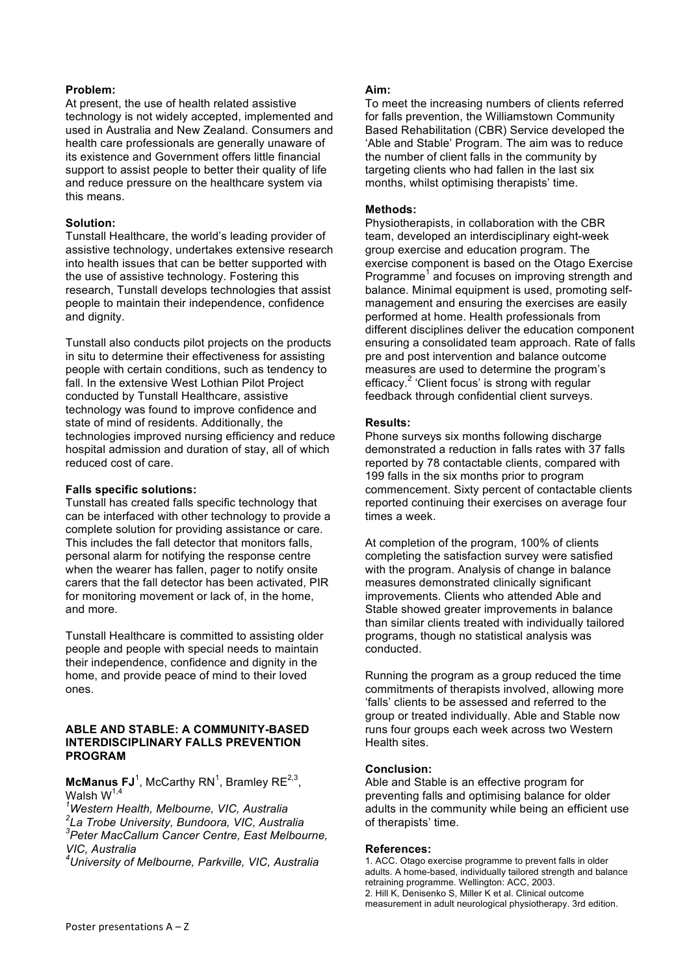### **Problem:**

At present, the use of health related assistive technology is not widely accepted, implemented and used in Australia and New Zealand. Consumers and health care professionals are generally unaware of its existence and Government offers little financial support to assist people to better their quality of life and reduce pressure on the healthcare system via this means.

### **Solution:**

Tunstall Healthcare, the world's leading provider of assistive technology, undertakes extensive research into health issues that can be better supported with the use of assistive technology. Fostering this research, Tunstall develops technologies that assist people to maintain their independence, confidence and dignity.

Tunstall also conducts pilot projects on the products in situ to determine their effectiveness for assisting people with certain conditions, such as tendency to fall. In the extensive West Lothian Pilot Project conducted by Tunstall Healthcare, assistive technology was found to improve confidence and state of mind of residents. Additionally, the technologies improved nursing efficiency and reduce hospital admission and duration of stay, all of which reduced cost of care.

### **Falls specific solutions:**

Tunstall has created falls specific technology that can be interfaced with other technology to provide a complete solution for providing assistance or care. This includes the fall detector that monitors falls, personal alarm for notifying the response centre when the wearer has fallen, pager to notify onsite carers that the fall detector has been activated, PIR for monitoring movement or lack of, in the home, and more.

Tunstall Healthcare is committed to assisting older people and people with special needs to maintain their independence, confidence and dignity in the home, and provide peace of mind to their loved ones.

#### **ABLE AND STABLE: A COMMUNITY-BASED INTERDISCIPLINARY FALLS PREVENTION PROGRAM**

**McManus FJ**<sup>1</sup>, McCarthy RN<sup>1</sup>, Bramley RE<sup>2,3</sup>, Walsh  $W^{1,4}$ 

*1 Western Health, Melbourne, VIC, Australia*

*2 La Trobe University, Bundoora, VIC, Australia 3 Peter MacCallum Cancer Centre, East Melbourne, VIC, Australia*

*4 University of Melbourne, Parkville, VIC, Australia*

### **Aim:**

To meet the increasing numbers of clients referred for falls prevention, the Williamstown Community Based Rehabilitation (CBR) Service developed the 'Able and Stable' Program. The aim was to reduce the number of client falls in the community by targeting clients who had fallen in the last six months, whilst optimising therapists' time.

### **Methods:**

Physiotherapists, in collaboration with the CBR team, developed an interdisciplinary eight-week group exercise and education program. The exercise component is based on the Otago Exercise Programme<sup>1</sup> and focuses on improving strength and balance. Minimal equipment is used, promoting selfmanagement and ensuring the exercises are easily performed at home. Health professionals from different disciplines deliver the education component ensuring a consolidated team approach. Rate of falls pre and post intervention and balance outcome measures are used to determine the program's efficacy.<sup>2</sup> 'Client focus' is strong with regular feedback through confidential client surveys.

### **Results:**

Phone surveys six months following discharge demonstrated a reduction in falls rates with 37 falls reported by 78 contactable clients, compared with 199 falls in the six months prior to program commencement. Sixty percent of contactable clients reported continuing their exercises on average four times a week.

At completion of the program, 100% of clients completing the satisfaction survey were satisfied with the program. Analysis of change in balance measures demonstrated clinically significant improvements. Clients who attended Able and Stable showed greater improvements in balance than similar clients treated with individually tailored programs, though no statistical analysis was conducted.

Running the program as a group reduced the time commitments of therapists involved, allowing more 'falls' clients to be assessed and referred to the group or treated individually. Able and Stable now runs four groups each week across two Western Health sites.

### **Conclusion:**

Able and Stable is an effective program for preventing falls and optimising balance for older adults in the community while being an efficient use of therapists' time.

### **References:**

1. ACC. Otago exercise programme to prevent falls in older adults. A home-based, individually tailored strength and balance retraining programme. Wellington: ACC, 2003. 2. Hill K, Denisenko S, Miller K et al. Clinical outcome measurement in adult neurological physiotherapy. 3rd edition.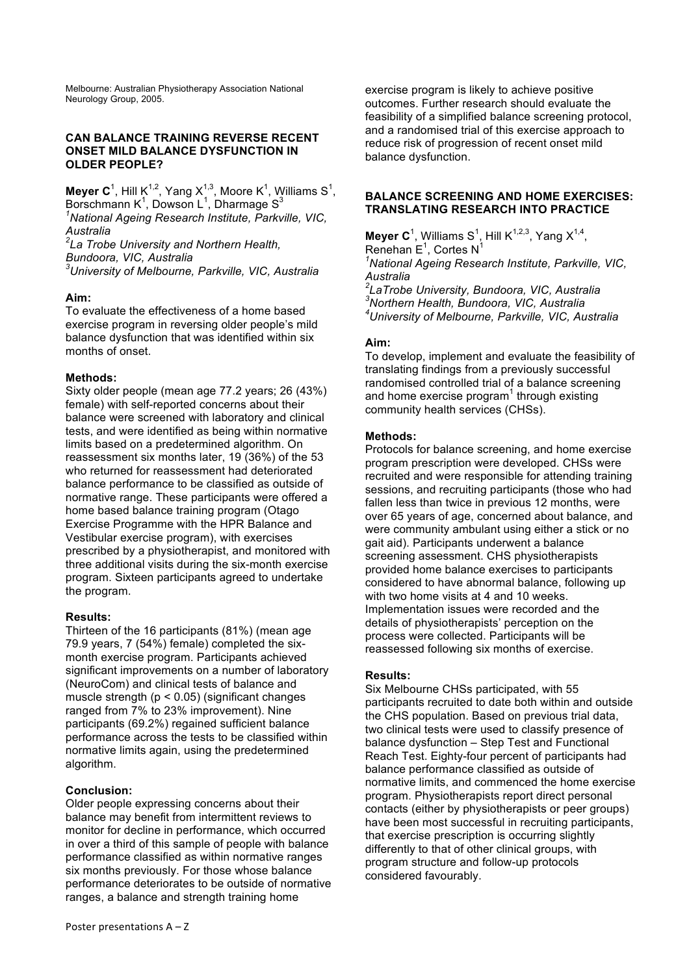Melbourne: Australian Physiotherapy Association National Neurology Group, 2005.

### **CAN BALANCE TRAINING REVERSE RECENT ONSET MILD BALANCE DYSFUNCTION IN OLDER PEOPLE?**

**Meyer C**<sup>1</sup>, Hill K<sup>1,2</sup>, Yang X<sup>1,3</sup>, Moore K<sup>1</sup>, Williams S<sup>1</sup>, Borschmann K<sup>1</sup>, Dowson L<sup>1</sup>, Dharmage S<sup>3</sup>

*1 National Ageing Research Institute, Parkville, VIC, Australia*

*2 La Trobe University and Northern Health,* 

*Bundoora, VIC, Australia*

*3 University of Melbourne, Parkville, VIC, Australia*

# **Aim:**

To evaluate the effectiveness of a home based exercise program in reversing older people's mild balance dysfunction that was identified within six months of onset.

# **Methods:**

Sixty older people (mean age 77.2 years; 26 (43%) female) with self-reported concerns about their balance were screened with laboratory and clinical tests, and were identified as being within normative limits based on a predetermined algorithm. On reassessment six months later, 19 (36%) of the 53 who returned for reassessment had deteriorated balance performance to be classified as outside of normative range. These participants were offered a home based balance training program (Otago Exercise Programme with the HPR Balance and Vestibular exercise program), with exercises prescribed by a physiotherapist, and monitored with three additional visits during the six-month exercise program. Sixteen participants agreed to undertake the program.

# **Results:**

Thirteen of the 16 participants (81%) (mean age 79.9 years, 7 (54%) female) completed the sixmonth exercise program. Participants achieved significant improvements on a number of laboratory (NeuroCom) and clinical tests of balance and muscle strength ( $p < 0.05$ ) (significant changes ranged from 7% to 23% improvement). Nine participants (69.2%) regained sufficient balance performance across the tests to be classified within normative limits again, using the predetermined algorithm.

# **Conclusion:**

Older people expressing concerns about their balance may benefit from intermittent reviews to monitor for decline in performance, which occurred in over a third of this sample of people with balance performance classified as within normative ranges six months previously. For those whose balance performance deteriorates to be outside of normative ranges, a balance and strength training home

exercise program is likely to achieve positive outcomes. Further research should evaluate the feasibility of a simplified balance screening protocol, and a randomised trial of this exercise approach to reduce risk of progression of recent onset mild balance dysfunction.

### **BALANCE SCREENING AND HOME EXERCISES: TRANSLATING RESEARCH INTO PRACTICE**

**Meyer C**<sup>1</sup>, Williams S<sup>1</sup>, Hill K<sup>1,2,3</sup>, Yang X<sup>1,4</sup>, Renehan  $E^1$ , Cortes N<sup>1</sup> *1 National Ageing Research Institute, Parkville, VIC, Australia 2 LaTrobe University, Bundoora, VIC, Australia 3 Northern Health, Bundoora, VIC, Australia 4 University of Melbourne, Parkville, VIC, Australia*

# **Aim:**

To develop, implement and evaluate the feasibility of translating findings from a previously successful randomised controlled trial of a balance screening and home exercise program<sup>1</sup> through existing community health services (CHSs).

# **Methods:**

Protocols for balance screening, and home exercise program prescription were developed. CHSs were recruited and were responsible for attending training sessions, and recruiting participants (those who had fallen less than twice in previous 12 months, were over 65 years of age, concerned about balance, and were community ambulant using either a stick or no gait aid). Participants underwent a balance screening assessment. CHS physiotherapists provided home balance exercises to participants considered to have abnormal balance, following up with two home visits at 4 and 10 weeks. Implementation issues were recorded and the details of physiotherapists' perception on the process were collected. Participants will be reassessed following six months of exercise.

# **Results:**

Six Melbourne CHSs participated, with 55 participants recruited to date both within and outside the CHS population. Based on previous trial data, two clinical tests were used to classify presence of balance dysfunction – Step Test and Functional Reach Test. Eighty-four percent of participants had balance performance classified as outside of normative limits, and commenced the home exercise program. Physiotherapists report direct personal contacts (either by physiotherapists or peer groups) have been most successful in recruiting participants, that exercise prescription is occurring slightly differently to that of other clinical groups, with program structure and follow-up protocols considered favourably.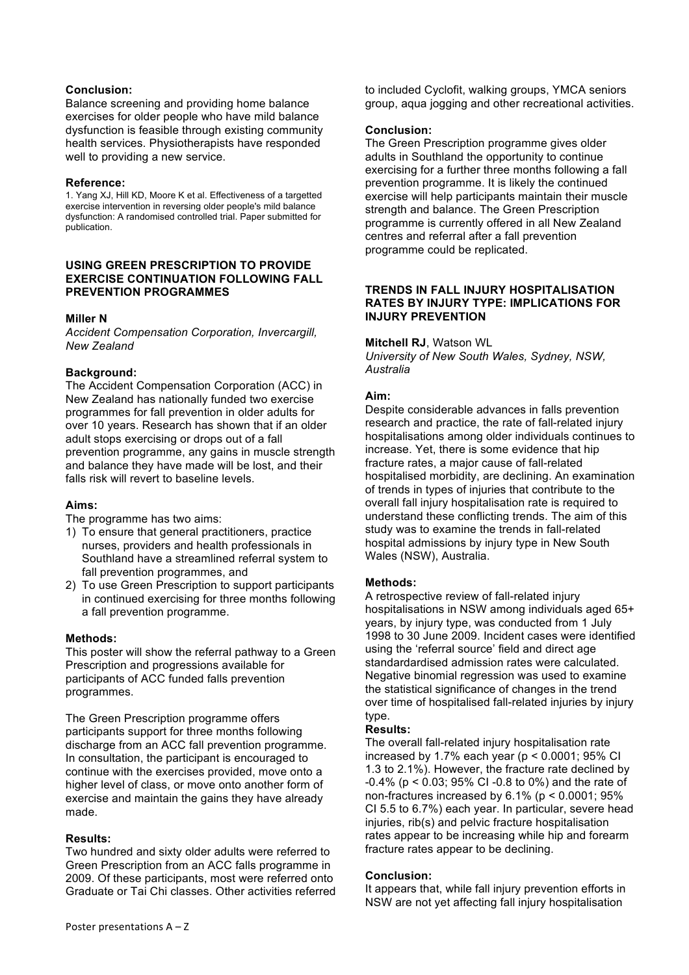### **Conclusion:**

Balance screening and providing home balance exercises for older people who have mild balance dysfunction is feasible through existing community health services. Physiotherapists have responded well to providing a new service.

#### **Reference:**

1. Yang XJ, Hill KD, Moore K et al. Effectiveness of a targetted exercise intervention in reversing older people's mild balance dysfunction: A randomised controlled trial. Paper submitted for publication.

#### **USING GREEN PRESCRIPTION TO PROVIDE EXERCISE CONTINUATION FOLLOWING FALL PREVENTION PROGRAMMES**

### **Miller N**

*Accident Compensation Corporation, Invercargill, New Zealand*

### **Background:**

The Accident Compensation Corporation (ACC) in New Zealand has nationally funded two exercise programmes for fall prevention in older adults for over 10 years. Research has shown that if an older adult stops exercising or drops out of a fall prevention programme, any gains in muscle strength and balance they have made will be lost, and their falls risk will revert to baseline levels.

### **Aims:**

The programme has two aims:

- 1) To ensure that general practitioners, practice nurses, providers and health professionals in Southland have a streamlined referral system to fall prevention programmes, and
- 2) To use Green Prescription to support participants in continued exercising for three months following a fall prevention programme.

### **Methods:**

This poster will show the referral pathway to a Green Prescription and progressions available for participants of ACC funded falls prevention programmes.

The Green Prescription programme offers participants support for three months following discharge from an ACC fall prevention programme. In consultation, the participant is encouraged to continue with the exercises provided, move onto a higher level of class, or move onto another form of exercise and maintain the gains they have already made.

### **Results:**

Two hundred and sixty older adults were referred to Green Prescription from an ACC falls programme in 2009. Of these participants, most were referred onto Graduate or Tai Chi classes. Other activities referred to included Cyclofit, walking groups, YMCA seniors group, aqua jogging and other recreational activities.

### **Conclusion:**

The Green Prescription programme gives older adults in Southland the opportunity to continue exercising for a further three months following a fall prevention programme. It is likely the continued exercise will help participants maintain their muscle strength and balance. The Green Prescription programme is currently offered in all New Zealand centres and referral after a fall prevention programme could be replicated.

### **TRENDS IN FALL INJURY HOSPITALISATION RATES BY INJURY TYPE: IMPLICATIONS FOR INJURY PREVENTION**

### **Mitchell RJ**, Watson WL

*University of New South Wales, Sydney, NSW, Australia*

### **Aim:**

Despite considerable advances in falls prevention research and practice, the rate of fall-related injury hospitalisations among older individuals continues to increase. Yet, there is some evidence that hip fracture rates, a major cause of fall-related hospitalised morbidity, are declining. An examination of trends in types of injuries that contribute to the overall fall injury hospitalisation rate is required to understand these conflicting trends. The aim of this study was to examine the trends in fall-related hospital admissions by injury type in New South Wales (NSW), Australia.

### **Methods:**

A retrospective review of fall-related injury hospitalisations in NSW among individuals aged 65+ years, by injury type, was conducted from 1 July 1998 to 30 June 2009. Incident cases were identified using the 'referral source' field and direct age standardardised admission rates were calculated. Negative binomial regression was used to examine the statistical significance of changes in the trend over time of hospitalised fall-related injuries by injury type.

### **Results:**

The overall fall-related injury hospitalisation rate increased by 1.7% each year ( $p < 0.0001$ ; 95% CI 1.3 to 2.1%). However, the fracture rate declined by -0.4% (p < 0.03; 95% CI -0.8 to 0%) and the rate of non-fractures increased by  $6.1\%$  ( $p < 0.0001$ ;  $95\%$ CI 5.5 to 6.7%) each year. In particular, severe head injuries, rib(s) and pelvic fracture hospitalisation rates appear to be increasing while hip and forearm fracture rates appear to be declining.

# **Conclusion:**

It appears that, while fall injury prevention efforts in NSW are not yet affecting fall injury hospitalisation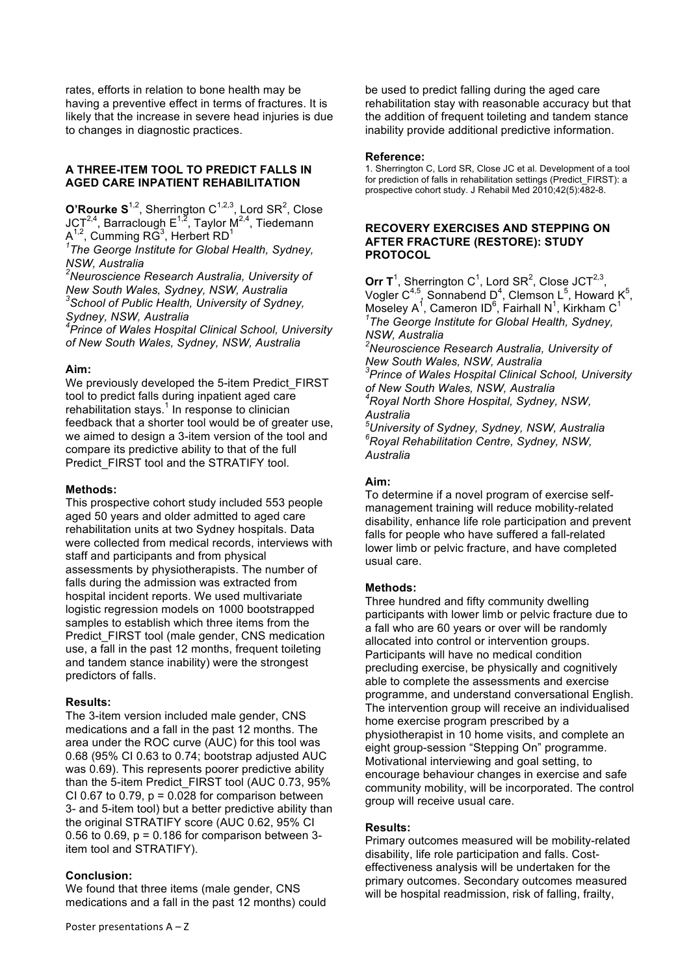rates, efforts in relation to bone health may be having a preventive effect in terms of fractures. It is likely that the increase in severe head injuries is due to changes in diagnostic practices.

# **A THREE-ITEM TOOL TO PREDICT FALLS IN AGED CARE INPATIENT REHABILITATION**

**O'Rourke S**<sup>1,2</sup>, Sherrington C<sup>1,2,3</sup>, Lord SR<sup>2</sup>, Close JCT<sup>2,4</sup>, Barraclough  $E^{1,2}$ , Taylor M<sup>2,4</sup>, Tiedemann  $A^{1,2}$ , Cumming RG<sup>3</sup>, Herbert RD<sup>1</sup>

*1 The George Institute for Global Health, Sydney, NSW, Australia*

*2 Neuroscience Research Australia, University of New South Wales, Sydney, NSW, Australia 3 School of Public Health, University of Sydney, Sydney, NSW, Australia*

*4 Prince of Wales Hospital Clinical School, University of New South Wales, Sydney, NSW, Australia*

### **Aim:**

We previously developed the 5-item Predict FIRST tool to predict falls during inpatient aged care rehabilitation stays. $1$  In response to clinician feedback that a shorter tool would be of greater use, we aimed to design a 3-item version of the tool and compare its predictive ability to that of the full Predict\_FIRST tool and the STRATIFY tool.

#### **Methods:**

This prospective cohort study included 553 people aged 50 years and older admitted to aged care rehabilitation units at two Sydney hospitals. Data were collected from medical records, interviews with staff and participants and from physical assessments by physiotherapists. The number of falls during the admission was extracted from hospital incident reports. We used multivariate logistic regression models on 1000 bootstrapped samples to establish which three items from the Predict FIRST tool (male gender, CNS medication use, a fall in the past 12 months, frequent toileting and tandem stance inability) were the strongest predictors of falls.

### **Results:**

The 3-item version included male gender, CNS medications and a fall in the past 12 months. The area under the ROC curve (AUC) for this tool was 0.68 (95% CI 0.63 to 0.74; bootstrap adjusted AUC was 0.69). This represents poorer predictive ability than the 5-item Predict\_FIRST tool (AUC 0.73, 95% CI 0.67 to 0.79,  $p = 0.028$  for comparison between 3- and 5-item tool) but a better predictive ability than the original STRATIFY score (AUC 0.62, 95% CI 0.56 to 0.69,  $p = 0.186$  for comparison between 3item tool and STRATIFY).

### **Conclusion:**

We found that three items (male gender, CNS medications and a fall in the past 12 months) could be used to predict falling during the aged care rehabilitation stay with reasonable accuracy but that the addition of frequent toileting and tandem stance inability provide additional predictive information.

#### **Reference:**

1. Sherrington C, Lord SR, Close JC et al. Development of a tool for prediction of falls in rehabilitation settings (Predict\_FIRST): a prospective cohort study. J Rehabil Med 2010;42(5):482-8.

#### **RECOVERY EXERCISES AND STEPPING ON AFTER FRACTURE (RESTORE): STUDY PROTOCOL**

Orr  $T^1$ , Sherrington C<sup>1</sup>, Lord SR<sup>2</sup>, Close JCT<sup>2,3</sup>, Vogler  $C^{4,5}$ , Sonnabend D<sup>4</sup>, Clemson L<sup>5</sup>, Howard K<sup>5</sup>, Moseley A<sup>1</sup>, Cameron ID<sup>6</sup>, Fairhall N<sup>1</sup>, Kirkham C<sup>1</sup> *1 The George Institute for Global Health, Sydney, NSW, Australia 2 Neuroscience Research Australia, University of New South Wales, NSW, Australia 3 Prince of Wales Hospital Clinical School, University of New South Wales, NSW, Australia 4 Royal North Shore Hospital, Sydney, NSW, Australia 5 University of Sydney, Sydney, NSW, Australia*

*6 Royal Rehabilitation Centre, Sydney, NSW, Australia*

### **Aim:**

To determine if a novel program of exercise selfmanagement training will reduce mobility-related disability, enhance life role participation and prevent falls for people who have suffered a fall-related lower limb or pelvic fracture, and have completed usual care.

### **Methods:**

Three hundred and fifty community dwelling participants with lower limb or pelvic fracture due to a fall who are 60 years or over will be randomly allocated into control or intervention groups. Participants will have no medical condition precluding exercise, be physically and cognitively able to complete the assessments and exercise programme, and understand conversational English. The intervention group will receive an individualised home exercise program prescribed by a physiotherapist in 10 home visits, and complete an eight group-session "Stepping On" programme. Motivational interviewing and goal setting, to encourage behaviour changes in exercise and safe community mobility, will be incorporated. The control group will receive usual care.

#### **Results:**

Primary outcomes measured will be mobility-related disability, life role participation and falls. Costeffectiveness analysis will be undertaken for the primary outcomes. Secondary outcomes measured will be hospital readmission, risk of falling, frailty,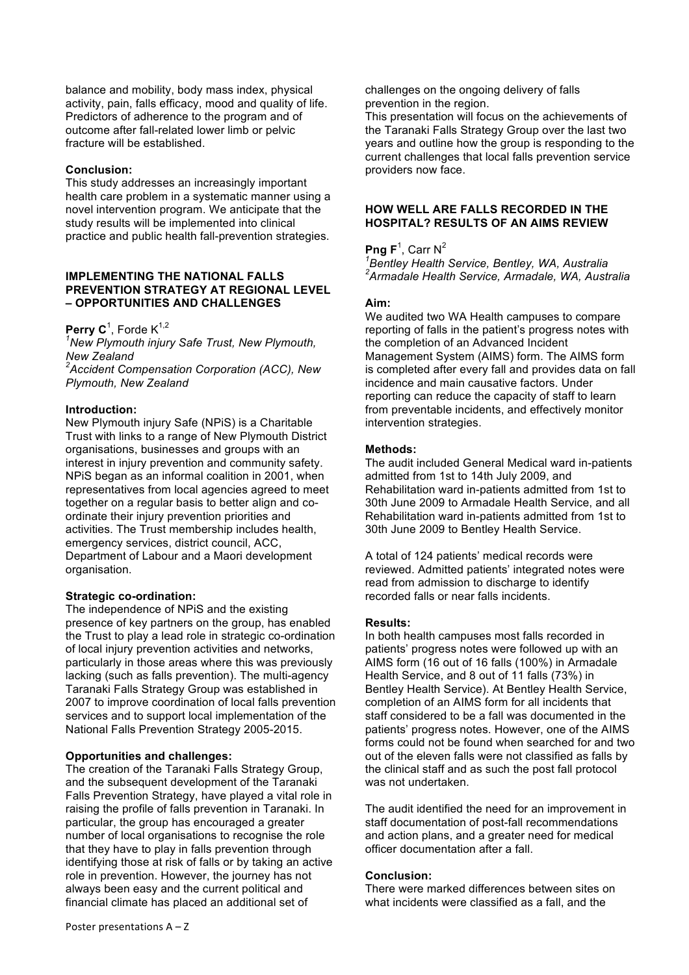balance and mobility, body mass index, physical activity, pain, falls efficacy, mood and quality of life. Predictors of adherence to the program and of outcome after fall-related lower limb or pelvic fracture will be established.

### **Conclusion:**

This study addresses an increasingly important health care problem in a systematic manner using a novel intervention program. We anticipate that the study results will be implemented into clinical practice and public health fall-prevention strategies.

#### **IMPLEMENTING THE NATIONAL FALLS PREVENTION STRATEGY AT REGIONAL LEVEL – OPPORTUNITIES AND CHALLENGES**

Perry C<sup>1</sup>, Forde K<sup>1,2</sup>

*1 New Plymouth injury Safe Trust, New Plymouth, New Zealand*

*2 Accident Compensation Corporation (ACC), New Plymouth, New Zealand*

#### **Introduction:**

New Plymouth injury Safe (NPiS) is a Charitable Trust with links to a range of New Plymouth District organisations, businesses and groups with an interest in injury prevention and community safety. NPiS began as an informal coalition in 2001, when representatives from local agencies agreed to meet together on a regular basis to better align and coordinate their injury prevention priorities and activities. The Trust membership includes health, emergency services, district council, ACC, Department of Labour and a Maori development organisation.

#### **Strategic co-ordination:**

The independence of NPiS and the existing presence of key partners on the group, has enabled the Trust to play a lead role in strategic co-ordination of local injury prevention activities and networks, particularly in those areas where this was previously lacking (such as falls prevention). The multi-agency Taranaki Falls Strategy Group was established in 2007 to improve coordination of local falls prevention services and to support local implementation of the National Falls Prevention Strategy 2005-2015.

#### **Opportunities and challenges:**

The creation of the Taranaki Falls Strategy Group, and the subsequent development of the Taranaki Falls Prevention Strategy, have played a vital role in raising the profile of falls prevention in Taranaki. In particular, the group has encouraged a greater number of local organisations to recognise the role that they have to play in falls prevention through identifying those at risk of falls or by taking an active role in prevention. However, the journey has not always been easy and the current political and financial climate has placed an additional set of

challenges on the ongoing delivery of falls prevention in the region.

This presentation will focus on the achievements of the Taranaki Falls Strategy Group over the last two years and outline how the group is responding to the current challenges that local falls prevention service providers now face.

### **HOW WELL ARE FALLS RECORDED IN THE HOSPITAL? RESULTS OF AN AIMS REVIEW**

### **Png F**<sup>1</sup>, Carr N<sup>2</sup>

*1 Bentley Health Service, Bentley, WA, Australia 2 Armadale Health Service, Armadale, WA, Australia*

#### **Aim:**

We audited two WA Health campuses to compare reporting of falls in the patient's progress notes with the completion of an Advanced Incident Management System (AIMS) form. The AIMS form is completed after every fall and provides data on fall incidence and main causative factors. Under reporting can reduce the capacity of staff to learn from preventable incidents, and effectively monitor intervention strategies.

### **Methods:**

The audit included General Medical ward in-patients admitted from 1st to 14th July 2009, and Rehabilitation ward in-patients admitted from 1st to 30th June 2009 to Armadale Health Service, and all Rehabilitation ward in-patients admitted from 1st to 30th June 2009 to Bentley Health Service.

A total of 124 patients' medical records were reviewed. Admitted patients' integrated notes were read from admission to discharge to identify recorded falls or near falls incidents.

#### **Results:**

In both health campuses most falls recorded in patients' progress notes were followed up with an AIMS form (16 out of 16 falls (100%) in Armadale Health Service, and 8 out of 11 falls (73%) in Bentley Health Service). At Bentley Health Service, completion of an AIMS form for all incidents that staff considered to be a fall was documented in the patients' progress notes. However, one of the AIMS forms could not be found when searched for and two out of the eleven falls were not classified as falls by the clinical staff and as such the post fall protocol was not undertaken.

The audit identified the need for an improvement in staff documentation of post-fall recommendations and action plans, and a greater need for medical officer documentation after a fall.

#### **Conclusion:**

There were marked differences between sites on what incidents were classified as a fall, and the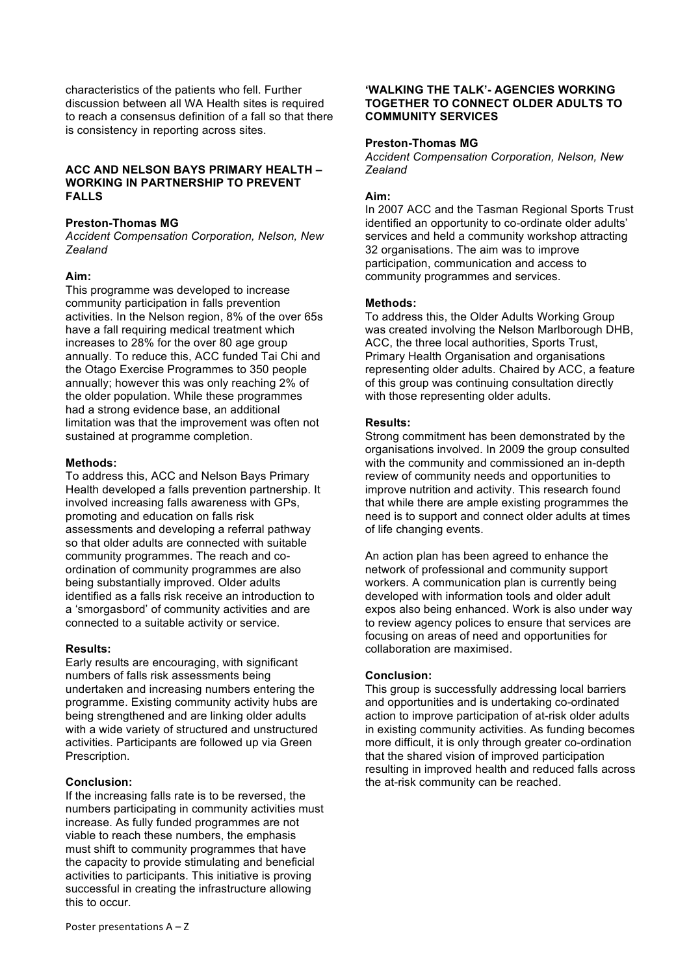characteristics of the patients who fell. Further discussion between all WA Health sites is required to reach a consensus definition of a fall so that there is consistency in reporting across sites.

### **ACC AND NELSON BAYS PRIMARY HEALTH – WORKING IN PARTNERSHIP TO PREVENT FALLS**

### **Preston-Thomas MG**

*Accident Compensation Corporation, Nelson, New Zealand*

### **Aim:**

This programme was developed to increase community participation in falls prevention activities. In the Nelson region, 8% of the over 65s have a fall requiring medical treatment which increases to 28% for the over 80 age group annually. To reduce this, ACC funded Tai Chi and the Otago Exercise Programmes to 350 people annually; however this was only reaching 2% of the older population. While these programmes had a strong evidence base, an additional limitation was that the improvement was often not sustained at programme completion.

### **Methods:**

To address this, ACC and Nelson Bays Primary Health developed a falls prevention partnership. It involved increasing falls awareness with GPs, promoting and education on falls risk assessments and developing a referral pathway so that older adults are connected with suitable community programmes. The reach and coordination of community programmes are also being substantially improved. Older adults identified as a falls risk receive an introduction to a 'smorgasbord' of community activities and are connected to a suitable activity or service.

### **Results:**

Early results are encouraging, with significant numbers of falls risk assessments being undertaken and increasing numbers entering the programme. Existing community activity hubs are being strengthened and are linking older adults with a wide variety of structured and unstructured activities. Participants are followed up via Green Prescription.

### **Conclusion:**

If the increasing falls rate is to be reversed, the numbers participating in community activities must increase. As fully funded programmes are not viable to reach these numbers, the emphasis must shift to community programmes that have the capacity to provide stimulating and beneficial activities to participants. This initiative is proving successful in creating the infrastructure allowing this to occur.

### **'WALKING THE TALK'- AGENCIES WORKING TOGETHER TO CONNECT OLDER ADULTS TO COMMUNITY SERVICES**

### **Preston-Thomas MG**

*Accident Compensation Corporation, Nelson, New Zealand*

### **Aim:**

In 2007 ACC and the Tasman Regional Sports Trust identified an opportunity to co-ordinate older adults' services and held a community workshop attracting 32 organisations. The aim was to improve participation, communication and access to community programmes and services.

### **Methods:**

To address this, the Older Adults Working Group was created involving the Nelson Marlborough DHB, ACC, the three local authorities, Sports Trust, Primary Health Organisation and organisations representing older adults. Chaired by ACC, a feature of this group was continuing consultation directly with those representing older adults.

### **Results:**

Strong commitment has been demonstrated by the organisations involved. In 2009 the group consulted with the community and commissioned an in-depth review of community needs and opportunities to improve nutrition and activity. This research found that while there are ample existing programmes the need is to support and connect older adults at times of life changing events.

An action plan has been agreed to enhance the network of professional and community support workers. A communication plan is currently being developed with information tools and older adult expos also being enhanced. Work is also under way to review agency polices to ensure that services are focusing on areas of need and opportunities for collaboration are maximised.

# **Conclusion:**

This group is successfully addressing local barriers and opportunities and is undertaking co-ordinated action to improve participation of at-risk older adults in existing community activities. As funding becomes more difficult, it is only through greater co-ordination that the shared vision of improved participation resulting in improved health and reduced falls across the at-risk community can be reached.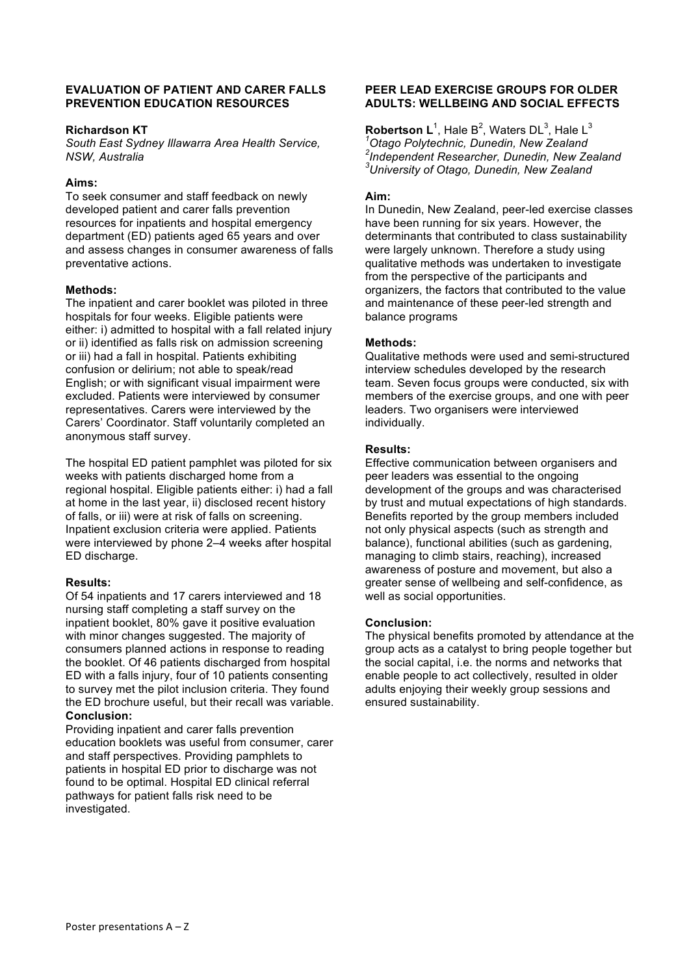### **EVALUATION OF PATIENT AND CARER FALLS PREVENTION EDUCATION RESOURCES**

### **Richardson KT**

*South East Sydney Illawarra Area Health Service, NSW, Australia*

# **Aims:**

To seek consumer and staff feedback on newly developed patient and carer falls prevention resources for inpatients and hospital emergency department (ED) patients aged 65 years and over and assess changes in consumer awareness of falls preventative actions.

### **Methods:**

The inpatient and carer booklet was piloted in three hospitals for four weeks. Eligible patients were either: i) admitted to hospital with a fall related injury or ii) identified as falls risk on admission screening or iii) had a fall in hospital. Patients exhibiting confusion or delirium; not able to speak/read English; or with significant visual impairment were excluded. Patients were interviewed by consumer representatives. Carers were interviewed by the Carers' Coordinator. Staff voluntarily completed an anonymous staff survey.

The hospital ED patient pamphlet was piloted for six weeks with patients discharged home from a regional hospital. Eligible patients either: i) had a fall at home in the last year, ii) disclosed recent history of falls, or iii) were at risk of falls on screening. Inpatient exclusion criteria were applied. Patients were interviewed by phone 2–4 weeks after hospital ED discharge.

# **Results:**

Of 54 inpatients and 17 carers interviewed and 18 nursing staff completing a staff survey on the inpatient booklet, 80% gave it positive evaluation with minor changes suggested. The majority of consumers planned actions in response to reading the booklet. Of 46 patients discharged from hospital ED with a falls injury, four of 10 patients consenting to survey met the pilot inclusion criteria. They found the ED brochure useful, but their recall was variable. **Conclusion:**

Providing inpatient and carer falls prevention education booklets was useful from consumer, carer and staff perspectives. Providing pamphlets to patients in hospital ED prior to discharge was not found to be optimal. Hospital ED clinical referral pathways for patient falls risk need to be investigated.

# **PEER LEAD EXERCISE GROUPS FOR OLDER ADULTS: WELLBEING AND SOCIAL EFFECTS**

**Robertson L**<sup>1</sup>, Hale B<sup>2</sup>, Waters DL<sup>3</sup>, Hale L<sup>3</sup> *Otago Polytechnic, Dunedin, New Zealand Independent Researcher, Dunedin, New Zealand University of Otago, Dunedin, New Zealand*

### **Aim:**

In Dunedin, New Zealand, peer-led exercise classes have been running for six years. However, the determinants that contributed to class sustainability were largely unknown. Therefore a study using qualitative methods was undertaken to investigate from the perspective of the participants and organizers, the factors that contributed to the value and maintenance of these peer-led strength and balance programs

### **Methods:**

Qualitative methods were used and semi-structured interview schedules developed by the research team. Seven focus groups were conducted, six with members of the exercise groups, and one with peer leaders. Two organisers were interviewed individually.

# **Results:**

Effective communication between organisers and peer leaders was essential to the ongoing development of the groups and was characterised by trust and mutual expectations of high standards. Benefits reported by the group members included not only physical aspects (such as strength and balance), functional abilities (such as gardening, managing to climb stairs, reaching), increased awareness of posture and movement, but also a greater sense of wellbeing and self-confidence, as well as social opportunities.

### **Conclusion:**

The physical benefits promoted by attendance at the group acts as a catalyst to bring people together but the social capital, i.e. the norms and networks that enable people to act collectively, resulted in older adults enjoying their weekly group sessions and ensured sustainability.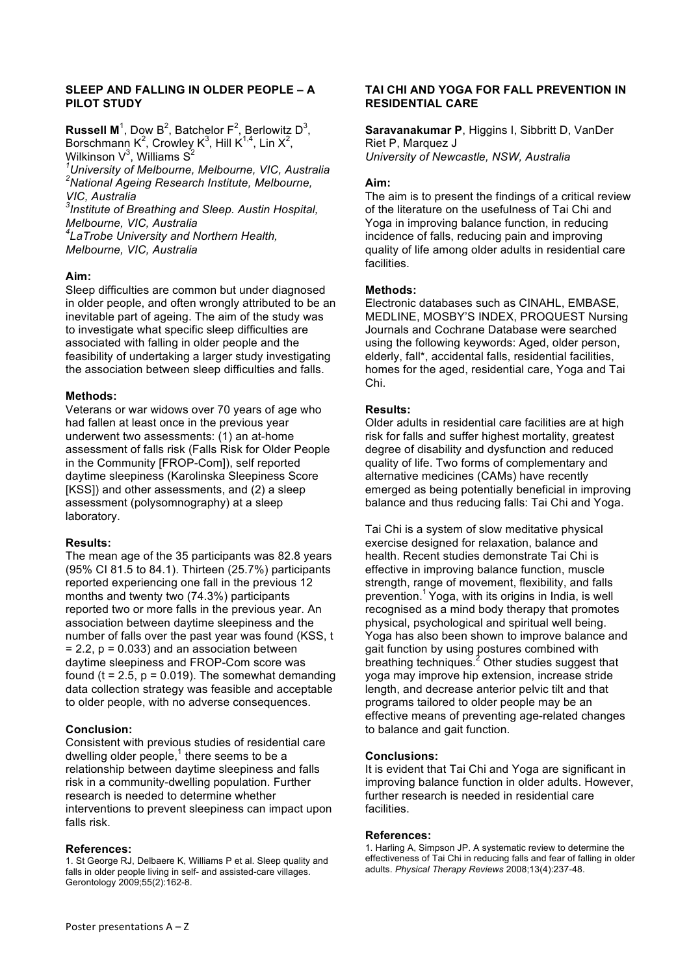### **SLEEP AND FALLING IN OLDER PEOPLE – A PILOT STUDY**

**Russell M**<sup>1</sup>, Dow B<sup>2</sup>, Batchelor  $F^2$ , Berlowitz D<sup>3</sup>, Borschmann K<sup>2</sup>, Crowley K<sup>3</sup>, Hill K<sup>1,4</sup>, Lin X<sup>2</sup>, Wilkinson V $^3$ , Williams  $\mathsf{S}^2$ 

*1 University of Melbourne, Melbourne, VIC, Australia <sup>2</sup> National Ageing Research Institute, Melbourne, VIC, Australia*

*3 Institute of Breathing and Sleep. Austin Hospital, Melbourne, VIC, Australia*

*4 LaTrobe University and Northern Health, Melbourne, VIC, Australia*

### **Aim:**

Sleep difficulties are common but under diagnosed in older people, and often wrongly attributed to be an inevitable part of ageing. The aim of the study was to investigate what specific sleep difficulties are associated with falling in older people and the feasibility of undertaking a larger study investigating the association between sleep difficulties and falls.

### **Methods:**

Veterans or war widows over 70 years of age who had fallen at least once in the previous year underwent two assessments: (1) an at-home assessment of falls risk (Falls Risk for Older People in the Community [FROP-Com]), self reported daytime sleepiness (Karolinska Sleepiness Score [KSS]) and other assessments, and (2) a sleep assessment (polysomnography) at a sleep laboratory.

### **Results:**

The mean age of the 35 participants was 82.8 years (95% CI 81.5 to 84.1). Thirteen (25.7%) participants reported experiencing one fall in the previous 12 months and twenty two (74.3%) participants reported two or more falls in the previous year. An association between daytime sleepiness and the number of falls over the past year was found (KSS, t  $= 2.2$ ,  $p = 0.033$ ) and an association between daytime sleepiness and FROP-Com score was found ( $t = 2.5$ ,  $p = 0.019$ ). The somewhat demanding data collection strategy was feasible and acceptable to older people, with no adverse consequences.

### **Conclusion:**

Consistent with previous studies of residential care dwelling older people, $1$  there seems to be a relationship between daytime sleepiness and falls risk in a community-dwelling population. Further research is needed to determine whether interventions to prevent sleepiness can impact upon falls risk.

### **References:**

1. St George RJ, Delbaere K, Williams P et al. Sleep quality and falls in older people living in self- and assisted-care villages. Gerontology 2009;55(2):162-8.

### **TAI CHI AND YOGA FOR FALL PREVENTION IN RESIDENTIAL CARE**

**Saravanakumar P**, Higgins I, Sibbritt D, VanDer Riet P, Marquez J *University of Newcastle, NSW, Australia*

### **Aim:**

The aim is to present the findings of a critical review of the literature on the usefulness of Tai Chi and Yoga in improving balance function, in reducing incidence of falls, reducing pain and improving quality of life among older adults in residential care facilities.

#### **Methods:**

Electronic databases such as CINAHL, EMBASE, MEDLINE, MOSBY'S INDEX, PROQUEST Nursing Journals and Cochrane Database were searched using the following keywords: Aged, older person, elderly, fall\*, accidental falls, residential facilities, homes for the aged, residential care, Yoga and Tai Chi.

### **Results:**

Older adults in residential care facilities are at high risk for falls and suffer highest mortality, greatest degree of disability and dysfunction and reduced quality of life. Two forms of complementary and alternative medicines (CAMs) have recently emerged as being potentially beneficial in improving balance and thus reducing falls: Tai Chi and Yoga.

Tai Chi is a system of slow meditative physical exercise designed for relaxation, balance and health. Recent studies demonstrate Tai Chi is effective in improving balance function, muscle strength, range of movement, flexibility, and falls prevention.<sup>1</sup> Yoga, with its origins in India, is well recognised as a mind body therapy that promotes physical, psychological and spiritual well being. Yoga has also been shown to improve balance and gait function by using postures combined with  $\frac{3}{2}$  breathing techniques.<sup>2</sup> Other studies suggest that yoga may improve hip extension, increase stride length, and decrease anterior pelvic tilt and that programs tailored to older people may be an effective means of preventing age-related changes to balance and gait function.

### **Conclusions:**

It is evident that Tai Chi and Yoga are significant in improving balance function in older adults. However, further research is needed in residential care facilities.

#### **References:**

1. Harling A, Simpson JP. A systematic review to determine the effectiveness of Tai Chi in reducing falls and fear of falling in older adults. *Physical Therapy Reviews* 2008;13(4):237-48.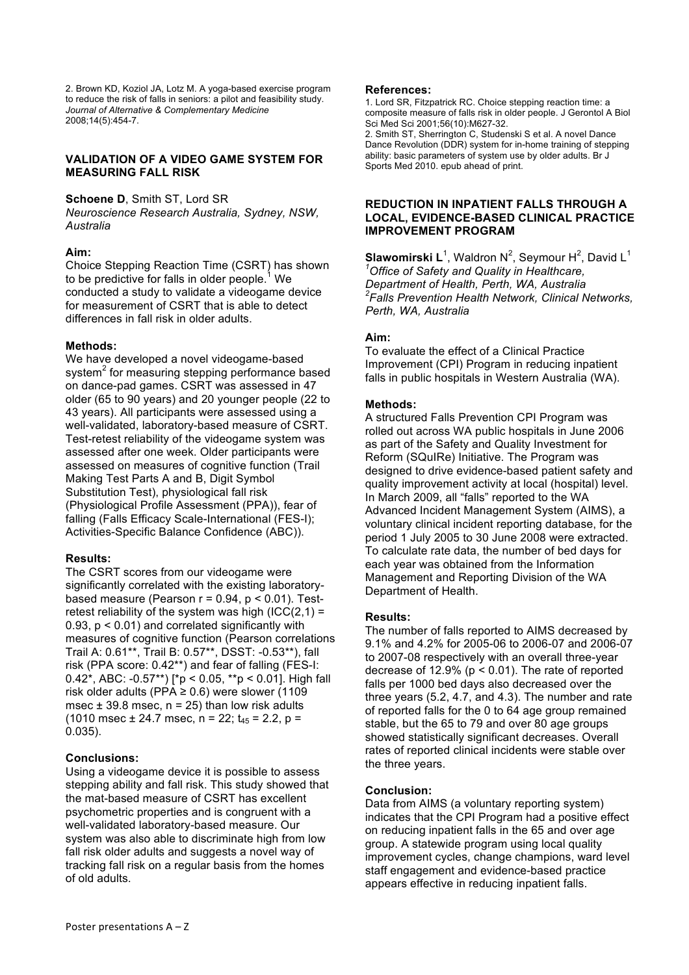2. Brown KD, Koziol JA, Lotz M. A yoga-based exercise program to reduce the risk of falls in seniors: a pilot and feasibility study. *Journal of Alternative & Complementary Medicine* 2008;14(5):454-7.

### **VALIDATION OF A VIDEO GAME SYSTEM FOR MEASURING FALL RISK**

### **Schoene D**, Smith ST, Lord SR

*Neuroscience Research Australia, Sydney, NSW, Australia*

# **Aim:**

Choice Stepping Reaction Time (CSRT) has shown to be predictive for falls in older people.<sup>1</sup> We conducted a study to validate a videogame device for measurement of CSRT that is able to detect differences in fall risk in older adults.

# **Methods:**

We have developed a novel videogame-based system<sup>2</sup> for measuring stepping performance based on dance-pad games. CSRT was assessed in 47 older (65 to 90 years) and 20 younger people (22 to 43 years). All participants were assessed using a well-validated, laboratory-based measure of CSRT. Test-retest reliability of the videogame system was assessed after one week. Older participants were assessed on measures of cognitive function (Trail Making Test Parts A and B, Digit Symbol Substitution Test), physiological fall risk (Physiological Profile Assessment (PPA)), fear of falling (Falls Efficacy Scale-International (FES-I); Activities-Specific Balance Confidence (ABC)).

# **Results:**

The CSRT scores from our videogame were significantly correlated with the existing laboratorybased measure (Pearson  $r = 0.94$ ,  $p < 0.01$ ). Testretest reliability of the system was high  $(ICC(2,1) =$ 0.93, p < 0.01) and correlated significantly with measures of cognitive function (Pearson correlations Trail A: 0.61\*\*, Trail B: 0.57\*\*, DSST: -0.53\*\*), fall risk (PPA score: 0.42\*\*) and fear of falling (FES-I: 0.42\*, ABC: -0.57\*\*) [\*p < 0.05, \*\*p < 0.01]. High fall risk older adults (PPA  $\geq$  0.6) were slower (1109 msec  $\pm$  39.8 msec,  $n = 25$ ) than low risk adults (1010 msec  $\pm$  24.7 msec, n = 22; t<sub>45</sub> = 2.2, p = 0.035).

# **Conclusions:**

Using a videogame device it is possible to assess stepping ability and fall risk. This study showed that the mat-based measure of CSRT has excellent psychometric properties and is congruent with a well-validated laboratory-based measure. Our system was also able to discriminate high from low fall risk older adults and suggests a novel way of tracking fall risk on a regular basis from the homes of old adults.

### **References:**

1. Lord SR, Fitzpatrick RC. Choice stepping reaction time: a composite measure of falls risk in older people. J Gerontol A Biol Sci Med Sci 2001;56(10):M627-32. 2. Smith ST, Sherrington C, Studenski S et al. A novel Dance Dance Revolution (DDR) system for in-home training of stepping

ability: basic parameters of system use by older adults. Br J Sports Med 2010. epub ahead of print.

### **REDUCTION IN INPATIENT FALLS THROUGH A LOCAL, EVIDENCE-BASED CLINICAL PRACTICE IMPROVEMENT PROGRAM**

 $\mathsf{\textbf{S}}$ lawomirski L<sup>1</sup>, Waldron N<sup>2</sup>, Seymour H<sup>2</sup>, David L<sup>1</sup> *1 Office of Safety and Quality in Healthcare, Department of Health, Perth, WA, Australia 2 Falls Prevention Health Network, Clinical Networks, Perth, WA, Australia* 

# **Aim:**

To evaluate the effect of a Clinical Practice Improvement (CPI) Program in reducing inpatient falls in public hospitals in Western Australia (WA).

# **Methods:**

A structured Falls Prevention CPI Program was rolled out across WA public hospitals in June 2006 as part of the Safety and Quality Investment for Reform (SQuIRe) Initiative. The Program was designed to drive evidence-based patient safety and quality improvement activity at local (hospital) level. In March 2009, all "falls" reported to the WA Advanced Incident Management System (AIMS), a voluntary clinical incident reporting database, for the period 1 July 2005 to 30 June 2008 were extracted. To calculate rate data, the number of bed days for each year was obtained from the Information Management and Reporting Division of the WA Department of Health.

# **Results:**

The number of falls reported to AIMS decreased by 9.1% and 4.2% for 2005-06 to 2006-07 and 2006-07 to 2007-08 respectively with an overall three-year decrease of  $12.9\%$  ( $p < 0.01$ ). The rate of reported falls per 1000 bed days also decreased over the three years (5.2, 4.7, and 4.3). The number and rate of reported falls for the 0 to 64 age group remained stable, but the 65 to 79 and over 80 age groups showed statistically significant decreases. Overall rates of reported clinical incidents were stable over the three years.

# **Conclusion:**

Data from AIMS (a voluntary reporting system) indicates that the CPI Program had a positive effect on reducing inpatient falls in the 65 and over age group. A statewide program using local quality improvement cycles, change champions, ward level staff engagement and evidence-based practice appears effective in reducing inpatient falls.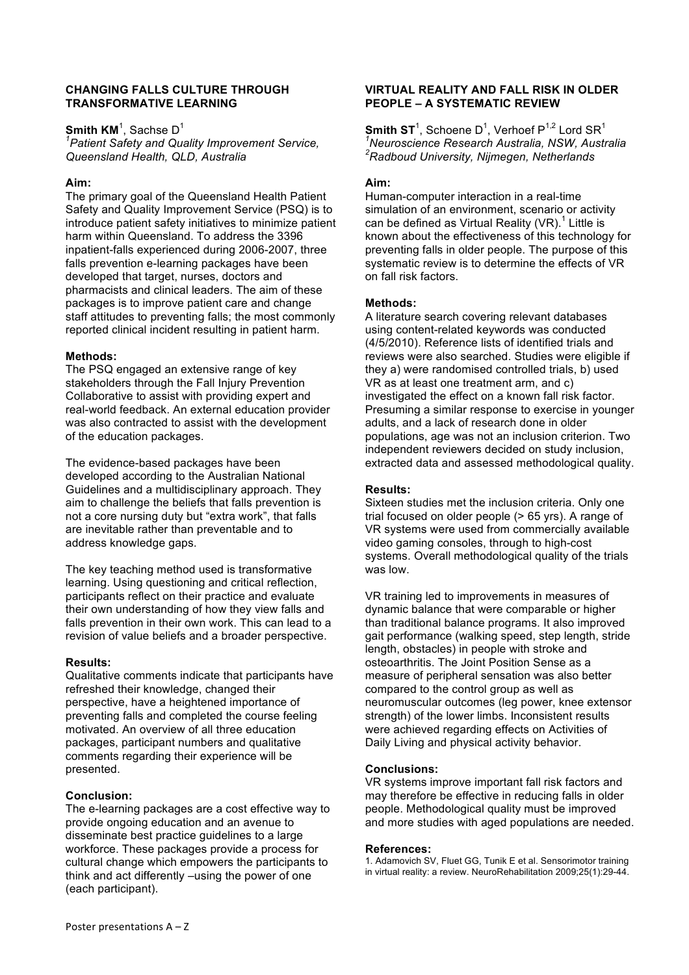### **CHANGING FALLS CULTURE THROUGH TRANSFORMATIVE LEARNING**

 $\mathsf{Smith}\ \mathsf{KM}^1$ , Sachse D $^1$ 

*1 Patient Safety and Quality Improvement Service, Queensland Health, QLD, Australia*

### **Aim:**

The primary goal of the Queensland Health Patient Safety and Quality Improvement Service (PSQ) is to introduce patient safety initiatives to minimize patient harm within Queensland. To address the 3396 inpatient-falls experienced during 2006-2007, three falls prevention e-learning packages have been developed that target, nurses, doctors and pharmacists and clinical leaders. The aim of these packages is to improve patient care and change staff attitudes to preventing falls; the most commonly reported clinical incident resulting in patient harm.

# **Methods:**

The PSQ engaged an extensive range of key stakeholders through the Fall Injury Prevention Collaborative to assist with providing expert and real-world feedback. An external education provider was also contracted to assist with the development of the education packages.

The evidence-based packages have been developed according to the Australian National Guidelines and a multidisciplinary approach. They aim to challenge the beliefs that falls prevention is not a core nursing duty but "extra work", that falls are inevitable rather than preventable and to address knowledge gaps.

The key teaching method used is transformative learning. Using questioning and critical reflection, participants reflect on their practice and evaluate their own understanding of how they view falls and falls prevention in their own work. This can lead to a revision of value beliefs and a broader perspective.

### **Results:**

Qualitative comments indicate that participants have refreshed their knowledge, changed their perspective, have a heightened importance of preventing falls and completed the course feeling motivated. An overview of all three education packages, participant numbers and qualitative comments regarding their experience will be presented.

# **Conclusion:**

The e-learning packages are a cost effective way to provide ongoing education and an avenue to disseminate best practice guidelines to a large workforce. These packages provide a process for cultural change which empowers the participants to think and act differently –using the power of one (each participant).

### **VIRTUAL REALITY AND FALL RISK IN OLDER PEOPLE – A SYSTEMATIC REVIEW**

 ${\sf Smith\;ST}^1$ , Schoene D $^1$ , Verhoef P $^{1,2}$  Lord SR $^1$ *1 Neuroscience Research Australia, NSW, Australia 2 Radboud University, Nijmegen, Netherlands*

# **Aim:**

Human-computer interaction in a real-time simulation of an environment, scenario or activity can be defined as Virtual Reality (VR).<sup>1</sup> Little is known about the effectiveness of this technology for preventing falls in older people. The purpose of this systematic review is to determine the effects of VR on fall risk factors.

### **Methods:**

A literature search covering relevant databases using content-related keywords was conducted (4/5/2010). Reference lists of identified trials and reviews were also searched. Studies were eligible if they a) were randomised controlled trials, b) used VR as at least one treatment arm, and c) investigated the effect on a known fall risk factor. Presuming a similar response to exercise in younger adults, and a lack of research done in older populations, age was not an inclusion criterion. Two independent reviewers decided on study inclusion, extracted data and assessed methodological quality.

### **Results:**

Sixteen studies met the inclusion criteria. Only one trial focused on older people (> 65 yrs). A range of VR systems were used from commercially available video gaming consoles, through to high-cost systems. Overall methodological quality of the trials was low.

VR training led to improvements in measures of dynamic balance that were comparable or higher than traditional balance programs. It also improved gait performance (walking speed, step length, stride length, obstacles) in people with stroke and osteoarthritis. The Joint Position Sense as a measure of peripheral sensation was also better compared to the control group as well as neuromuscular outcomes (leg power, knee extensor strength) of the lower limbs. Inconsistent results were achieved regarding effects on Activities of Daily Living and physical activity behavior.

### **Conclusions:**

VR systems improve important fall risk factors and may therefore be effective in reducing falls in older people. Methodological quality must be improved and more studies with aged populations are needed.

### **References:**

1. Adamovich SV, Fluet GG, Tunik E et al. Sensorimotor training in virtual reality: a review. NeuroRehabilitation 2009;25(1):29-44.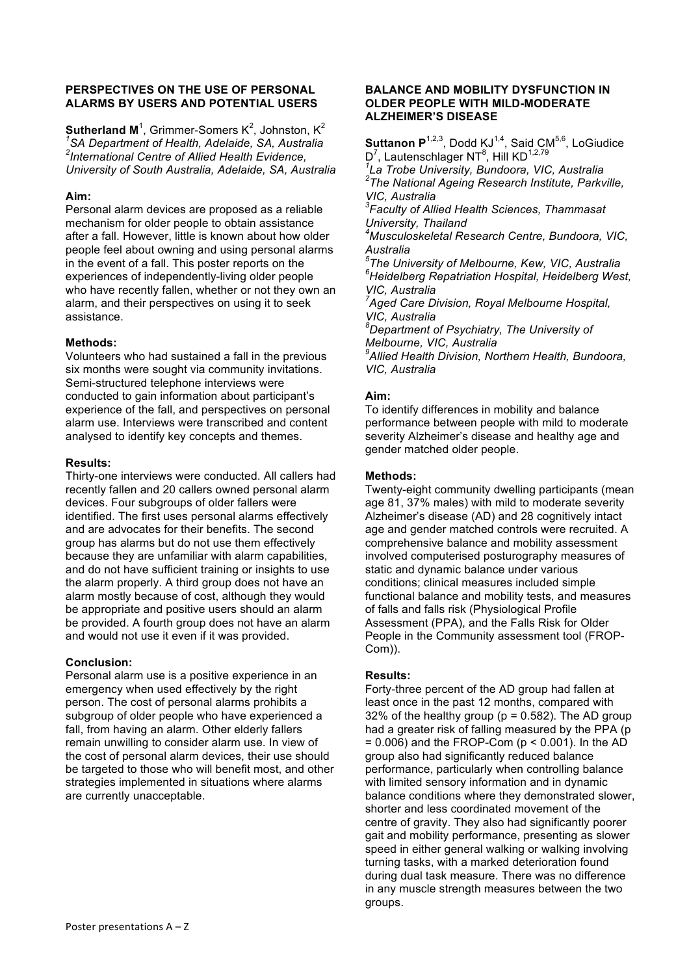### **PERSPECTIVES ON THE USE OF PERSONAL ALARMS BY USERS AND POTENTIAL USERS**

**Sutherland M**<sup>1</sup>, Grimmer-Somers K<sup>2</sup>, Johnston, K<sup>2</sup> *1 SA Department of Health, Adelaide, SA, Australia 2 International Centre of Allied Health Evidence, University of South Australia, Adelaide, SA, Australia* 

### **Aim:**

Personal alarm devices are proposed as a reliable mechanism for older people to obtain assistance after a fall. However, little is known about how older people feel about owning and using personal alarms in the event of a fall. This poster reports on the experiences of independently-living older people who have recently fallen, whether or not they own an alarm, and their perspectives on using it to seek assistance.

# **Methods:**

Volunteers who had sustained a fall in the previous six months were sought via community invitations. Semi-structured telephone interviews were conducted to gain information about participant's experience of the fall, and perspectives on personal alarm use. Interviews were transcribed and content analysed to identify key concepts and themes.

### **Results:**

Thirty-one interviews were conducted. All callers had recently fallen and 20 callers owned personal alarm devices. Four subgroups of older fallers were identified. The first uses personal alarms effectively and are advocates for their benefits. The second group has alarms but do not use them effectively because they are unfamiliar with alarm capabilities, and do not have sufficient training or insights to use the alarm properly. A third group does not have an alarm mostly because of cost, although they would be appropriate and positive users should an alarm be provided. A fourth group does not have an alarm and would not use it even if it was provided.

# **Conclusion:**

Personal alarm use is a positive experience in an emergency when used effectively by the right person. The cost of personal alarms prohibits a subgroup of older people who have experienced a fall, from having an alarm. Other elderly fallers remain unwilling to consider alarm use. In view of the cost of personal alarm devices, their use should be targeted to those who will benefit most, and other strategies implemented in situations where alarms are currently unacceptable.

### **BALANCE AND MOBILITY DYSFUNCTION IN OLDER PEOPLE WITH MILD-MODERATE ALZHEIMER'S DISEASE**

**Suttanon P**<sup>1,2,3</sup>, Dodd KJ<sup>1,4</sup>, Said CM<sup>5,6</sup>, LoGiudice D<sup>7</sup>, Lautenschlager NT<sup>8</sup>, Hill KD<sup>1,2,79</sup>

*1 La Trobe University, Bundoora, VIC, Australia <sup>2</sup> The National Ageing Research Institute, Parkville, VIC, Australia*

*3 Faculty of Allied Health Sciences, Thammasat University, Thailand*

*4 Musculoskeletal Research Centre, Bundoora, VIC, Australia*

*5 The University of Melbourne, Kew, VIC, Australia 6 Heidelberg Repatriation Hospital, Heidelberg West, VIC, Australia*

*7 Aged Care Division, Royal Melbourne Hospital, VIC, Australia*

*8 Department of Psychiatry, The University of Melbourne, VIC, Australia*

*9 Allied Health Division, Northern Health, Bundoora, VIC, Australia*

# **Aim:**

To identify differences in mobility and balance performance between people with mild to moderate severity Alzheimer's disease and healthy age and gender matched older people.

### **Methods:**

Twenty-eight community dwelling participants (mean age 81, 37% males) with mild to moderate severity Alzheimer's disease (AD) and 28 cognitively intact age and gender matched controls were recruited. A comprehensive balance and mobility assessment involved computerised posturography measures of static and dynamic balance under various conditions; clinical measures included simple functional balance and mobility tests, and measures of falls and falls risk (Physiological Profile Assessment (PPA), and the Falls Risk for Older People in the Community assessment tool (FROP-Com)).

### **Results:**

Forty-three percent of the AD group had fallen at least once in the past 12 months, compared with 32% of the healthy group ( $p = 0.582$ ). The AD group had a greater risk of falling measured by the PPA (p  $= 0.006$ ) and the FROP-Com ( $p < 0.001$ ). In the AD group also had significantly reduced balance performance, particularly when controlling balance with limited sensory information and in dynamic balance conditions where they demonstrated slower, shorter and less coordinated movement of the centre of gravity. They also had significantly poorer gait and mobility performance, presenting as slower speed in either general walking or walking involving turning tasks, with a marked deterioration found during dual task measure. There was no difference in any muscle strength measures between the two groups.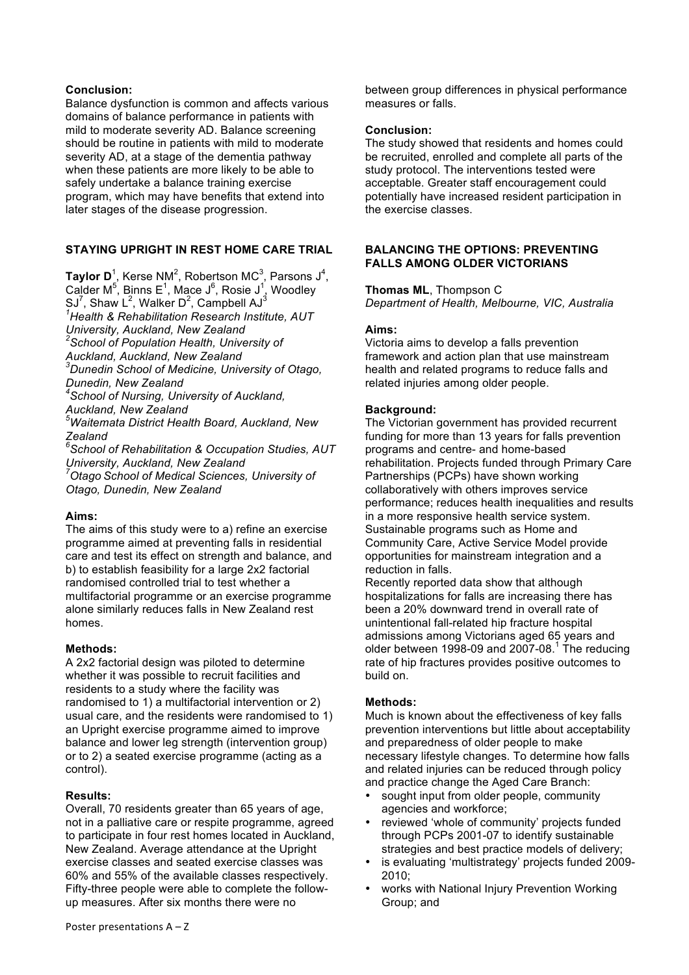# **Conclusion:**

Balance dysfunction is common and affects various domains of balance performance in patients with mild to moderate severity AD. Balance screening should be routine in patients with mild to moderate severity AD, at a stage of the dementia pathway when these patients are more likely to be able to safely undertake a balance training exercise program, which may have benefits that extend into later stages of the disease progression.

# **STAYING UPRIGHT IN REST HOME CARE TRIAL**

**Taylor D**<sup>1</sup>, Kerse NM<sup>2</sup>, Robertson MC<sup>3</sup>, Parsons J<sup>4</sup>, Calder M<sup>5</sup>, Binns E<sup>1</sup>, Mace J<sup>6</sup>, Rosie J<sup>1</sup>, Woodley SJ<sup>7</sup>, Shaw L<sup>2</sup>, Walker D<sup>2</sup>, Campbell AJ<sup>3</sup> *1 Health & Rehabilitation Research Institute, AUT University, Auckland, New Zealand <sup>2</sup> School of Population Health, University of Auckland, Auckland, New Zealand 3 Dunedin School of Medicine, University of Otago, Dunedin, New Zealand 4 School of Nursing, University of Auckland, Auckland, New Zealand 5 Waitemata District Health Board, Auckland, New Zealand 6 School of Rehabilitation & Occupation Studies, AUT University, Auckland, New Zealand 7 Otago School of Medical Sciences, University of Otago, Dunedin, New Zealand*

# **Aims:**

The aims of this study were to a) refine an exercise programme aimed at preventing falls in residential care and test its effect on strength and balance, and b) to establish feasibility for a large 2x2 factorial randomised controlled trial to test whether a multifactorial programme or an exercise programme alone similarly reduces falls in New Zealand rest homes.

# **Methods:**

A 2x2 factorial design was piloted to determine whether it was possible to recruit facilities and residents to a study where the facility was randomised to 1) a multifactorial intervention or 2) usual care, and the residents were randomised to 1) an Upright exercise programme aimed to improve balance and lower leg strength (intervention group) or to 2) a seated exercise programme (acting as a control).

# **Results:**

Overall, 70 residents greater than 65 years of age, not in a palliative care or respite programme, agreed to participate in four rest homes located in Auckland, New Zealand. Average attendance at the Upright exercise classes and seated exercise classes was 60% and 55% of the available classes respectively. Fifty-three people were able to complete the followup measures. After six months there were no

between group differences in physical performance measures or falls.

# **Conclusion:**

The study showed that residents and homes could be recruited, enrolled and complete all parts of the study protocol. The interventions tested were acceptable. Greater staff encouragement could potentially have increased resident participation in the exercise classes.

# **BALANCING THE OPTIONS: PREVENTING FALLS AMONG OLDER VICTORIANS**

**Thomas ML**, Thompson C

*Department of Health, Melbourne, VIC, Australia*

# **Aims:**

Victoria aims to develop a falls prevention framework and action plan that use mainstream health and related programs to reduce falls and related injuries among older people.

# **Background:**

The Victorian government has provided recurrent funding for more than 13 years for falls prevention programs and centre- and home-based rehabilitation. Projects funded through Primary Care Partnerships (PCPs) have shown working collaboratively with others improves service performance; reduces health inequalities and results in a more responsive health service system. Sustainable programs such as Home and Community Care, Active Service Model provide opportunities for mainstream integration and a reduction in falls.

Recently reported data show that although hospitalizations for falls are increasing there has been a 20% downward trend in overall rate of unintentional fall-related hip fracture hospital admissions among Victorians aged 65 years and older between 1998-09 and 2007-08. $1$  The reducing rate of hip fractures provides positive outcomes to build on.

# **Methods:**

Much is known about the effectiveness of key falls prevention interventions but little about acceptability and preparedness of older people to make necessary lifestyle changes. To determine how falls and related injuries can be reduced through policy and practice change the Aged Care Branch:

- sought input from older people, community agencies and workforce;
- reviewed 'whole of community' projects funded through PCPs 2001-07 to identify sustainable strategies and best practice models of delivery;
- is evaluating 'multistrategy' projects funded 2009- 2010;
- works with National Injury Prevention Working Group; and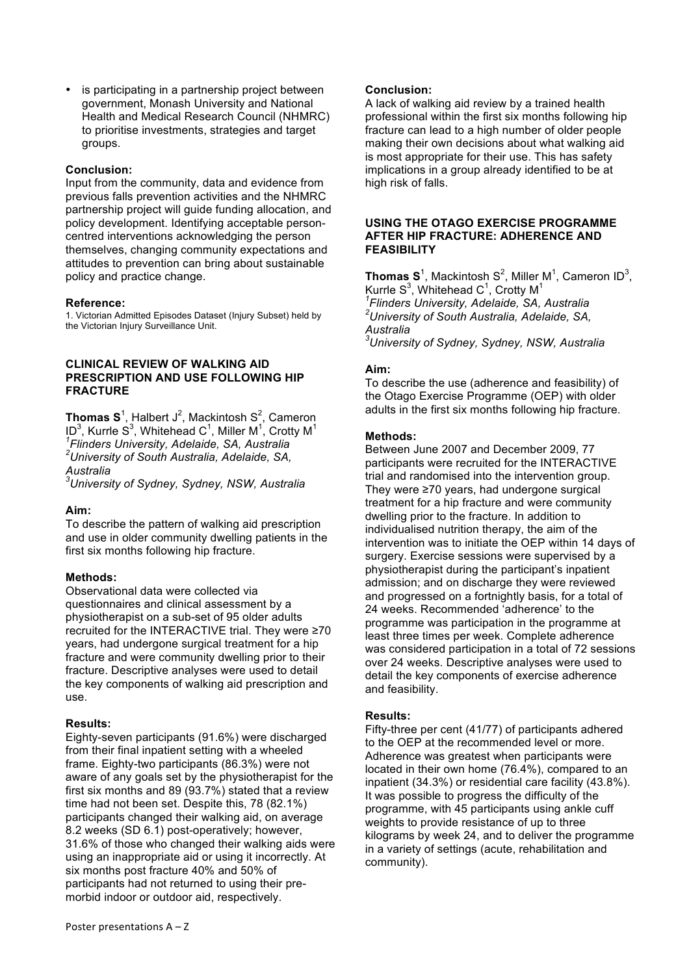is participating in a partnership project between government, Monash University and National Health and Medical Research Council (NHMRC) to prioritise investments, strategies and target groups.

### **Conclusion:**

Input from the community, data and evidence from previous falls prevention activities and the NHMRC partnership project will guide funding allocation, and policy development. Identifying acceptable personcentred interventions acknowledging the person themselves, changing community expectations and attitudes to prevention can bring about sustainable policy and practice change.

### **Reference:**

1. Victorian Admitted Episodes Dataset (Injury Subset) held by the Victorian Injury Surveillance Unit.

### **CLINICAL REVIEW OF WALKING AID PRESCRIPTION AND USE FOLLOWING HIP FRACTURE**

**Thomas S**<sup>1</sup>, Halbert J<sup>2</sup>, Mackintosh S<sup>2</sup>, Cameron ID<sup>3</sup>, Kurrle S<sup>3</sup>, Whitehead C<sup>1</sup>, Miller M<sup>1</sup>, Crotty M<sup>1</sup> *1 Flinders University, Adelaide, SA, Australia 2 University of South Australia, Adelaide, SA, Australia*

*3 University of Sydney, Sydney, NSW, Australia*

### **Aim:**

To describe the pattern of walking aid prescription and use in older community dwelling patients in the first six months following hip fracture.

### **Methods:**

Observational data were collected via questionnaires and clinical assessment by a physiotherapist on a sub-set of 95 older adults recruited for the INTERACTIVE trial. They were ≥70 years, had undergone surgical treatment for a hip fracture and were community dwelling prior to their fracture. Descriptive analyses were used to detail the key components of walking aid prescription and use.

### **Results:**

Eighty-seven participants (91.6%) were discharged from their final inpatient setting with a wheeled frame. Eighty-two participants (86.3%) were not aware of any goals set by the physiotherapist for the first six months and 89 (93.7%) stated that a review time had not been set. Despite this, 78 (82.1%) participants changed their walking aid, on average 8.2 weeks (SD 6.1) post-operatively; however, 31.6% of those who changed their walking aids were using an inappropriate aid or using it incorrectly. At six months post fracture 40% and 50% of participants had not returned to using their premorbid indoor or outdoor aid, respectively.

### **Conclusion:**

A lack of walking aid review by a trained health professional within the first six months following hip fracture can lead to a high number of older people making their own decisions about what walking aid is most appropriate for their use. This has safety implications in a group already identified to be at high risk of falls.

#### **USING THE OTAGO EXERCISE PROGRAMME AFTER HIP FRACTURE: ADHERENCE AND FEASIBILITY**

**Thomas S**<sup>1</sup>, Mackintosh S<sup>2</sup>, Miller M<sup>1</sup>, Cameron ID<sup>3</sup>, Kurrle S<sup>3</sup>, Whitehead C<sup>1</sup>, Crotty M<sup>1</sup> *1 Flinders University, Adelaide, SA, Australia 2 University of South Australia, Adelaide, SA, Australia 3 University of Sydney, Sydney, NSW, Australia*

### **Aim:**

To describe the use (adherence and feasibility) of the Otago Exercise Programme (OEP) with older adults in the first six months following hip fracture.

### **Methods:**

Between June 2007 and December 2009, 77 participants were recruited for the INTERACTIVE trial and randomised into the intervention group. They were ≥70 years, had undergone surgical treatment for a hip fracture and were community dwelling prior to the fracture. In addition to individualised nutrition therapy, the aim of the intervention was to initiate the OEP within 14 days of surgery. Exercise sessions were supervised by a physiotherapist during the participant's inpatient admission; and on discharge they were reviewed and progressed on a fortnightly basis, for a total of 24 weeks. Recommended 'adherence' to the programme was participation in the programme at least three times per week. Complete adherence was considered participation in a total of 72 sessions over 24 weeks. Descriptive analyses were used to detail the key components of exercise adherence and feasibility.

### **Results:**

Fifty-three per cent (41/77) of participants adhered to the OEP at the recommended level or more. Adherence was greatest when participants were located in their own home (76.4%), compared to an inpatient (34.3%) or residential care facility (43.8%). It was possible to progress the difficulty of the programme, with 45 participants using ankle cuff weights to provide resistance of up to three kilograms by week 24, and to deliver the programme in a variety of settings (acute, rehabilitation and community).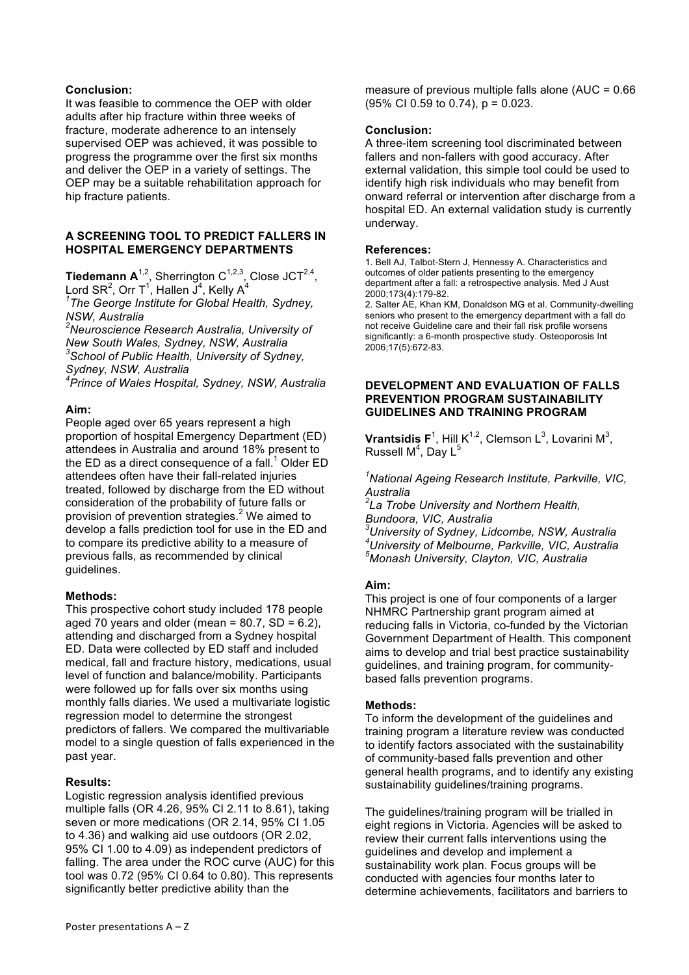### **Conclusion:**

It was feasible to commence the OEP with older adults after hip fracture within three weeks of fracture, moderate adherence to an intensely supervised OEP was achieved, it was possible to progress the programme over the first six months and deliver the OEP in a variety of settings. The OEP may be a suitable rehabilitation approach for hip fracture patients.

### **A SCREENING TOOL TO PREDICT FALLERS IN HOSPITAL EMERGENCY DEPARTMENTS**

**Tiedemann**  $A^{1,2}$ **, Sherrington**  $C^{1,2,3}$ **, Close JCT<sup>2,4</sup>,** Lord SR<sup>2</sup>, Orr T<sup>1</sup>, Hallen J<sup>4</sup>, Kelly A<sup>4</sup>

*1 The George Institute for Global Health, Sydney, NSW, Australia*

*2 Neuroscience Research Australia, University of New South Wales, Sydney, NSW, Australia <sup>3</sup> School of Public Health, University of Sydney, Sydney, NSW, Australia*

*4 Prince of Wales Hospital, Sydney, NSW, Australia*

### **Aim:**

People aged over 65 years represent a high proportion of hospital Emergency Department (ED) attendees in Australia and around 18% present to the ED as a direct consequence of a fall.<sup>1</sup> Older ED attendees often have their fall-related injuries treated, followed by discharge from the ED without consideration of the probability of future falls or provision of prevention strategies.<sup>2</sup> We aimed to develop a falls prediction tool for use in the ED and to compare its predictive ability to a measure of previous falls, as recommended by clinical guidelines.

### **Methods:**

This prospective cohort study included 178 people aged 70 years and older (mean =  $80.7$ , SD =  $6.2$ ), attending and discharged from a Sydney hospital ED. Data were collected by ED staff and included medical, fall and fracture history, medications, usual level of function and balance/mobility. Participants were followed up for falls over six months using monthly falls diaries. We used a multivariate logistic regression model to determine the strongest predictors of fallers. We compared the multivariable model to a single question of falls experienced in the past year.

### **Results:**

Logistic regression analysis identified previous multiple falls (OR 4.26, 95% CI 2.11 to 8.61), taking seven or more medications (OR 2.14, 95% CI 1.05 to 4.36) and walking aid use outdoors (OR 2.02, 95% CI 1.00 to 4.09) as independent predictors of falling. The area under the ROC curve (AUC) for this tool was 0.72 (95% CI 0.64 to 0.80). This represents significantly better predictive ability than the

measure of previous multiple falls alone (AUC = 0.66 (95% CI 0.59 to 0.74), p = 0.023.

### **Conclusion:**

A three-item screening tool discriminated between fallers and non-fallers with good accuracy. After external validation, this simple tool could be used to identify high risk individuals who may benefit from onward referral or intervention after discharge from a hospital ED. An external validation study is currently underway.

#### **References:**

1. Bell AJ, Talbot-Stern J, Hennessy A. Characteristics and outcomes of older patients presenting to the emergency department after a fall: a retrospective analysis. Med J Aust 2000;173(4):179-82.

2. Salter AE, Khan KM, Donaldson MG et al. Community-dwelling seniors who present to the emergency department with a fall do not receive Guideline care and their fall risk profile worsens significantly: a 6-month prospective study. Osteoporosis Int 2006;17(5):672-83.

#### **DEVELOPMENT AND EVALUATION OF FALLS PREVENTION PROGRAM SUSTAINABILITY GUIDELINES AND TRAINING PROGRAM**

**Vrantsidis F**<sup>1</sup>, Hill  $K^{1,2}$ , Clemson L<sup>3</sup>, Lovarini M<sup>3</sup>, Russell M<sup>4</sup>, Day L<sup>5</sup>

*1 National Ageing Research Institute, Parkville, VIC, Australia*

*2 La Trobe University and Northern Health, Bundoora, VIC, Australia*

*3 University of Sydney, Lidcombe, NSW, Australia 4 University of Melbourne, Parkville, VIC, Australia 5 Monash University, Clayton, VIC, Australia*

### **Aim:**

This project is one of four components of a larger NHMRC Partnership grant program aimed at reducing falls in Victoria, co-funded by the Victorian Government Department of Health. This component aims to develop and trial best practice sustainability guidelines, and training program, for communitybased falls prevention programs.

### **Methods:**

To inform the development of the guidelines and training program a literature review was conducted to identify factors associated with the sustainability of community-based falls prevention and other general health programs, and to identify any existing sustainability guidelines/training programs.

The guidelines/training program will be trialled in eight regions in Victoria. Agencies will be asked to review their current falls interventions using the guidelines and develop and implement a sustainability work plan. Focus groups will be conducted with agencies four months later to determine achievements, facilitators and barriers to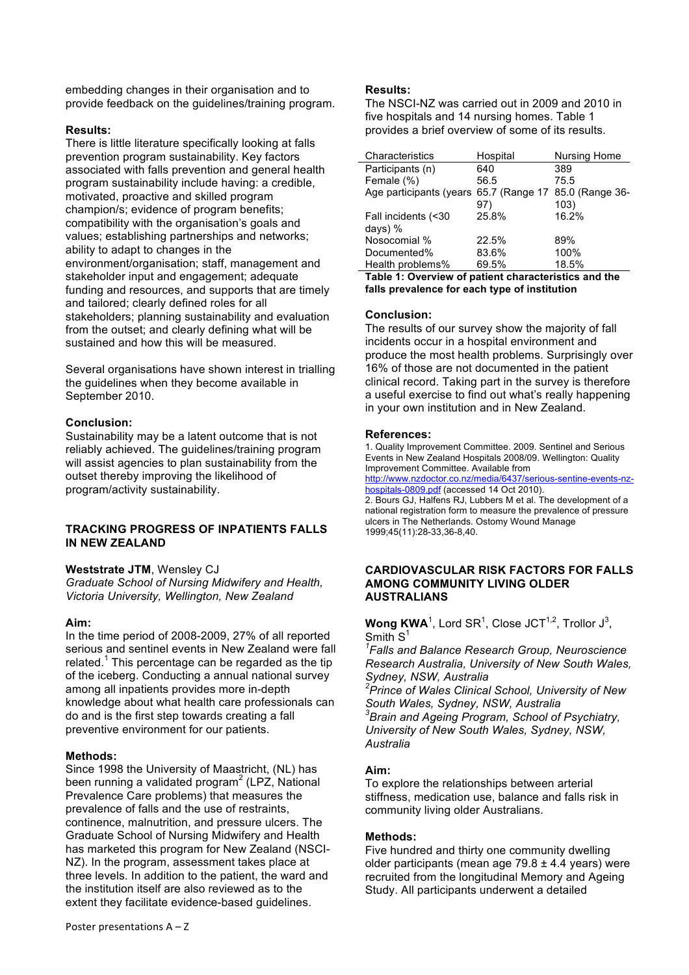embedding changes in their organisation and to provide feedback on the guidelines/training program.

### **Results:**

There is little literature specifically looking at falls prevention program sustainability. Key factors associated with falls prevention and general health program sustainability include having: a credible, motivated, proactive and skilled program champion/s; evidence of program benefits; compatibility with the organisation's goals and values; establishing partnerships and networks; ability to adapt to changes in the environment/organisation; staff, management and stakeholder input and engagement; adequate funding and resources, and supports that are timely and tailored; clearly defined roles for all stakeholders; planning sustainability and evaluation from the outset; and clearly defining what will be sustained and how this will be measured.

Several organisations have shown interest in trialling the guidelines when they become available in September 2010.

# **Conclusion:**

Sustainability may be a latent outcome that is not reliably achieved. The guidelines/training program will assist agencies to plan sustainability from the outset thereby improving the likelihood of program/activity sustainability.

### **TRACKING PROGRESS OF INPATIENTS FALLS IN NEW ZEALAND**

### **Weststrate JTM**, Wensley CJ

*Graduate School of Nursing Midwifery and Health, Victoria University, Wellington, New Zealand*

### **Aim:**

In the time period of 2008-2009, 27% of all reported serious and sentinel events in New Zealand were fall related.<sup>1</sup> This percentage can be regarded as the tip of the iceberg. Conducting a annual national survey among all inpatients provides more in-depth knowledge about what health care professionals can do and is the first step towards creating a fall preventive environment for our patients.

### **Methods:**

Since 1998 the University of Maastricht, (NL) has been running a validated program<sup>2</sup> (LPZ, National Prevalence Care problems) that measures the prevalence of falls and the use of restraints, continence, malnutrition, and pressure ulcers. The Graduate School of Nursing Midwifery and Health has marketed this program for New Zealand (NSCI-NZ). In the program, assessment takes place at three levels. In addition to the patient, the ward and the institution itself are also reviewed as to the extent they facilitate evidence-based guidelines.

### **Results:**

The NSCI-NZ was carried out in 2009 and 2010 in five hospitals and 14 nursing homes. Table 1 provides a brief overview of some of its results.

| Characteristics         | Hospital | Nursing Home                   |
|-------------------------|----------|--------------------------------|
| Participants (n)        | 640      | 389                            |
| Female (%)              | 56.5     | 75.5                           |
| Age participants (years |          | 65.7 (Range 17 85.0 (Range 36- |
|                         | 97)      | 103)                           |
| Fall incidents (<30     | 25.8%    | 16.2%                          |
| days) $%$               |          |                                |
| Nosocomial %            | 22.5%    | 89%                            |
| Documented%             | 83.6%    | 100%                           |
| Health problems%        | 69.5%    | 18.5%                          |

**Table 1: Overview of patient characteristics and the falls prevalence for each type of institution**

### **Conclusion:**

The results of our survey show the majority of fall incidents occur in a hospital environment and produce the most health problems. Surprisingly over 16% of those are not documented in the patient clinical record. Taking part in the survey is therefore a useful exercise to find out what's really happening in your own institution and in New Zealand.

### **References:**

1. Quality Improvement Committee. 2009. Sentinel and Serious Events in New Zealand Hospitals 2008/09. Wellington: Quality Improvement Committee. Available from

http://www.nzdoctor.co.nz/media/6437/serious-sentine-events-nzhospitals-0809.pdf (accessed 14 Oct 2010).

2. Bours GJ, Halfens RJ, Lubbers M et al. The development of a national registration form to measure the prevalence of pressure ulcers in The Netherlands. Ostomy Wound Manage 1999;45(11):28-33,36-8,40.

#### **CARDIOVASCULAR RISK FACTORS FOR FALLS AMONG COMMUNITY LIVING OLDER AUSTRALIANS**

# **Wong KWA**<sup>1</sup>, Lord SR<sup>1</sup>, Close JCT<sup>1,2</sup>, Trollor J<sup>3</sup>, Smith S<sup>1</sup>

*1 Falls and Balance Research Group, Neuroscience Research Australia, University of New South Wales, Sydney, NSW, Australia 2 Prince of Wales Clinical School, University of New South Wales, Sydney, NSW, Australia <sup>3</sup> Brain and Ageing Program, School of Psychiatry, University of New South Wales, Sydney, NSW, Australia*

# **Aim:**

To explore the relationships between arterial stiffness, medication use, balance and falls risk in community living older Australians.

# **Methods:**

Five hundred and thirty one community dwelling older participants (mean age  $79.8 \pm 4.4$  years) were recruited from the longitudinal Memory and Ageing Study. All participants underwent a detailed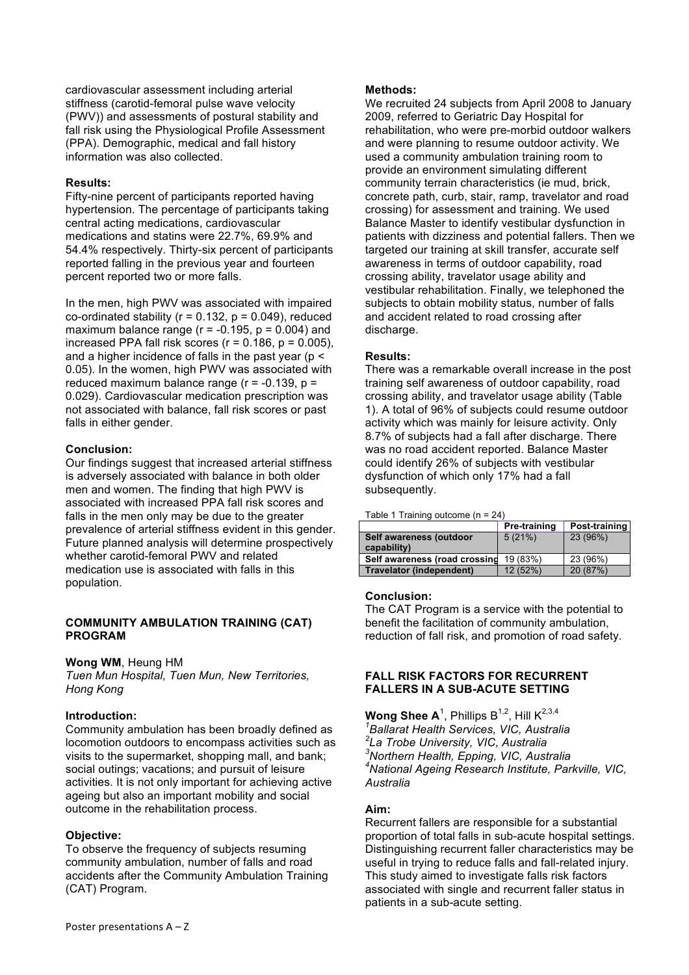cardiovascular assessment including arterial stiffness (carotid-femoral pulse wave velocity (PWV)) and assessments of postural stability and fall risk using the Physiological Profile Assessment (PPA). Demographic, medical and fall history information was also collected.

### **Results:**

Fifty-nine percent of participants reported having hypertension. The percentage of participants taking central acting medications, cardiovascular medications and statins were 22.7%, 69.9% and 54.4% respectively. Thirty-six percent of participants reported falling in the previous year and fourteen percent reported two or more falls.

In the men, high PWV was associated with impaired co-ordinated stability ( $r = 0.132$ ,  $p = 0.049$ ), reduced maximum balance range ( $r = -0.195$ ,  $p = 0.004$ ) and increased PPA fall risk scores ( $r = 0.186$ ,  $p = 0.005$ ), and a higher incidence of falls in the past year ( $p <$ 0.05). In the women, high PWV was associated with reduced maximum balance range  $(r = -0.139, p =$ 0.029). Cardiovascular medication prescription was not associated with balance, fall risk scores or past falls in either gender.

### **Conclusion:**

Our findings suggest that increased arterial stiffness is adversely associated with balance in both older men and women. The finding that high PWV is associated with increased PPA fall risk scores and falls in the men only may be due to the greater prevalence of arterial stiffness evident in this gender. Future planned analysis will determine prospectively whether carotid-femoral PWV and related medication use is associated with falls in this population.

### **COMMUNITY AMBULATION TRAINING (CAT) PROGRAM**

### **Wong WM**, Heung HM

*Tuen Mun Hospital, Tuen Mun, New Territories, Hong Kong*

# **Introduction:**

Community ambulation has been broadly defined as locomotion outdoors to encompass activities such as visits to the supermarket, shopping mall, and bank; social outings; vacations; and pursuit of leisure activities. It is not only important for achieving active ageing but also an important mobility and social outcome in the rehabilitation process.

### **Objective:**

To observe the frequency of subjects resuming community ambulation, number of falls and road accidents after the Community Ambulation Training (CAT) Program.

### **Methods:**

We recruited 24 subjects from April 2008 to January 2009, referred to Geriatric Day Hospital for rehabilitation, who were pre-morbid outdoor walkers and were planning to resume outdoor activity. We used a community ambulation training room to provide an environment simulating different community terrain characteristics (ie mud, brick, concrete path, curb, stair, ramp, travelator and road crossing) for assessment and training. We used Balance Master to identify vestibular dysfunction in patients with dizziness and potential fallers. Then we targeted our training at skill transfer, accurate self awareness in terms of outdoor capability, road crossing ability, travelator usage ability and vestibular rehabilitation. Finally, we telephoned the subjects to obtain mobility status, number of falls and accident related to road crossing after discharge.

### **Results:**

There was a remarkable overall increase in the post training self awareness of outdoor capability, road crossing ability, and travelator usage ability (Table 1). A total of 96% of subjects could resume outdoor activity which was mainly for leisure activity. Only 8.7% of subjects had a fall after discharge. There was no road accident reported. Balance Master could identify 26% of subjects with vestibular dysfunction of which only 17% had a fall subsequently.

Table 1 Training outcome (n = 24)

|                                 | Pre-training | Post-training |
|---------------------------------|--------------|---------------|
| Self awareness (outdoor         | 5(21%)       | 23 (96%)      |
| capability)                     |              |               |
| Self awareness (road crossing   | 19 (83%)     | 23 (96%)      |
| <b>Travelator (independent)</b> | 12 (52%)     | 20 (87%)      |

### **Conclusion:**

The CAT Program is a service with the potential to benefit the facilitation of community ambulation, reduction of fall risk, and promotion of road safety.

### **FALL RISK FACTORS FOR RECURRENT FALLERS IN A SUB-ACUTE SETTING**

 $\textsf{Wong}\ \textsf{Shee}\ \textsf{A}^{1}\text{,}$  Phillips  $\textsf{B}^{1,2}\text{,}$  Hill  $\textsf{K}^{2,3,4}\ \textsf{.}$  *Ballarat Health Services, VIC, Australia La Trobe University, VIC, Australia Northern Health, Epping, VIC, Australia National Ageing Research Institute, Parkville, VIC, Australia*

### **Aim:**

Recurrent fallers are responsible for a substantial proportion of total falls in sub-acute hospital settings. Distinguishing recurrent faller characteristics may be useful in trying to reduce falls and fall-related injury. This study aimed to investigate falls risk factors associated with single and recurrent faller status in patients in a sub-acute setting.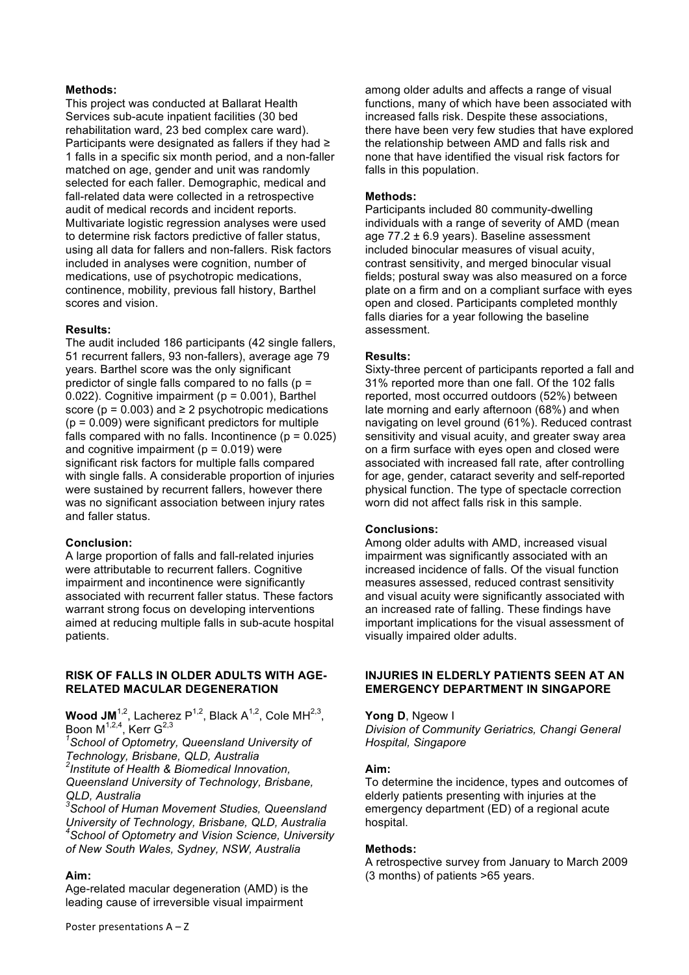### **Methods:**

This project was conducted at Ballarat Health Services sub-acute inpatient facilities (30 bed rehabilitation ward, 23 bed complex care ward). Participants were designated as fallers if they had ≥ 1 falls in a specific six month period, and a non-faller matched on age, gender and unit was randomly selected for each faller. Demographic, medical and fall-related data were collected in a retrospective audit of medical records and incident reports. Multivariate logistic regression analyses were used to determine risk factors predictive of faller status, using all data for fallers and non-fallers. Risk factors included in analyses were cognition, number of medications, use of psychotropic medications, continence, mobility, previous fall history, Barthel scores and vision.

### **Results:**

The audit included 186 participants (42 single fallers, 51 recurrent fallers, 93 non-fallers), average age 79 years. Barthel score was the only significant predictor of single falls compared to no falls ( $p =$ 0.022). Cognitive impairment ( $p = 0.001$ ), Barthel score ( $p = 0.003$ ) and  $\ge 2$  psychotropic medications  $(p = 0.009)$  were significant predictors for multiple falls compared with no falls. Incontinence  $(p = 0.025)$ and cognitive impairment ( $p = 0.019$ ) were significant risk factors for multiple falls compared with single falls. A considerable proportion of injuries were sustained by recurrent fallers, however there was no significant association between injury rates and faller status.

#### **Conclusion:**

A large proportion of falls and fall-related injuries were attributable to recurrent fallers. Cognitive impairment and incontinence were significantly associated with recurrent faller status. These factors warrant strong focus on developing interventions aimed at reducing multiple falls in sub-acute hospital patients.

#### **RISK OF FALLS IN OLDER ADULTS WITH AGE-RELATED MACULAR DEGENERATION**

**Wood JM**<sup>1,2</sup>, Lacherez P<sup>1,2</sup>, Black A<sup>1,2</sup>, Cole MH<sup>2,3</sup>, Boon M<sup>1,2,4</sup>, Kerr G<sup>2,3</sup>

*1 School of Optometry, Queensland University of Technology, Brisbane, QLD, Australia 2 Institute of Health & Biomedical Innovation, Queensland University of Technology, Brisbane, QLD, Australia*

*3 School of Human Movement Studies, Queensland University of Technology, Brisbane, QLD, Australia 4 School of Optometry and Vision Science, University of New South Wales, Sydney, NSW, Australia*

### **Aim:**

Age-related macular degeneration (AMD) is the leading cause of irreversible visual impairment

among older adults and affects a range of visual functions, many of which have been associated with increased falls risk. Despite these associations, there have been very few studies that have explored the relationship between AMD and falls risk and none that have identified the visual risk factors for falls in this population.

#### **Methods:**

Participants included 80 community-dwelling individuals with a range of severity of AMD (mean age  $77.2 \pm 6.9$  years). Baseline assessment included binocular measures of visual acuity, contrast sensitivity, and merged binocular visual fields; postural sway was also measured on a force plate on a firm and on a compliant surface with eyes open and closed. Participants completed monthly falls diaries for a year following the baseline assessment.

#### **Results:**

Sixty-three percent of participants reported a fall and 31% reported more than one fall. Of the 102 falls reported, most occurred outdoors (52%) between late morning and early afternoon (68%) and when navigating on level ground (61%). Reduced contrast sensitivity and visual acuity, and greater sway area on a firm surface with eyes open and closed were associated with increased fall rate, after controlling for age, gender, cataract severity and self-reported physical function. The type of spectacle correction worn did not affect falls risk in this sample.

#### **Conclusions:**

Among older adults with AMD, increased visual impairment was significantly associated with an increased incidence of falls. Of the visual function measures assessed, reduced contrast sensitivity and visual acuity were significantly associated with an increased rate of falling. These findings have important implications for the visual assessment of visually impaired older adults.

#### **INJURIES IN ELDERLY PATIENTS SEEN AT AN EMERGENCY DEPARTMENT IN SINGAPORE**

#### **Yong D**, Ngeow I

*Division of Community Geriatrics, Changi General Hospital, Singapore*

#### **Aim:**

To determine the incidence, types and outcomes of elderly patients presenting with injuries at the emergency department (ED) of a regional acute hospital.

#### **Methods:**

A retrospective survey from January to March 2009 (3 months) of patients >65 years.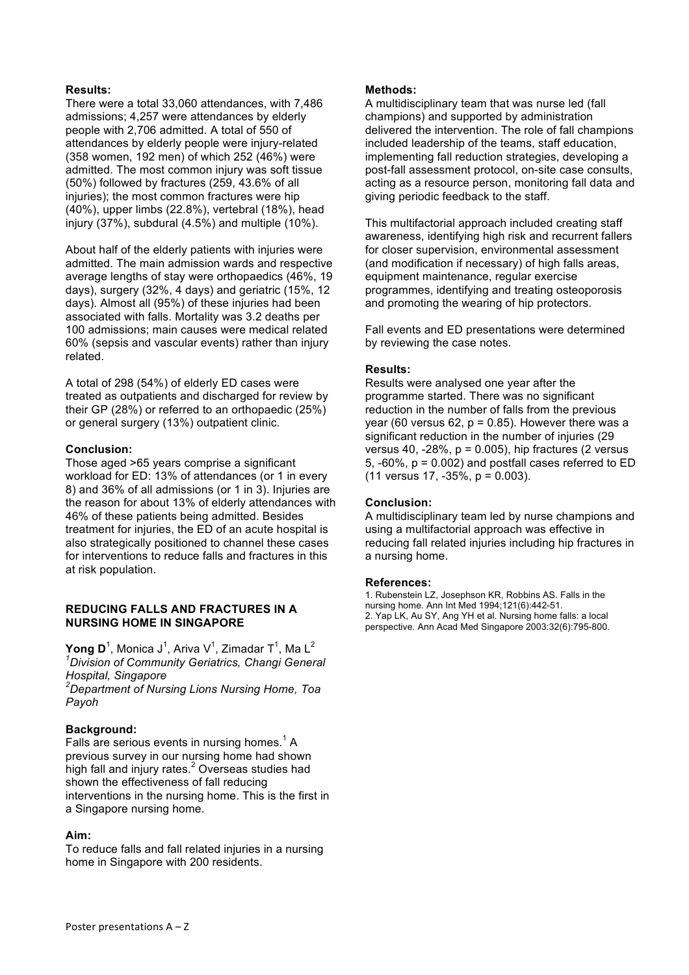### **Results:**

There were a total 33,060 attendances, with 7,486 admissions; 4,257 were attendances by elderly people with 2,706 admitted. A total of 550 of attendances by elderly people were injury-related (358 women, 192 men) of which 252 (46%) were admitted. The most common injury was soft tissue (50%) followed by fractures (259, 43.6% of all injuries); the most common fractures were hip (40%), upper limbs (22.8%), vertebral (18%), head injury (37%), subdural (4.5%) and multiple (10%).

About half of the elderly patients with injuries were admitted. The main admission wards and respective average lengths of stay were orthopaedics (46%, 19 days), surgery (32%, 4 days) and geriatric (15%, 12 days). Almost all (95%) of these injuries had been associated with falls. Mortality was 3.2 deaths per 100 admissions; main causes were medical related 60% (sepsis and vascular events) rather than injury related.

A total of 298 (54%) of elderly ED cases were treated as outpatients and discharged for review by their GP (28%) or referred to an orthopaedic (25%) or general surgery (13%) outpatient clinic.

### **Conclusion:**

Those aged >65 years comprise a significant workload for ED: 13% of attendances (or 1 in every 8) and 36% of all admissions (or 1 in 3). Injuries are the reason for about 13% of elderly attendances with 46% of these patients being admitted. Besides treatment for injuries, the ED of an acute hospital is also strategically positioned to channel these cases for interventions to reduce falls and fractures in this at risk population.

### **REDUCING FALLS AND FRACTURES IN A NURSING HOME IN SINGAPORE**

 $\mathsf{Yong}\ \mathsf{D}^1$ , Monica J $^1$ , Ariva V $^1$ , Zimadar T $^1$ , Ma L $^2$ *1 Division of Community Geriatrics, Changi General Hospital, Singapore 2 Department of Nursing Lions Nursing Home, Toa* 

*Payoh*

### **Background:**

Falls are serious events in nursing homes.<sup>1</sup> A previous survey in our nursing home had shown .<br>high fall and injury rates.<sup>2</sup> Overseas studies had shown the effectiveness of fall reducing interventions in the nursing home. This is the first in a Singapore nursing home.

### **Aim:**

To reduce falls and fall related injuries in a nursing home in Singapore with 200 residents.

### **Methods:**

A multidisciplinary team that was nurse led (fall champions) and supported by administration delivered the intervention. The role of fall champions included leadership of the teams, staff education, implementing fall reduction strategies, developing a post-fall assessment protocol, on-site case consults, acting as a resource person, monitoring fall data and giving periodic feedback to the staff.

This multifactorial approach included creating staff awareness, identifying high risk and recurrent fallers for closer supervision, environmental assessment (and modification if necessary) of high falls areas, equipment maintenance, regular exercise programmes, identifying and treating osteoporosis and promoting the wearing of hip protectors.

Fall events and ED presentations were determined by reviewing the case notes.

### **Results:**

Results were analysed one year after the programme started. There was no significant reduction in the number of falls from the previous year (60 versus 62,  $p = 0.85$ ). However there was a significant reduction in the number of injuries (29 versus 40,  $-28\%$ ,  $p = 0.005$ ), hip fractures (2 versus 5,  $-60\%$ ,  $p = 0.002$ ) and postfall cases referred to ED  $(11$  versus 17,  $-35\%$ ,  $p = 0.003$ ).

### **Conclusion:**

A multidisciplinary team led by nurse champions and using a multifactorial approach was effective in reducing fall related injuries including hip fractures in a nursing home.

### **References:**

1. Rubenstein LZ, Josephson KR, Robbins AS. Falls in the nursing home. Ann Int Med 1994;121(6):442-51. 2. Yap LK, Au SY, Ang YH et al. Nursing home falls: a local perspective. Ann Acad Med Singapore 2003:32(6):795-800.